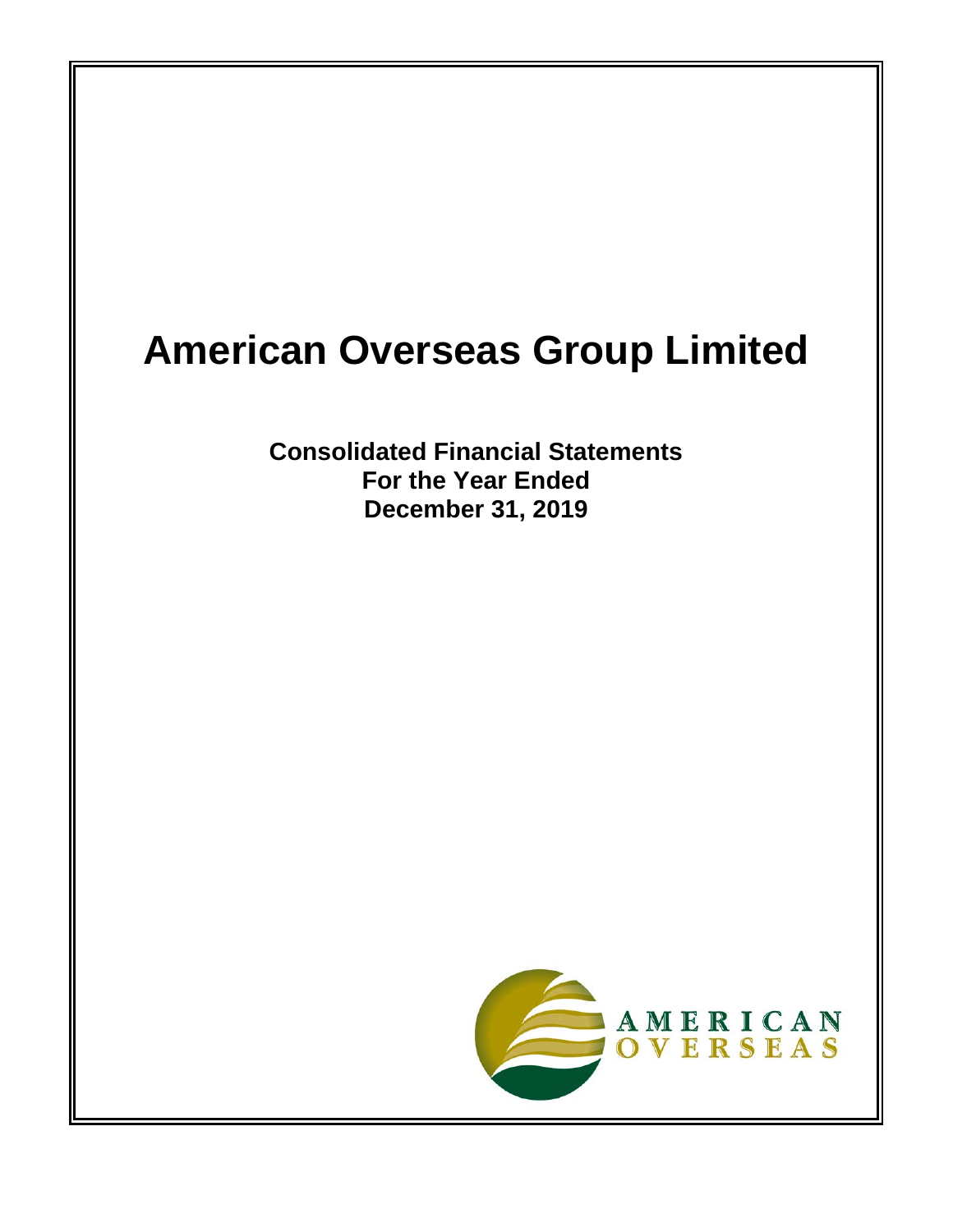# **American Overseas Group Limited**

**Consolidated Financial Statements For the Year Ended December 31, 2019**

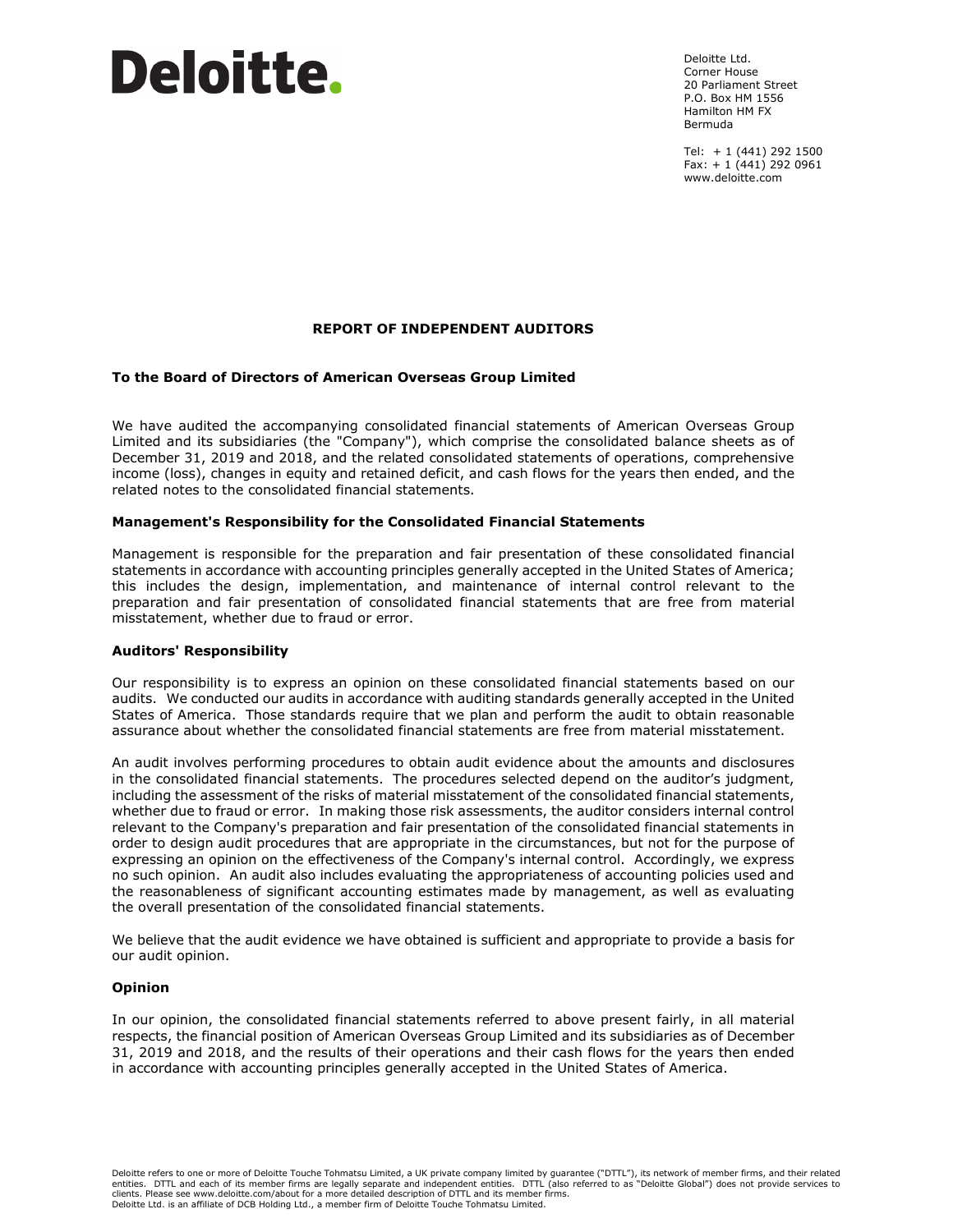# Deloitte.

Deloitte Ltd. Corner House 20 Parliament Street P.O. Box HM 1556 Hamilton HM FX Bermuda

Tel: + 1 (441) 292 1500 Fax:  $+ 1 (441) 292 0961$ www.deloitte.com

# **REPORT OF INDEPENDENT AUDITORS**

#### **To the Board of Directors of American Overseas Group Limited**

We have audited the accompanying consolidated financial statements of American Overseas Group Limited and its subsidiaries (the "Company"), which comprise the consolidated balance sheets as of December 31, 2019 and 2018, and the related consolidated statements of operations, comprehensive income (loss), changes in equity and retained deficit, and cash flows for the years then ended, and the related notes to the consolidated financial statements.

#### **Management's Responsibility for the Consolidated Financial Statements**

Management is responsible for the preparation and fair presentation of these consolidated financial statements in accordance with accounting principles generally accepted in the United States of America; this includes the design, implementation, and maintenance of internal control relevant to the preparation and fair presentation of consolidated financial statements that are free from material misstatement, whether due to fraud or error.

#### **Auditors' Responsibility**

Our responsibility is to express an opinion on these consolidated financial statements based on our audits. We conducted our audits in accordance with auditing standards generally accepted in the United States of America. Those standards require that we plan and perform the audit to obtain reasonable assurance about whether the consolidated financial statements are free from material misstatement.

An audit involves performing procedures to obtain audit evidence about the amounts and disclosures in the consolidated financial statements. The procedures selected depend on the auditor's judgment, including the assessment of the risks of material misstatement of the consolidated financial statements, whether due to fraud or error. In making those risk assessments, the auditor considers internal control relevant to the Company's preparation and fair presentation of the consolidated financial statements in order to design audit procedures that are appropriate in the circumstances, but not for the purpose of expressing an opinion on the effectiveness of the Company's internal control. Accordingly, we express no such opinion. An audit also includes evaluating the appropriateness of accounting policies used and the reasonableness of significant accounting estimates made by management, as well as evaluating the overall presentation of the consolidated financial statements.

We believe that the audit evidence we have obtained is sufficient and appropriate to provide a basis for our audit opinion.

#### **Opinion**

In our opinion, the consolidated financial statements referred to above present fairly, in all material respects, the financial position of American Overseas Group Limited and its subsidiaries as of December 31, 2019 and 2018, and the results of their operations and their cash flows for the years then ended in accordance with accounting principles generally accepted in the United States of America.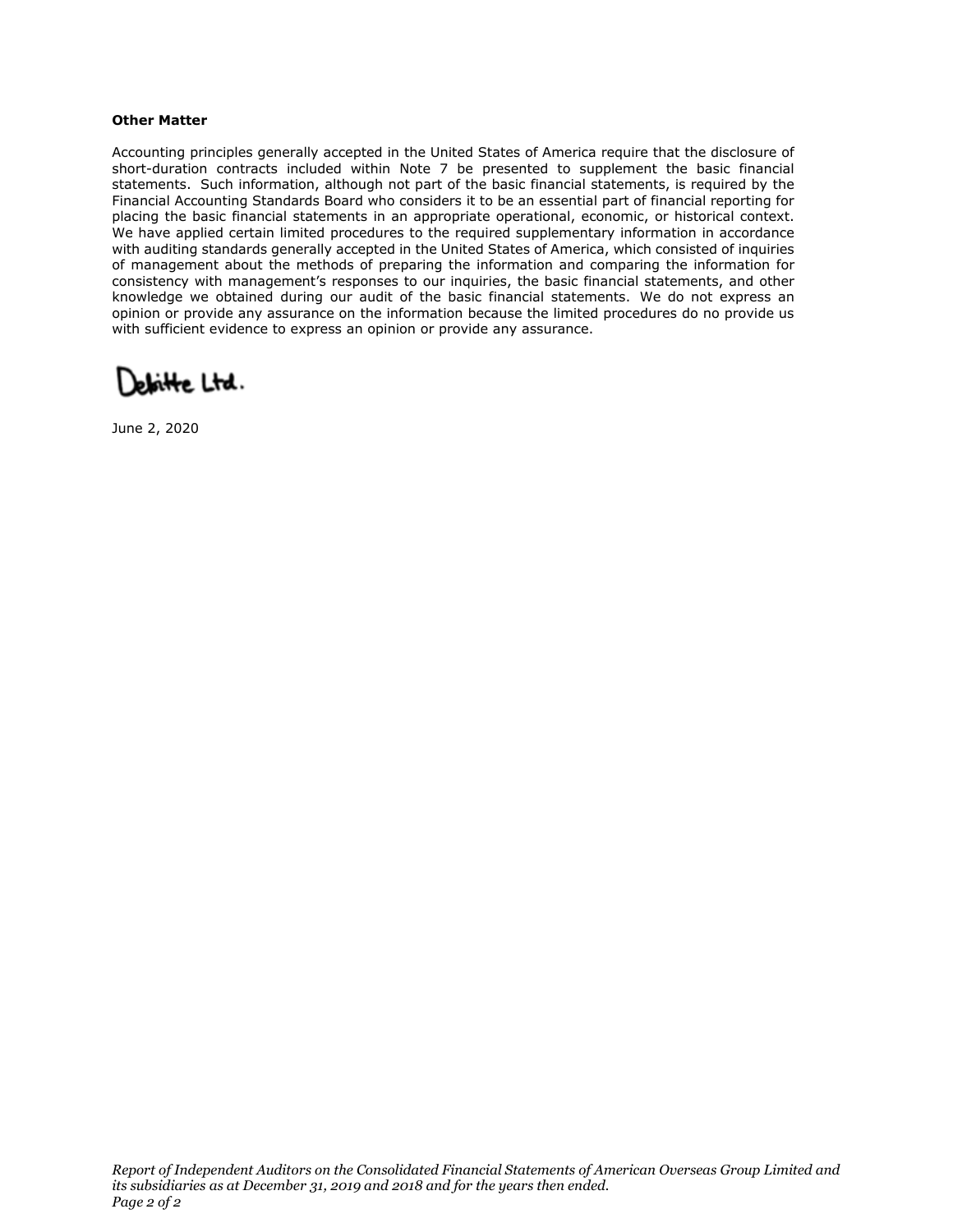#### **Other Matter**

Accounting principles generally accepted in the United States of America require that the disclosure of short-duration contracts included within Note 7 be presented to supplement the basic financial statements. Such information, although not part of the basic financial statements, is required by the Financial Accounting Standards Board who considers it to be an essential part of financial reporting for placing the basic financial statements in an appropriate operational, economic, or historical context. We have applied certain limited procedures to the required supplementary information in accordance with auditing standards generally accepted in the United States of America, which consisted of inquiries of management about the methods of preparing the information and comparing the information for consistency with management's responses to our inquiries, the basic financial statements, and other knowledge we obtained during our audit of the basic financial statements. We do not express an opinion or provide any assurance on the information because the limited procedures do no provide us with sufficient evidence to express an opinion or provide any assurance.

Deloitte Ltd.

June 2, 2020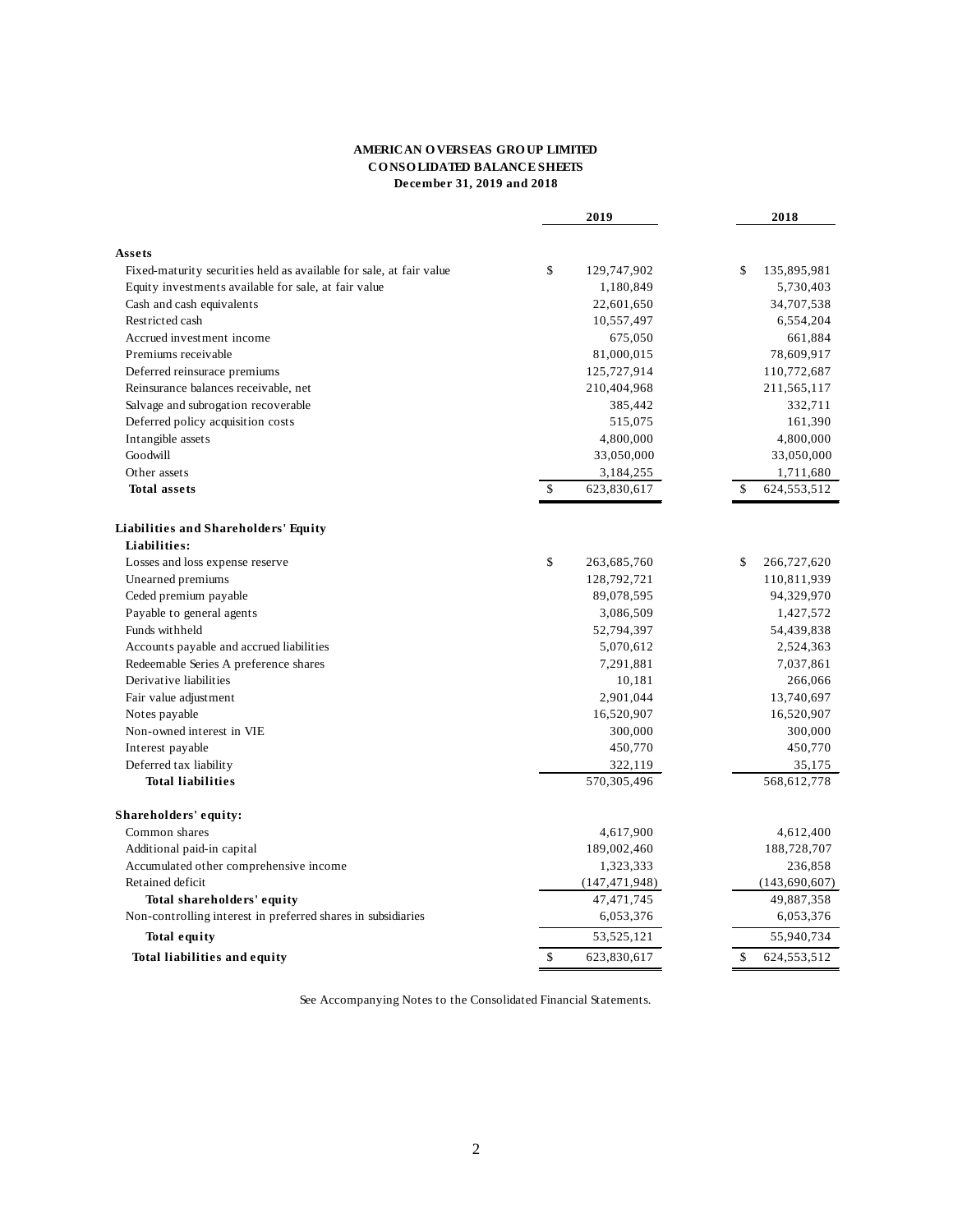#### **AMERICAN O VERSEAS GRO UP LIMITED CO NSO LIDATED BALANCE SHEETS December 31, 2019 and 2018**

|                                                                     | 2019              | 2018                |
|---------------------------------------------------------------------|-------------------|---------------------|
|                                                                     |                   |                     |
| Assets                                                              |                   |                     |
| Fixed-maturity securities held as available for sale, at fair value | \$<br>129,747,902 | \$<br>135,895,981   |
| Equity investments available for sale, at fair value                | 1,180,849         | 5,730,403           |
| Cash and cash equivalents                                           | 22,601,650        | 34,707,538          |
| Restricted cash                                                     | 10,557,497        | 6,554,204           |
| Accrued investment income                                           | 675,050           | 661,884             |
| Premiums receivable                                                 | 81,000,015        | 78,609,917          |
| Deferred reinsurace premiums                                        | 125,727,914       | 110,772,687         |
| Reinsurance balances receivable, net                                | 210,404,968       | 211,565,117         |
| Salvage and subrogation recoverable                                 | 385,442           | 332,711             |
| Deferred policy acquisition costs                                   | 515,075           | 161,390             |
| Intangible assets                                                   | 4,800,000         | 4,800,000           |
| Goodwill                                                            | 33,050,000        | 33,050,000          |
| Other assets                                                        | 3,184,255         | 1,711,680           |
| <b>Total assets</b>                                                 | \$<br>623,830,617 | \$<br>624, 553, 512 |
| Liabilities and Shareholders' Equity                                |                   |                     |
| Liabilities:                                                        |                   |                     |
| Losses and loss expense reserve                                     | \$<br>263,685,760 | \$<br>266,727,620   |
| Unearned premiums                                                   | 128,792,721       | 110,811,939         |
| Ceded premium payable                                               | 89,078,595        | 94,329,970          |
| Payable to general agents                                           | 3,086,509         | 1,427,572           |
| Funds withheld                                                      | 52,794,397        | 54,439,838          |
| Accounts payable and accrued liabilities                            | 5,070,612         | 2,524,363           |
| Redeemable Series A preference shares                               | 7,291,881         | 7,037,861           |
| Derivative liabilities                                              | 10,181            | 266,066             |
| Fair value adjustment                                               | 2,901,044         | 13,740,697          |
| Notes payable                                                       | 16,520,907        | 16,520,907          |
| Non-owned interest in VIE                                           | 300,000           | 300,000             |
| Interest payable                                                    | 450,770           | 450,770             |
| Deferred tax liability                                              | 322,119           | 35,175              |
| <b>Total liabilities</b>                                            | 570,305,496       | 568,612,778         |
| Shareholders' equity:                                               |                   |                     |
| Common shares                                                       | 4,617,900         | 4,612,400           |
| Additional paid-in capital                                          | 189,002,460       | 188,728,707         |
| Accumulated other comprehensive income                              | 1,323,333         | 236,858             |
| Retained deficit                                                    | (147, 471, 948)   | (143, 690, 607)     |
| Total shareholders' equity                                          | 47, 471, 745      | 49,887,358          |
| Non-controlling interest in preferred shares in subsidiaries        | 6,053,376         | 6,053,376           |
| <b>Total equity</b>                                                 | 53, 525, 121      | 55,940,734          |
| Total liabilities and equity                                        | \$<br>623,830,617 | \$<br>624, 553, 512 |
|                                                                     |                   |                     |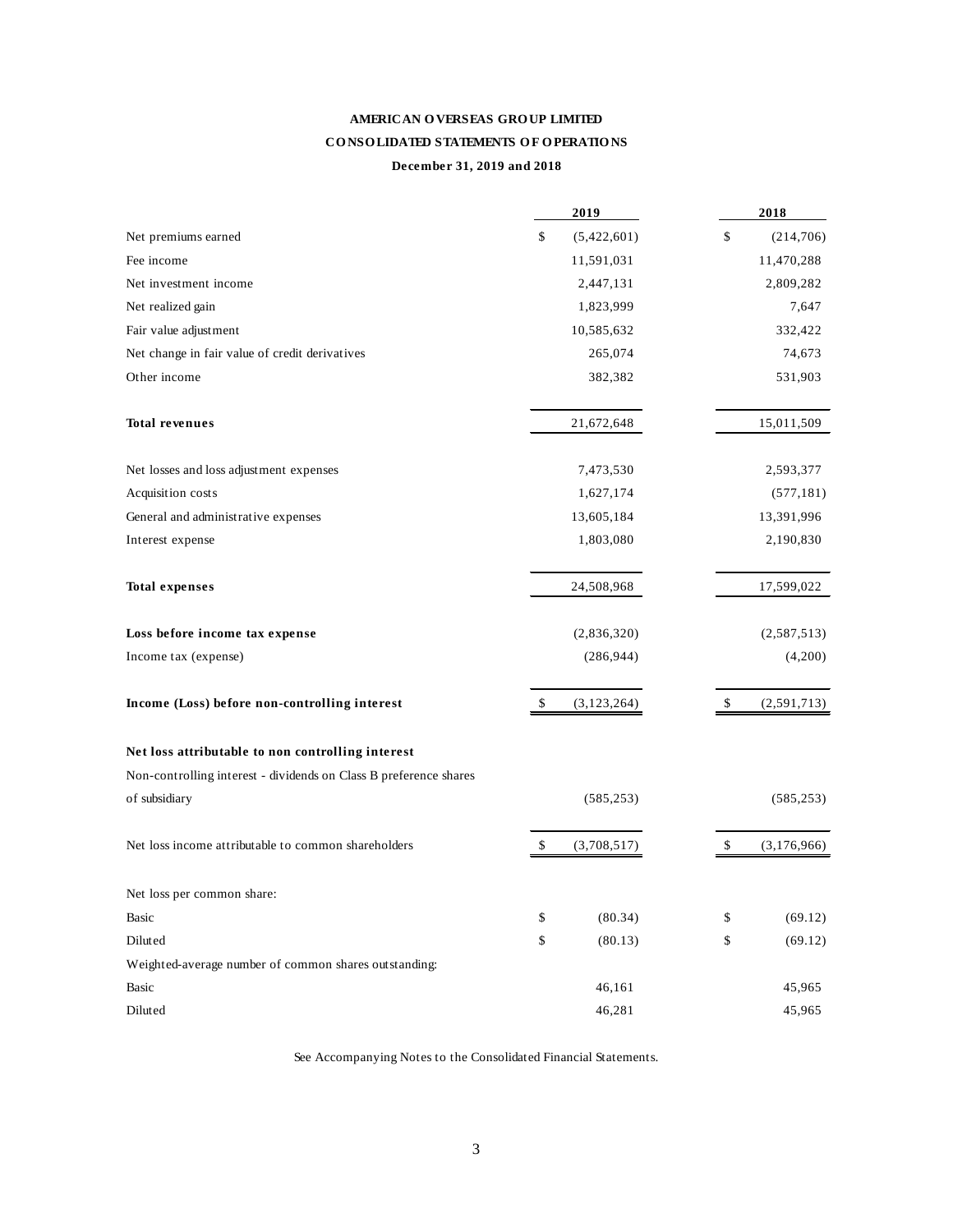# **AMERICAN O VERSEAS GRO UP LIMITED CO NSO LIDATED STATEMENTS O F O PERATIO NS December 31, 2019 and 2018**

|                                                                   |              | 2019          | 2018              |
|-------------------------------------------------------------------|--------------|---------------|-------------------|
| Net premiums earned                                               | \$           | (5,422,601)   | \$<br>(214,706)   |
| Fee income                                                        |              | 11,591,031    | 11,470,288        |
| Net investment income                                             |              | 2,447,131     | 2,809,282         |
| Net realized gain                                                 |              | 1,823,999     | 7,647             |
| Fair value adjustment                                             |              | 10,585,632    | 332,422           |
| Net change in fair value of credit derivatives                    |              | 265,074       | 74,673            |
| Other income                                                      |              | 382,382       | 531,903           |
| <b>Total revenues</b>                                             |              | 21,672,648    | 15,011,509        |
| Net losses and loss adjustment expenses                           |              | 7,473,530     | 2,593,377         |
| Acquisition costs                                                 |              | 1,627,174     | (577, 181)        |
| General and administrative expenses                               |              | 13,605,184    | 13,391,996        |
| Interest expense                                                  |              | 1,803,080     | 2,190,830         |
| <b>Total expenses</b>                                             |              | 24,508,968    | 17,599,022        |
| Loss before income tax expense                                    |              | (2,836,320)   | (2,587,513)       |
| Income tax (expense)                                              |              | (286, 944)    | (4,200)           |
| Income (Loss) before non-controlling interest                     | \$           | (3, 123, 264) | \$<br>(2,591,713) |
| Net loss attributable to non controlling interest                 |              |               |                   |
| Non-controlling interest - dividends on Class B preference shares |              |               |                   |
| of subsidiary                                                     |              | (585, 253)    | (585, 253)        |
| Net loss income attributable to common shareholders               | \$           | (3,708,517)   | \$<br>(3,176,966) |
| Net loss per common share:                                        |              |               |                   |
| Basic                                                             | $\mathbb{S}$ | (80.34)       | \$<br>(69.12)     |
| Diluted                                                           | \$           | (80.13)       | \$<br>(69.12)     |
| Weighted-average number of common shares outstanding:             |              |               |                   |
| Basic                                                             |              | 46,161        | 45,965            |
| Diluted                                                           |              | 46,281        | 45,965            |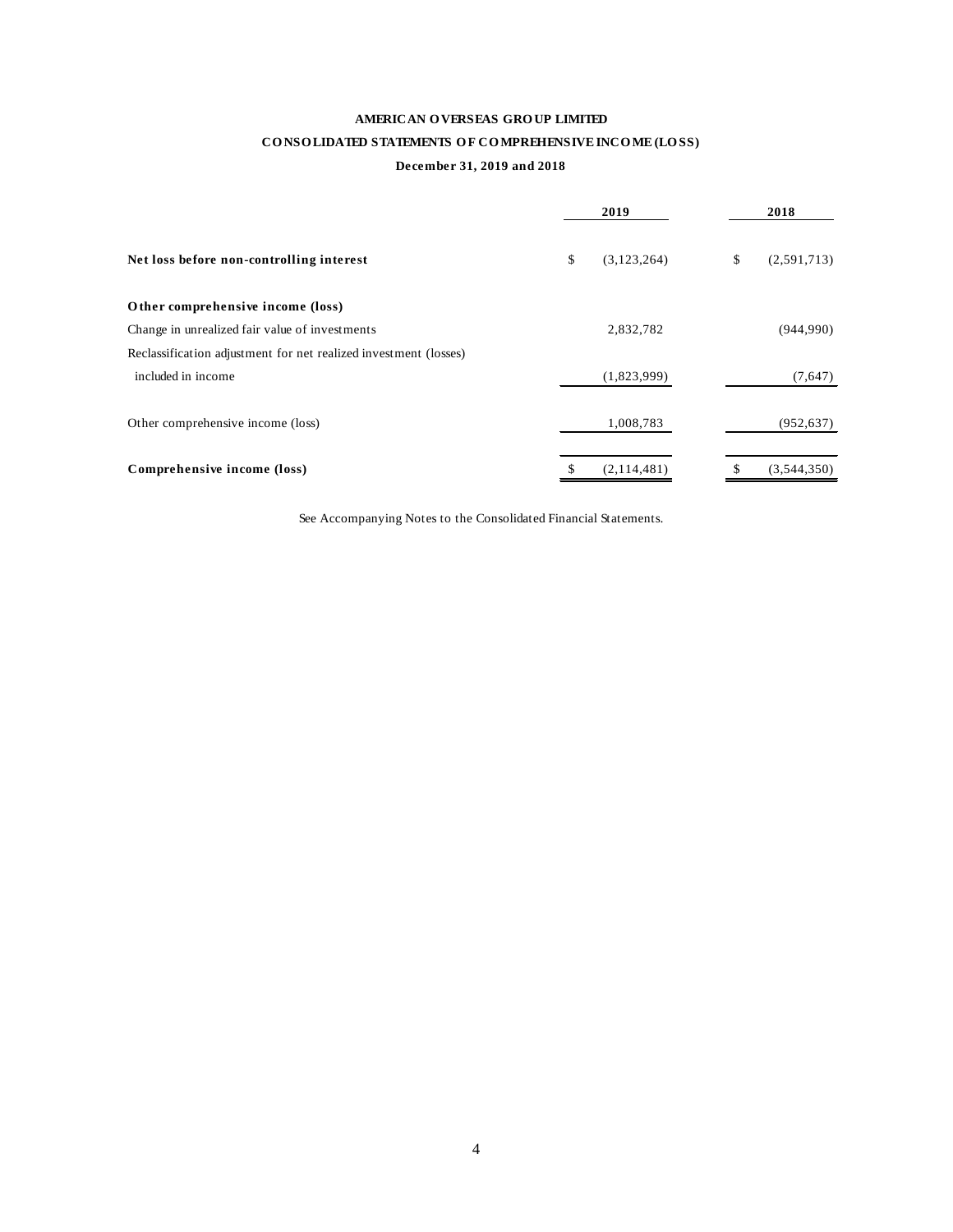# **AMERICAN O VERSEAS GRO UP LIMITED**

# CONSOLIDATED STATEMENTS OF COMPREHENSIVE INCOME (LOSS)

#### **December 31, 2019 and 2018**

|                                                                  |    | 2019        |    | 2018        |
|------------------------------------------------------------------|----|-------------|----|-------------|
| Net loss before non-controlling interest                         | \$ | (3,123,264) | \$ | (2,591,713) |
| Other comprehensive income (loss)                                |    |             |    |             |
| Change in unrealized fair value of investments                   |    | 2,832,782   |    | (944,990)   |
| Reclassification adjustment for net realized investment (losses) |    |             |    |             |
| included in income                                               |    | (1,823,999) |    | (7,647)     |
| Other comprehensive income (loss)                                |    | 1,008,783   |    | (952, 637)  |
| Comprehensive income (loss)                                      | S  | (2,114,481) | S  | (3,544,350) |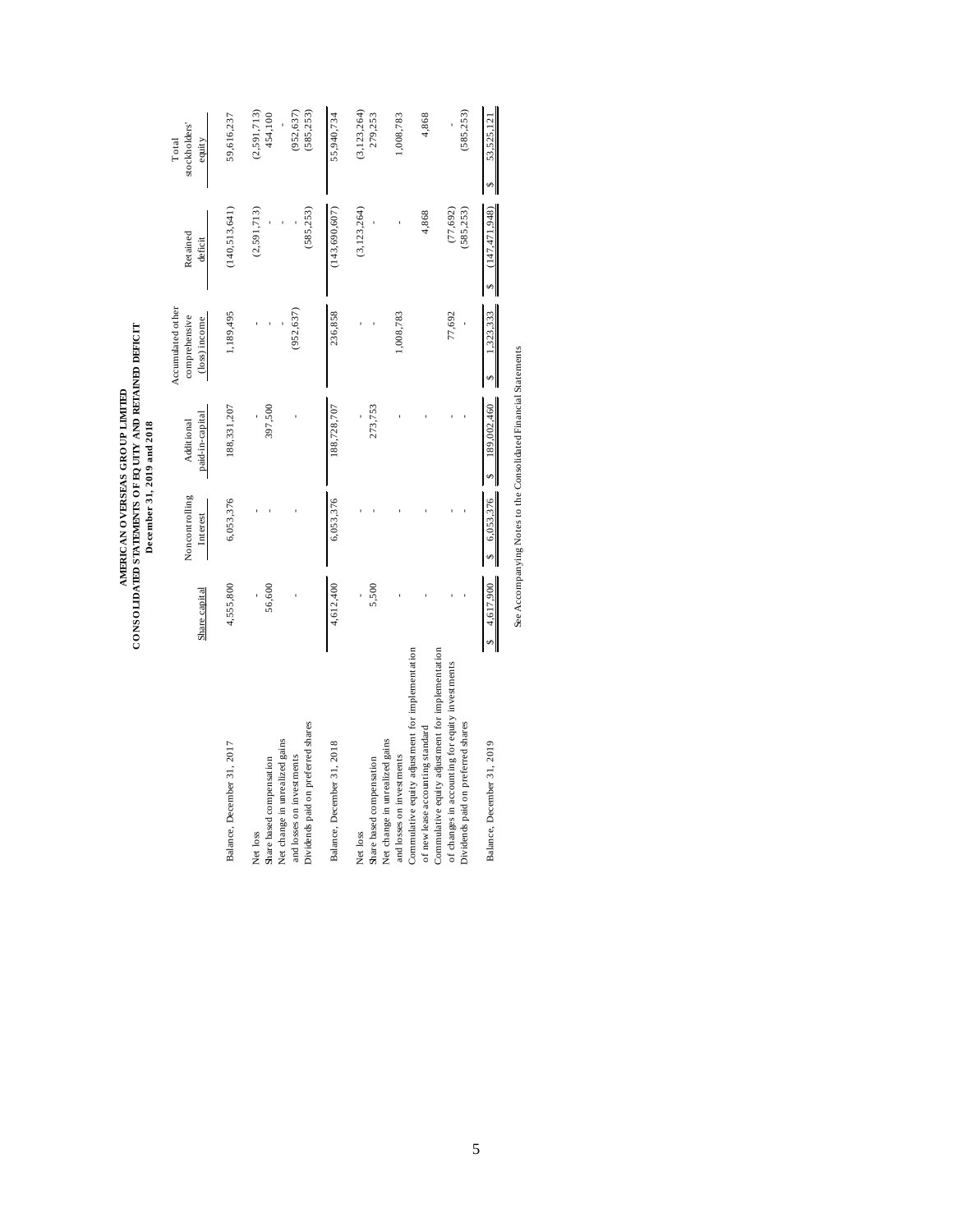|                                                                                                                                           |               | December 31, 2019 and 2018 | CONSOLIDATED STATEMENTS OF EQUITY AND RETAINED DEFICIT<br>AMERICAN OVERSEAS GROUP LIMITED |                                                     |                         |                                  |
|-------------------------------------------------------------------------------------------------------------------------------------------|---------------|----------------------------|-------------------------------------------------------------------------------------------|-----------------------------------------------------|-------------------------|----------------------------------|
|                                                                                                                                           | Share capital | Noncontrolling<br>Interest | paid-in-capital<br>Additional                                                             | Accumulated other<br>comprehensive<br>(loss) income | Retained<br>deficit     | stockholders'<br>Total<br>equity |
| Balance, December 31, 2017                                                                                                                | 4,555,800     | 6,053,376                  | 188,331,207                                                                               | 1,189,495                                           | (140, 513, 641)         | 59,616,237                       |
| Share based compensation<br>Net loss                                                                                                      | 56,600        |                            | 397,500                                                                                   |                                                     | (2,591,713)             | (2,591,713)<br>454,100           |
| Dividends paid on preferred shares<br>Net change in unrealized gains<br>and losses on investments                                         |               |                            |                                                                                           | (952, 637)                                          | (585, 253)              | (585, 253)<br>(952, 637)         |
| Balance, December 31, 2018                                                                                                                | 4,612,400     | 6,053,376                  | 188,728,707                                                                               | 236,858                                             | (143, 690, 607)         | 55,940,734                       |
| Share based compensation<br>Net loss                                                                                                      | 5,500         |                            | 273,753                                                                                   |                                                     | (3, 123, 264)           | (3, 123, 264)<br>279,253         |
| Net change in unrealized gains<br>and losses on investments                                                                               |               |                            |                                                                                           | 1,008,783                                           |                         | 1,008,783                        |
| Commulative equity adjustment for implementation<br>of new lease accounting standard                                                      |               |                            |                                                                                           |                                                     | 4,868                   | 4,868                            |
| Commulative equity adjustment for implementation<br>of changes in accounting for equity investments<br>Dividends paid on preferred shares |               |                            |                                                                                           | 77,692                                              | (77, 692)<br>(585, 253) | (585, 253)                       |
| Balance, December 31, 2019                                                                                                                | 4,617,900     | 6,053,376                  | 189,002,460                                                                               | 1,323,333                                           | (147, 471, 948)         | 53,525,121                       |

See Accompanying Notes to the Consolidated Financial Statements See Accompanying Notes to the Consolidated Financial Statements

5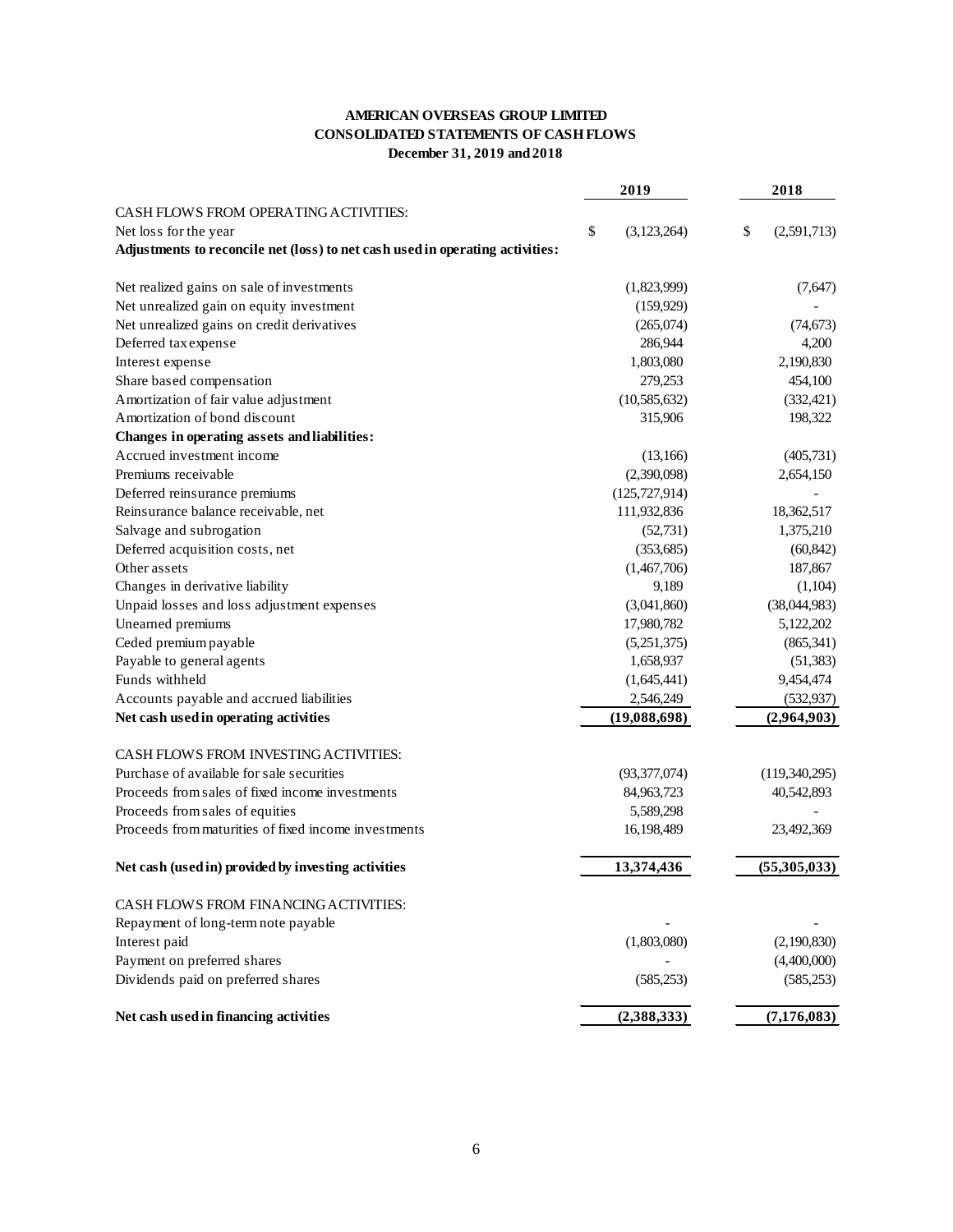# **AMERICAN OVERSEAS GROUP LIMITED CONSOLIDATED STATEMENTS OF CASH FLOWS December 31, 2019 and 2018**

|                                                                               | 2019              | 2018              |
|-------------------------------------------------------------------------------|-------------------|-------------------|
| CASH FLOWS FROM OPERATING ACTIVITIES:                                         |                   |                   |
| Net loss for the year                                                         | \$<br>(3,123,264) | \$<br>(2,591,713) |
| Adjustments to reconcile net (loss) to net cash used in operating activities: |                   |                   |
| Net realized gains on sale of investments                                     | (1,823,999)       | (7,647)           |
| Net unrealized gain on equity investment                                      | (159, 929)        |                   |
| Net unrealized gains on credit derivatives                                    | (265,074)         | (74, 673)         |
| Deferred tax expense                                                          | 286,944           | 4,200             |
| Interest expense                                                              | 1,803,080         | 2,190,830         |
| Share based compensation                                                      | 279,253           | 454,100           |
| Amortization of fair value adjustment                                         | (10, 585, 632)    | (332, 421)        |
| Amortization of bond discount                                                 | 315,906           | 198,322           |
| Changes in operating assets and liabilities:                                  |                   |                   |
| Accrued investment income                                                     | (13,166)          | (405, 731)        |
| Premiums receivable                                                           | (2,390,098)       | 2,654,150         |
| Deferred reinsurance premiums                                                 | (125, 727, 914)   |                   |
| Reinsurance balance receivable, net                                           | 111,932,836       | 18,362,517        |
| Salvage and subrogation                                                       | (52, 731)         | 1,375,210         |
| Deferred acquisition costs, net                                               | (353, 685)        | (60, 842)         |
| Other assets                                                                  | (1,467,706)       | 187,867           |
| Changes in derivative liability                                               | 9,189             | (1,104)           |
| Unpaid losses and loss adjustment expenses                                    | (3,041,860)       | (38,044,983)      |
| Unearned premiums                                                             | 17,980,782        | 5,122,202         |
| Ceded premium payable                                                         | (5,251,375)       | (865, 341)        |
| Payable to general agents                                                     | 1,658,937         | (51, 383)         |
| Funds withheld                                                                | (1,645,441)       | 9,454,474         |
| Accounts payable and accrued liabilities                                      | 2,546,249         | (532, 937)        |
| Net cash used in operating activities                                         | (19,088,698)      | (2,964,903)       |
| CASH FLOWS FROM INVESTING ACTIVITIES:                                         |                   |                   |
| Purchase of available for sale securities                                     | (93,377,074)      | (119,340,295)     |
| Proceeds from sales of fixed income investments                               | 84,963,723        | 40,542,893        |
| Proceeds from sales of equities                                               | 5,589,298         |                   |
| Proceeds from maturities of fixed income investments                          | 16,198,489        | 23,492,369        |
| Net cash (used in) provided by investing activities                           | 13,374,436        | (55,305,033)      |
| CASH FLOWS FROM FINANCING ACTIVITIES:                                         |                   |                   |
| Repayment of long-term note payable                                           |                   |                   |
| Interest paid                                                                 | (1,803,080)       | (2,190,830)       |
| Payment on preferred shares                                                   |                   | (4,400,000)       |
| Dividends paid on preferred shares                                            | (585, 253)        | (585, 253)        |
| Net cash used in financing activities                                         | (2,388,333)       | (7, 176, 083)     |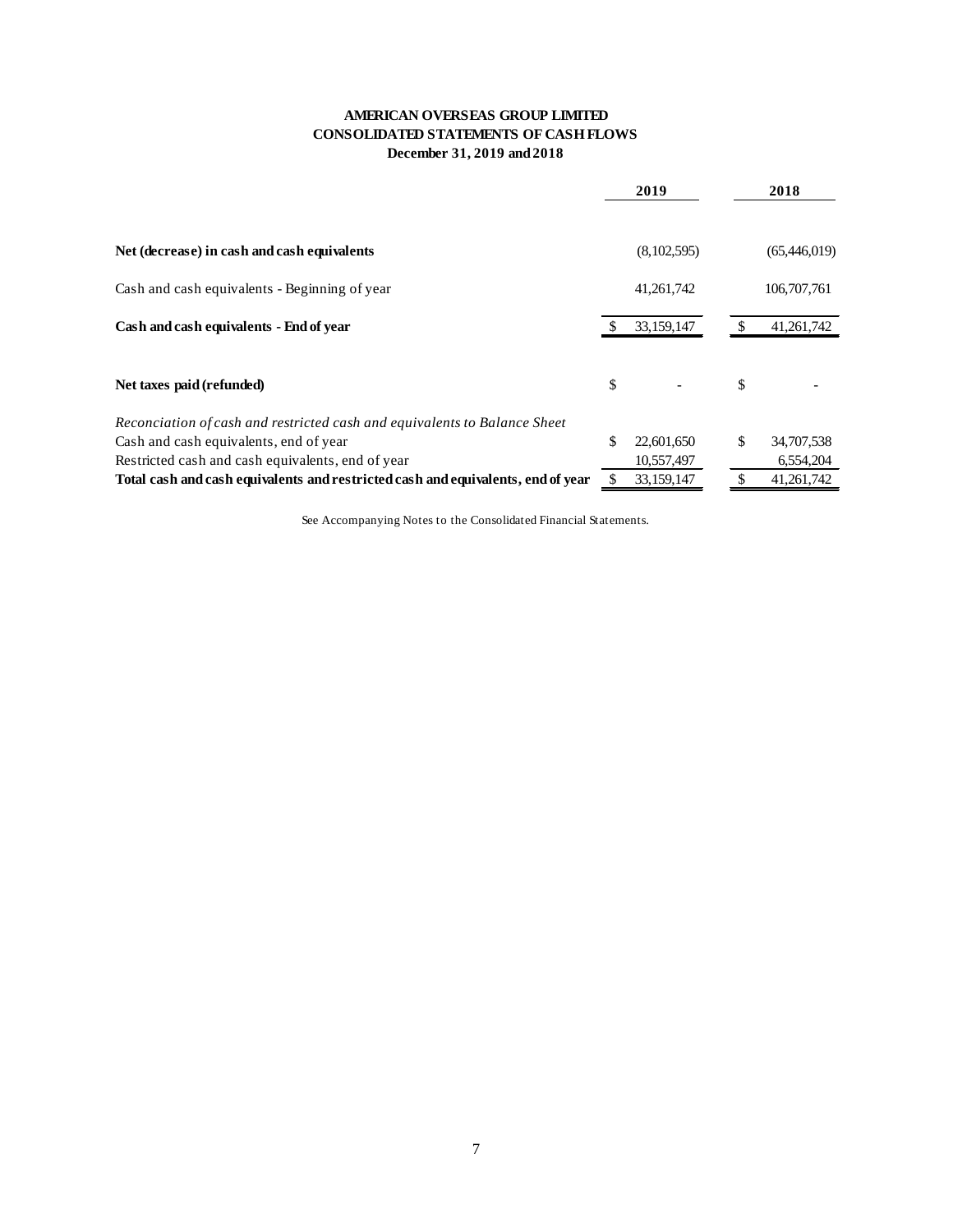# **AMERICAN OVERSEAS GROUP LIMITED CONSOLIDATED STATEMENTS OF CASH FLOWS December 31, 2019 and 2018**

|                                                                                  | 2019             |    | 2018         |
|----------------------------------------------------------------------------------|------------------|----|--------------|
|                                                                                  |                  |    |              |
| Net (decrease) in cash and cash equivalents                                      | (8,102,595)      |    | (65,446,019) |
| Cash and cash equivalents - Beginning of year                                    | 41,261,742       |    | 106,707,761  |
| Cash and cash equivalents - End of year                                          | 33,159,147       |    | 41,261,742   |
| Net taxes paid (refunded)                                                        | \$               | \$ |              |
| Reconciation of cash and restricted cash and equivalents to Balance Sheet        |                  |    |              |
| Cash and cash equivalents, end of year                                           | \$<br>22,601,650 | \$ | 34,707,538   |
| Restricted cash and cash equivalents, end of year                                | 10,557,497       |    | 6,554,204    |
| Total cash and cash equivalents and restricted cash and equivalents, end of year | 33,159,147       |    | 41, 261, 742 |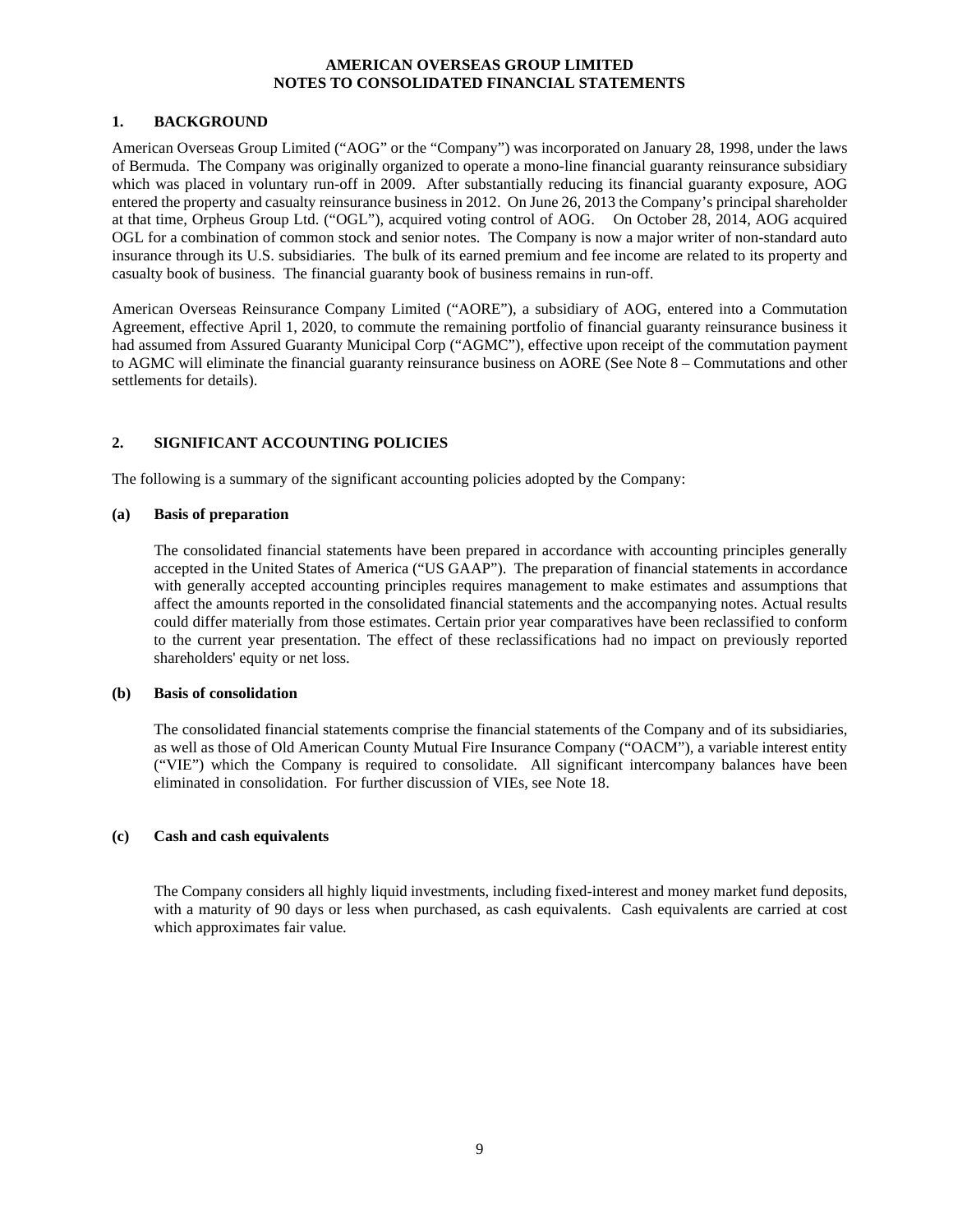#### **1. BACKGROUND**

American Overseas Group Limited ("AOG" or the "Company") was incorporated on January 28, 1998, under the laws of Bermuda. The Company was originally organized to operate a mono-line financial guaranty reinsurance subsidiary which was placed in voluntary run-off in 2009. After substantially reducing its financial guaranty exposure, AOG entered the property and casualty reinsurance business in 2012. On June 26, 2013 the Company's principal shareholder at that time, Orpheus Group Ltd. ("OGL"), acquired voting control of AOG. On October 28, 2014, AOG acquired OGL for a combination of common stock and senior notes. The Company is now a major writer of non-standard auto insurance through its U.S. subsidiaries. The bulk of its earned premium and fee income are related to its property and casualty book of business. The financial guaranty book of business remains in run-off.

American Overseas Reinsurance Company Limited ("AORE"), a subsidiary of AOG, entered into a Commutation Agreement, effective April 1, 2020, to commute the remaining portfolio of financial guaranty reinsurance business it had assumed from Assured Guaranty Municipal Corp ("AGMC"), effective upon receipt of the commutation payment to AGMC will eliminate the financial guaranty reinsurance business on AORE (See Note 8 – Commutations and other settlements for details).

# **2. SIGNIFICANT ACCOUNTING POLICIES**

The following is a summary of the significant accounting policies adopted by the Company:

#### **(a) Basis of preparation**

The consolidated financial statements have been prepared in accordance with accounting principles generally accepted in the United States of America ("US GAAP"). The preparation of financial statements in accordance with generally accepted accounting principles requires management to make estimates and assumptions that affect the amounts reported in the consolidated financial statements and the accompanying notes. Actual results could differ materially from those estimates. Certain prior year comparatives have been reclassified to conform to the current year presentation. The effect of these reclassifications had no impact on previously reported shareholders' equity or net loss.

# **(b) Basis of consolidation**

The consolidated financial statements comprise the financial statements of the Company and of its subsidiaries, as well as those of Old American County Mutual Fire Insurance Company ("OACM"), a variable interest entity ("VIE") which the Company is required to consolidate. All significant intercompany balances have been eliminated in consolidation. For further discussion of VIEs, see Note 18.

# **(c) Cash and cash equivalents**

The Company considers all highly liquid investments, including fixed-interest and money market fund deposits, with a maturity of 90 days or less when purchased, as cash equivalents. Cash equivalents are carried at cost which approximates fair value.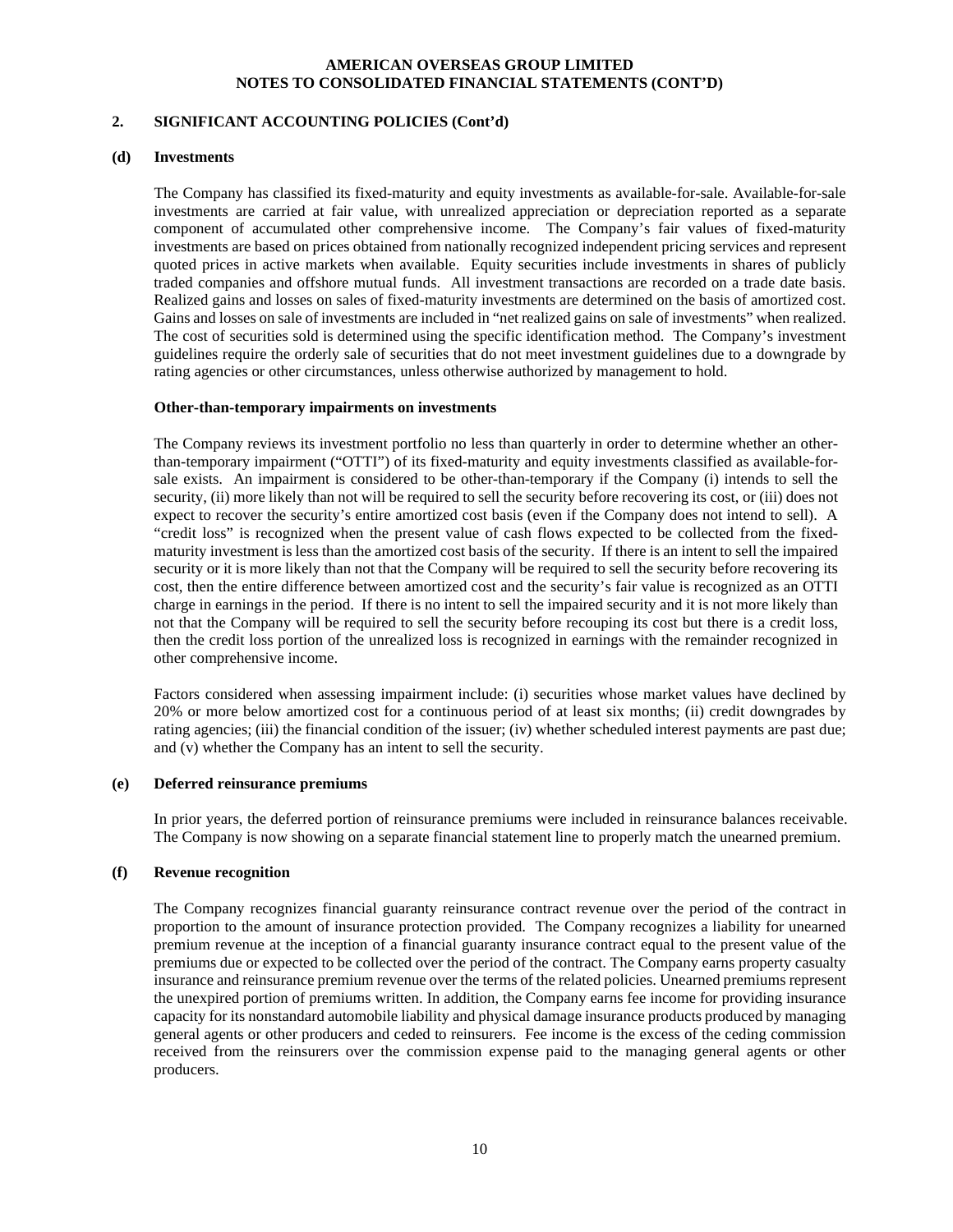# **2. SIGNIFICANT ACCOUNTING POLICIES (Cont'd)**

#### **(d) Investments**

The Company has classified its fixed-maturity and equity investments as available-for-sale. Available-for-sale investments are carried at fair value, with unrealized appreciation or depreciation reported as a separate component of accumulated other comprehensive income. The Company's fair values of fixed-maturity investments are based on prices obtained from nationally recognized independent pricing services and represent quoted prices in active markets when available. Equity securities include investments in shares of publicly traded companies and offshore mutual funds. All investment transactions are recorded on a trade date basis. Realized gains and losses on sales of fixed-maturity investments are determined on the basis of amortized cost. Gains and losses on sale of investments are included in "net realized gains on sale of investments" when realized. The cost of securities sold is determined using the specific identification method. The Company's investment guidelines require the orderly sale of securities that do not meet investment guidelines due to a downgrade by rating agencies or other circumstances, unless otherwise authorized by management to hold.

#### **Other-than-temporary impairments on investments**

The Company reviews its investment portfolio no less than quarterly in order to determine whether an otherthan-temporary impairment ("OTTI") of its fixed-maturity and equity investments classified as available-forsale exists. An impairment is considered to be other-than-temporary if the Company (i) intends to sell the security, (ii) more likely than not will be required to sell the security before recovering its cost, or (iii) does not expect to recover the security's entire amortized cost basis (even if the Company does not intend to sell). A "credit loss" is recognized when the present value of cash flows expected to be collected from the fixedmaturity investment is less than the amortized cost basis of the security. If there is an intent to sell the impaired security or it is more likely than not that the Company will be required to sell the security before recovering its cost, then the entire difference between amortized cost and the security's fair value is recognized as an OTTI charge in earnings in the period. If there is no intent to sell the impaired security and it is not more likely than not that the Company will be required to sell the security before recouping its cost but there is a credit loss, then the credit loss portion of the unrealized loss is recognized in earnings with the remainder recognized in other comprehensive income.

Factors considered when assessing impairment include: (i) securities whose market values have declined by 20% or more below amortized cost for a continuous period of at least six months; (ii) credit downgrades by rating agencies; (iii) the financial condition of the issuer; (iv) whether scheduled interest payments are past due; and (v) whether the Company has an intent to sell the security.

#### **(e) Deferred reinsurance premiums**

In prior years, the deferred portion of reinsurance premiums were included in reinsurance balances receivable. The Company is now showing on a separate financial statement line to properly match the unearned premium.

#### **(f) Revenue recognition**

The Company recognizes financial guaranty reinsurance contract revenue over the period of the contract in proportion to the amount of insurance protection provided. The Company recognizes a liability for unearned premium revenue at the inception of a financial guaranty insurance contract equal to the present value of the premiums due or expected to be collected over the period of the contract. The Company earns property casualty insurance and reinsurance premium revenue over the terms of the related policies. Unearned premiums represent the unexpired portion of premiums written. In addition, the Company earns fee income for providing insurance capacity for its nonstandard automobile liability and physical damage insurance products produced by managing general agents or other producers and ceded to reinsurers. Fee income is the excess of the ceding commission received from the reinsurers over the commission expense paid to the managing general agents or other producers.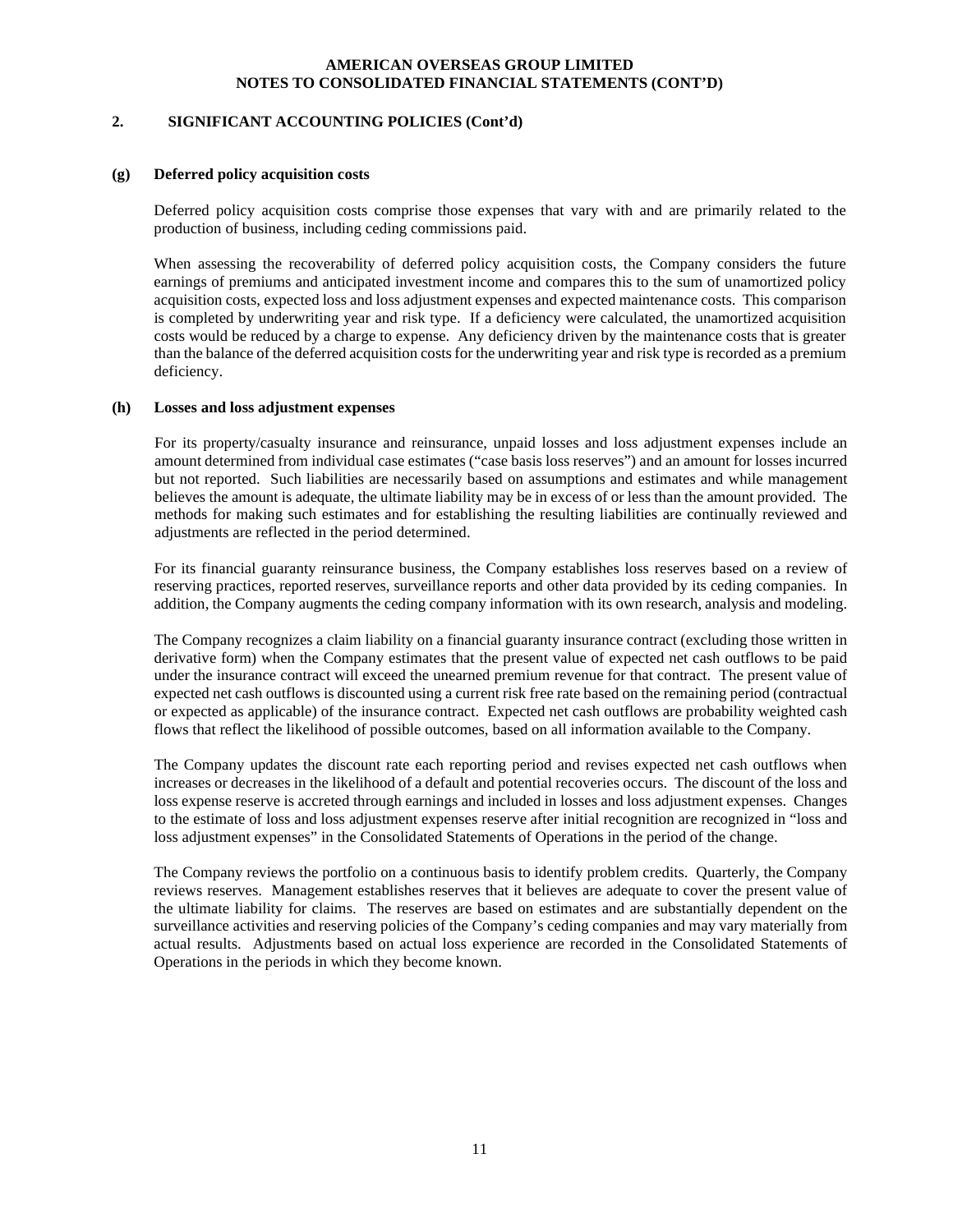# **2. SIGNIFICANT ACCOUNTING POLICIES (Cont'd)**

#### **(g) Deferred policy acquisition costs**

Deferred policy acquisition costs comprise those expenses that vary with and are primarily related to the production of business, including ceding commissions paid.

When assessing the recoverability of deferred policy acquisition costs, the Company considers the future earnings of premiums and anticipated investment income and compares this to the sum of unamortized policy acquisition costs, expected loss and loss adjustment expenses and expected maintenance costs. This comparison is completed by underwriting year and risk type. If a deficiency were calculated, the unamortized acquisition costs would be reduced by a charge to expense. Any deficiency driven by the maintenance costs that is greater than the balance of the deferred acquisition costs for the underwriting year and risk type is recorded as a premium deficiency.

#### **(h) Losses and loss adjustment expenses**

For its property/casualty insurance and reinsurance, unpaid losses and loss adjustment expenses include an amount determined from individual case estimates ("case basis loss reserves") and an amount for losses incurred but not reported. Such liabilities are necessarily based on assumptions and estimates and while management believes the amount is adequate, the ultimate liability may be in excess of or less than the amount provided. The methods for making such estimates and for establishing the resulting liabilities are continually reviewed and adjustments are reflected in the period determined.

For its financial guaranty reinsurance business, the Company establishes loss reserves based on a review of reserving practices, reported reserves, surveillance reports and other data provided by its ceding companies. In addition, the Company augments the ceding company information with its own research, analysis and modeling.

The Company recognizes a claim liability on a financial guaranty insurance contract (excluding those written in derivative form) when the Company estimates that the present value of expected net cash outflows to be paid under the insurance contract will exceed the unearned premium revenue for that contract. The present value of expected net cash outflows is discounted using a current risk free rate based on the remaining period (contractual or expected as applicable) of the insurance contract. Expected net cash outflows are probability weighted cash flows that reflect the likelihood of possible outcomes, based on all information available to the Company.

The Company updates the discount rate each reporting period and revises expected net cash outflows when increases or decreases in the likelihood of a default and potential recoveries occurs. The discount of the loss and loss expense reserve is accreted through earnings and included in losses and loss adjustment expenses. Changes to the estimate of loss and loss adjustment expenses reserve after initial recognition are recognized in "loss and loss adjustment expenses" in the Consolidated Statements of Operations in the period of the change.

The Company reviews the portfolio on a continuous basis to identify problem credits. Quarterly, the Company reviews reserves. Management establishes reserves that it believes are adequate to cover the present value of the ultimate liability for claims. The reserves are based on estimates and are substantially dependent on the surveillance activities and reserving policies of the Company's ceding companies and may vary materially from actual results. Adjustments based on actual loss experience are recorded in the Consolidated Statements of Operations in the periods in which they become known.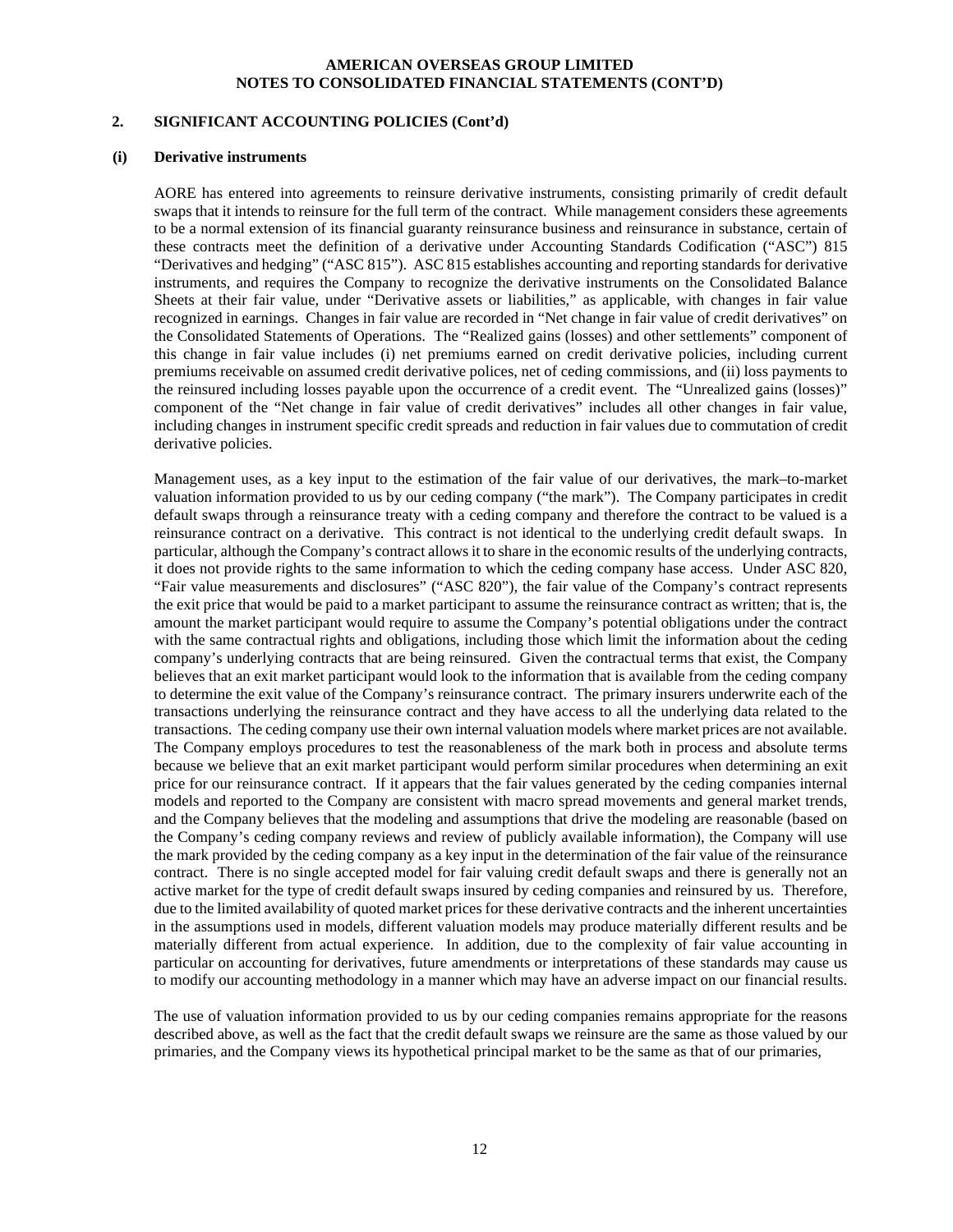#### **2. SIGNIFICANT ACCOUNTING POLICIES (Cont'd)**

#### **(i) Derivative instruments**

AORE has entered into agreements to reinsure derivative instruments, consisting primarily of credit default swaps that it intends to reinsure for the full term of the contract. While management considers these agreements to be a normal extension of its financial guaranty reinsurance business and reinsurance in substance, certain of these contracts meet the definition of a derivative under Accounting Standards Codification ("ASC") 815 "Derivatives and hedging" ("ASC 815"). ASC 815 establishes accounting and reporting standards for derivative instruments, and requires the Company to recognize the derivative instruments on the Consolidated Balance Sheets at their fair value, under "Derivative assets or liabilities," as applicable, with changes in fair value recognized in earnings. Changes in fair value are recorded in "Net change in fair value of credit derivatives" on the Consolidated Statements of Operations. The "Realized gains (losses) and other settlements" component of this change in fair value includes (i) net premiums earned on credit derivative policies, including current premiums receivable on assumed credit derivative polices, net of ceding commissions, and (ii) loss payments to the reinsured including losses payable upon the occurrence of a credit event. The "Unrealized gains (losses)" component of the "Net change in fair value of credit derivatives" includes all other changes in fair value, including changes in instrument specific credit spreads and reduction in fair values due to commutation of credit derivative policies.

Management uses, as a key input to the estimation of the fair value of our derivatives, the mark–to-market valuation information provided to us by our ceding company ("the mark"). The Company participates in credit default swaps through a reinsurance treaty with a ceding company and therefore the contract to be valued is a reinsurance contract on a derivative. This contract is not identical to the underlying credit default swaps. In particular, although the Company's contract allows it to share in the economic results of the underlying contracts, it does not provide rights to the same information to which the ceding company hase access. Under ASC 820, "Fair value measurements and disclosures" ("ASC 820"), the fair value of the Company's contract represents the exit price that would be paid to a market participant to assume the reinsurance contract as written; that is, the amount the market participant would require to assume the Company's potential obligations under the contract with the same contractual rights and obligations, including those which limit the information about the ceding company's underlying contracts that are being reinsured. Given the contractual terms that exist, the Company believes that an exit market participant would look to the information that is available from the ceding company to determine the exit value of the Company's reinsurance contract. The primary insurers underwrite each of the transactions underlying the reinsurance contract and they have access to all the underlying data related to the transactions. The ceding company use their own internal valuation models where market prices are not available. The Company employs procedures to test the reasonableness of the mark both in process and absolute terms because we believe that an exit market participant would perform similar procedures when determining an exit price for our reinsurance contract. If it appears that the fair values generated by the ceding companies internal models and reported to the Company are consistent with macro spread movements and general market trends, and the Company believes that the modeling and assumptions that drive the modeling are reasonable (based on the Company's ceding company reviews and review of publicly available information), the Company will use the mark provided by the ceding company as a key input in the determination of the fair value of the reinsurance contract. There is no single accepted model for fair valuing credit default swaps and there is generally not an active market for the type of credit default swaps insured by ceding companies and reinsured by us. Therefore, due to the limited availability of quoted market prices for these derivative contracts and the inherent uncertainties in the assumptions used in models, different valuation models may produce materially different results and be materially different from actual experience. In addition, due to the complexity of fair value accounting in particular on accounting for derivatives, future amendments or interpretations of these standards may cause us to modify our accounting methodology in a manner which may have an adverse impact on our financial results.

The use of valuation information provided to us by our ceding companies remains appropriate for the reasons described above, as well as the fact that the credit default swaps we reinsure are the same as those valued by our primaries, and the Company views its hypothetical principal market to be the same as that of our primaries,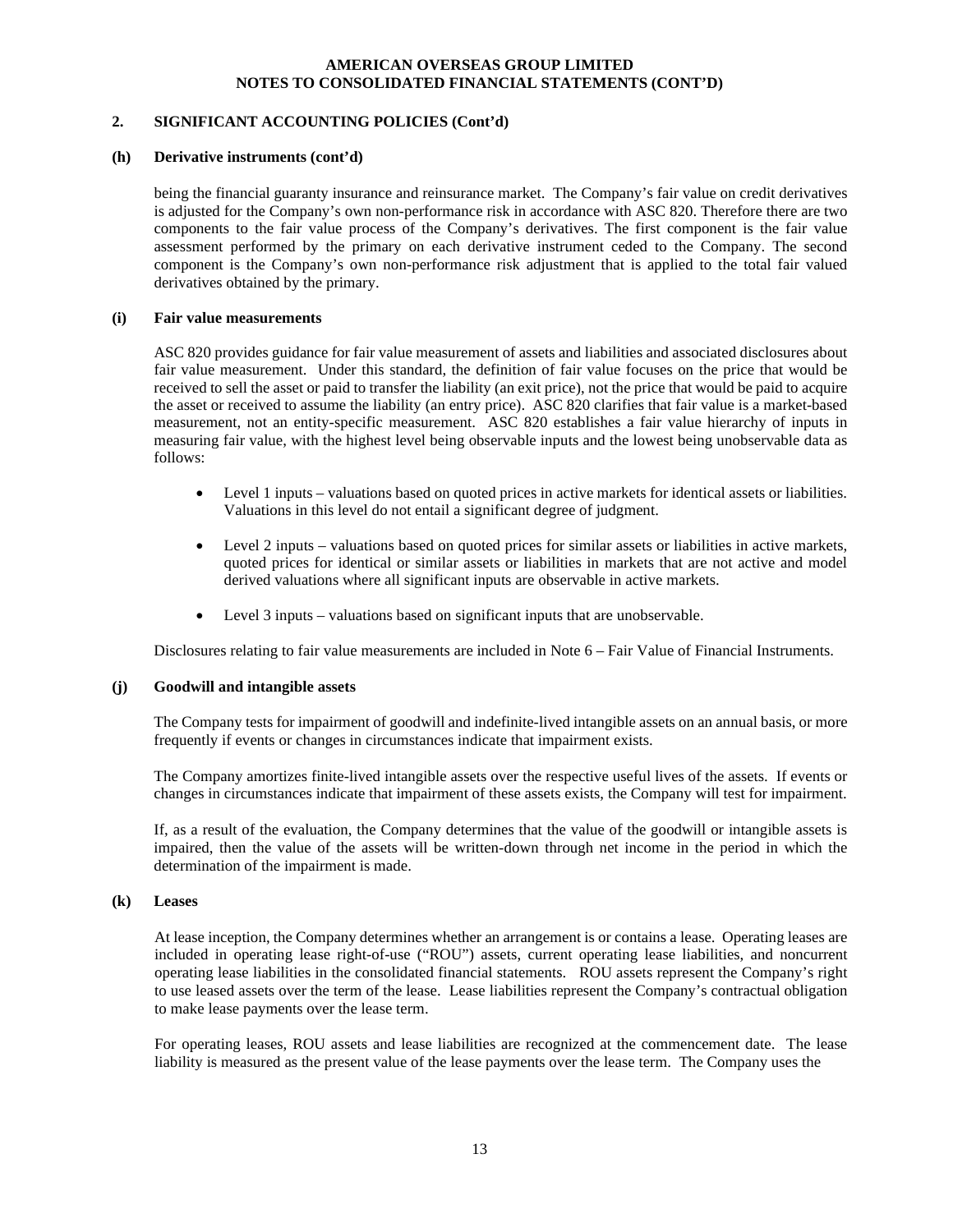#### **2. SIGNIFICANT ACCOUNTING POLICIES (Cont'd)**

#### **(h) Derivative instruments (cont'd)**

being the financial guaranty insurance and reinsurance market. The Company's fair value on credit derivatives is adjusted for the Company's own non-performance risk in accordance with ASC 820. Therefore there are two components to the fair value process of the Company's derivatives. The first component is the fair value assessment performed by the primary on each derivative instrument ceded to the Company. The second component is the Company's own non-performance risk adjustment that is applied to the total fair valued derivatives obtained by the primary.

#### **(i) Fair value measurements**

ASC 820 provides guidance for fair value measurement of assets and liabilities and associated disclosures about fair value measurement. Under this standard, the definition of fair value focuses on the price that would be received to sell the asset or paid to transfer the liability (an exit price), not the price that would be paid to acquire the asset or received to assume the liability (an entry price). ASC 820 clarifies that fair value is a market-based measurement, not an entity-specific measurement. ASC 820 establishes a fair value hierarchy of inputs in measuring fair value, with the highest level being observable inputs and the lowest being unobservable data as follows:

- Level 1 inputs valuations based on quoted prices in active markets for identical assets or liabilities. Valuations in this level do not entail a significant degree of judgment.
- Level 2 inputs valuations based on quoted prices for similar assets or liabilities in active markets, quoted prices for identical or similar assets or liabilities in markets that are not active and model derived valuations where all significant inputs are observable in active markets.
- Level 3 inputs valuations based on significant inputs that are unobservable.

Disclosures relating to fair value measurements are included in Note 6 – Fair Value of Financial Instruments.

#### **(j) Goodwill and intangible assets**

The Company tests for impairment of goodwill and indefinite-lived intangible assets on an annual basis, or more frequently if events or changes in circumstances indicate that impairment exists.

The Company amortizes finite-lived intangible assets over the respective useful lives of the assets. If events or changes in circumstances indicate that impairment of these assets exists, the Company will test for impairment.

If, as a result of the evaluation, the Company determines that the value of the goodwill or intangible assets is impaired, then the value of the assets will be written-down through net income in the period in which the determination of the impairment is made.

#### **(k) Leases**

At lease inception, the Company determines whether an arrangement is or contains a lease. Operating leases are included in operating lease right-of-use ("ROU") assets, current operating lease liabilities, and noncurrent operating lease liabilities in the consolidated financial statements. ROU assets represent the Company's right to use leased assets over the term of the lease. Lease liabilities represent the Company's contractual obligation to make lease payments over the lease term.

For operating leases, ROU assets and lease liabilities are recognized at the commencement date. The lease liability is measured as the present value of the lease payments over the lease term. The Company uses the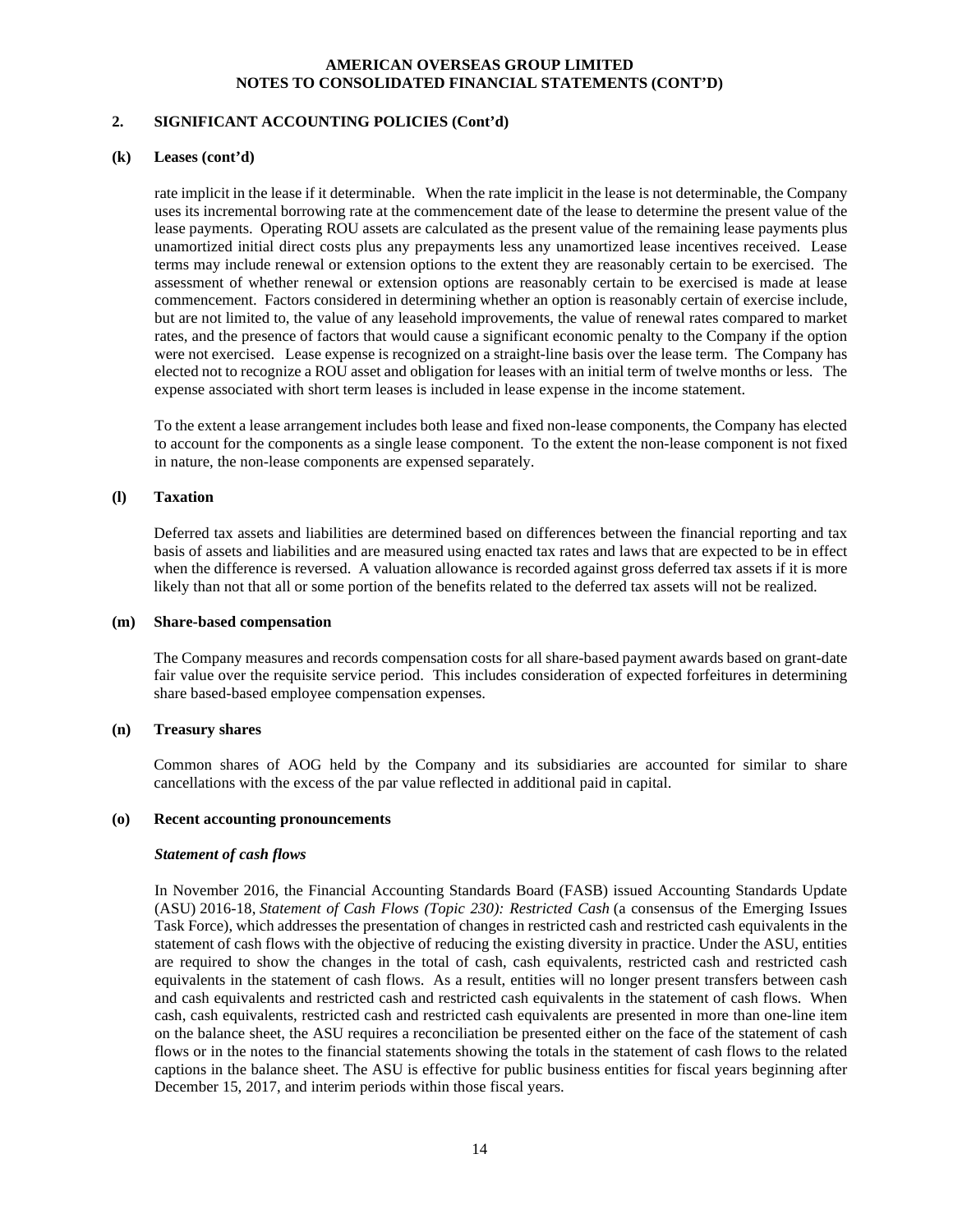# **2. SIGNIFICANT ACCOUNTING POLICIES (Cont'd)**

#### **(k) Leases (cont'd)**

rate implicit in the lease if it determinable. When the rate implicit in the lease is not determinable, the Company uses its incremental borrowing rate at the commencement date of the lease to determine the present value of the lease payments. Operating ROU assets are calculated as the present value of the remaining lease payments plus unamortized initial direct costs plus any prepayments less any unamortized lease incentives received. Lease terms may include renewal or extension options to the extent they are reasonably certain to be exercised. The assessment of whether renewal or extension options are reasonably certain to be exercised is made at lease commencement. Factors considered in determining whether an option is reasonably certain of exercise include, but are not limited to, the value of any leasehold improvements, the value of renewal rates compared to market rates, and the presence of factors that would cause a significant economic penalty to the Company if the option were not exercised. Lease expense is recognized on a straight-line basis over the lease term. The Company has elected not to recognize a ROU asset and obligation for leases with an initial term of twelve months or less. The expense associated with short term leases is included in lease expense in the income statement.

To the extent a lease arrangement includes both lease and fixed non-lease components, the Company has elected to account for the components as a single lease component. To the extent the non-lease component is not fixed in nature, the non-lease components are expensed separately.

# **(l) Taxation**

Deferred tax assets and liabilities are determined based on differences between the financial reporting and tax basis of assets and liabilities and are measured using enacted tax rates and laws that are expected to be in effect when the difference is reversed. A valuation allowance is recorded against gross deferred tax assets if it is more likely than not that all or some portion of the benefits related to the deferred tax assets will not be realized.

#### **(m) Share-based compensation**

The Company measures and records compensation costs for all share-based payment awards based on grant-date fair value over the requisite service period. This includes consideration of expected forfeitures in determining share based-based employee compensation expenses.

#### **(n) Treasury shares**

Common shares of AOG held by the Company and its subsidiaries are accounted for similar to share cancellations with the excess of the par value reflected in additional paid in capital.

#### **(o) Recent accounting pronouncements**

#### *Statement of cash flows*

In November 2016, the Financial Accounting Standards Board (FASB) issued Accounting Standards Update (ASU) 2016-18, *Statement of Cash Flows (Topic 230): Restricted Cash* (a consensus of the Emerging Issues Task Force), which addresses the presentation of changes in restricted cash and restricted cash equivalents in the statement of cash flows with the objective of reducing the existing diversity in practice. Under the ASU, entities are required to show the changes in the total of cash, cash equivalents, restricted cash and restricted cash equivalents in the statement of cash flows. As a result, entities will no longer present transfers between cash and cash equivalents and restricted cash and restricted cash equivalents in the statement of cash flows. When cash, cash equivalents, restricted cash and restricted cash equivalents are presented in more than one-line item on the balance sheet, the ASU requires a reconciliation be presented either on the face of the statement of cash flows or in the notes to the financial statements showing the totals in the statement of cash flows to the related captions in the balance sheet. The ASU is effective for public business entities for fiscal years beginning after December 15, 2017, and interim periods within those fiscal years.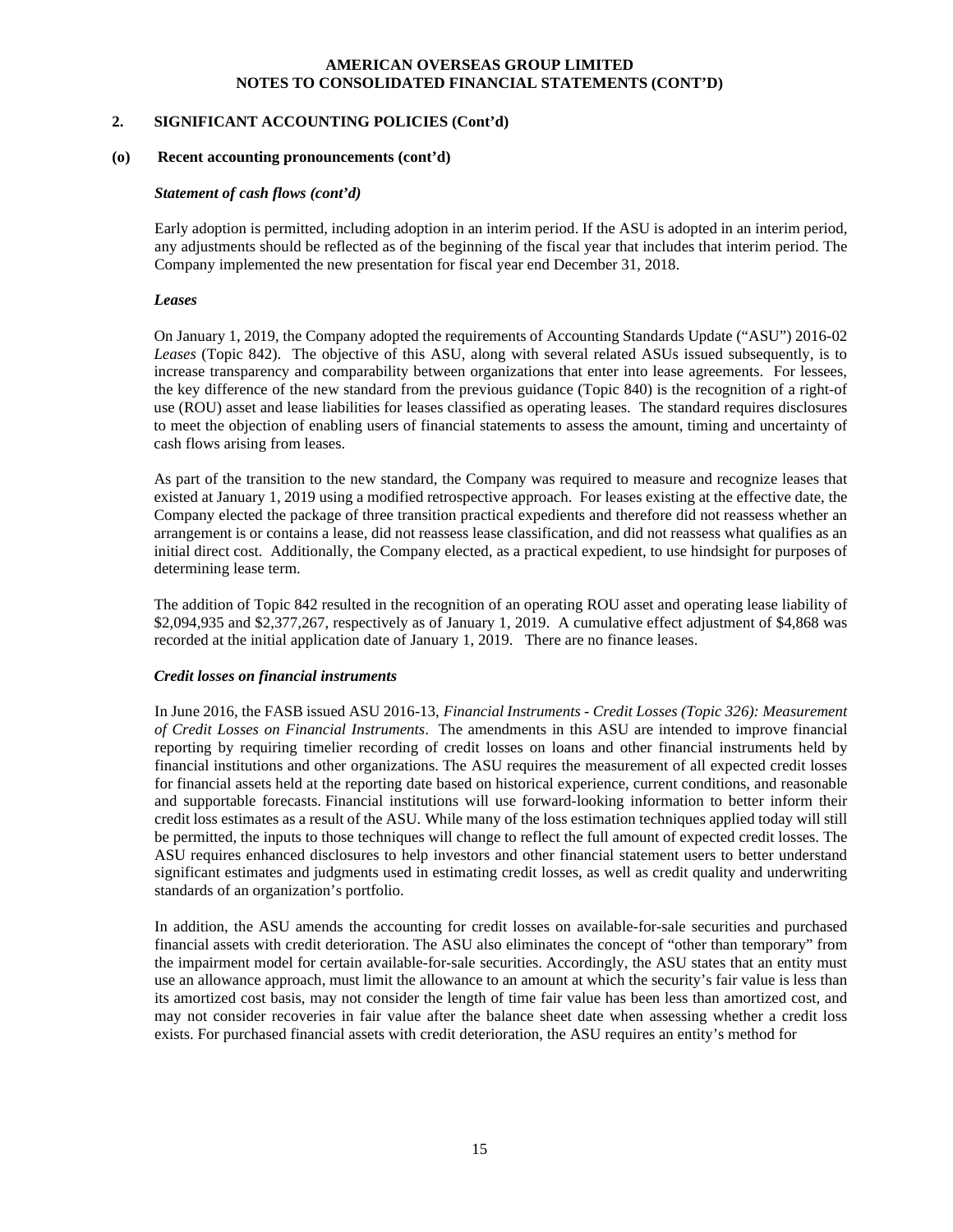#### **2. SIGNIFICANT ACCOUNTING POLICIES (Cont'd)**

#### **(o)****Recent accounting pronouncements (cont'd)**

#### *Statement of cash flows (cont'd)*

Early adoption is permitted, including adoption in an interim period. If the ASU is adopted in an interim period, any adjustments should be reflected as of the beginning of the fiscal year that includes that interim period. The Company implemented the new presentation for fiscal year end December 31, 2018.

#### *Leases*

On January 1, 2019, the Company adopted the requirements of Accounting Standards Update ("ASU") 2016-02 *Leases* (Topic 842). The objective of this ASU, along with several related ASUs issued subsequently, is to increase transparency and comparability between organizations that enter into lease agreements. For lessees, the key difference of the new standard from the previous guidance (Topic 840) is the recognition of a right-of use (ROU) asset and lease liabilities for leases classified as operating leases. The standard requires disclosures to meet the objection of enabling users of financial statements to assess the amount, timing and uncertainty of cash flows arising from leases.

As part of the transition to the new standard, the Company was required to measure and recognize leases that existed at January 1, 2019 using a modified retrospective approach. For leases existing at the effective date, the Company elected the package of three transition practical expedients and therefore did not reassess whether an arrangement is or contains a lease, did not reassess lease classification, and did not reassess what qualifies as an initial direct cost. Additionally, the Company elected, as a practical expedient, to use hindsight for purposes of determining lease term.

The addition of Topic 842 resulted in the recognition of an operating ROU asset and operating lease liability of \$2,094,935 and \$2,377,267, respectively as of January 1, 2019. A cumulative effect adjustment of \$4,868 was recorded at the initial application date of January 1, 2019. There are no finance leases.

#### *Credit losses on financial instruments*

In June 2016, the FASB issued ASU 2016-13, *Financial Instruments - Credit Losses (Topic 326): Measurement of Credit Losses on Financial Instruments*. The amendments in this ASU are intended to improve financial reporting by requiring timelier recording of credit losses on loans and other financial instruments held by financial institutions and other organizations. The ASU requires the measurement of all expected credit losses for financial assets held at the reporting date based on historical experience, current conditions, and reasonable and supportable forecasts. Financial institutions will use forward-looking information to better inform their credit loss estimates as a result of the ASU. While many of the loss estimation techniques applied today will still be permitted, the inputs to those techniques will change to reflect the full amount of expected credit losses. The ASU requires enhanced disclosures to help investors and other financial statement users to better understand significant estimates and judgments used in estimating credit losses, as well as credit quality and underwriting standards of an organization's portfolio.

In addition, the ASU amends the accounting for credit losses on available-for-sale securities and purchased financial assets with credit deterioration. The ASU also eliminates the concept of "other than temporary" from the impairment model for certain available-for-sale securities. Accordingly, the ASU states that an entity must use an allowance approach, must limit the allowance to an amount at which the security's fair value is less than its amortized cost basis, may not consider the length of time fair value has been less than amortized cost, and may not consider recoveries in fair value after the balance sheet date when assessing whether a credit loss exists. For purchased financial assets with credit deterioration, the ASU requires an entity's method for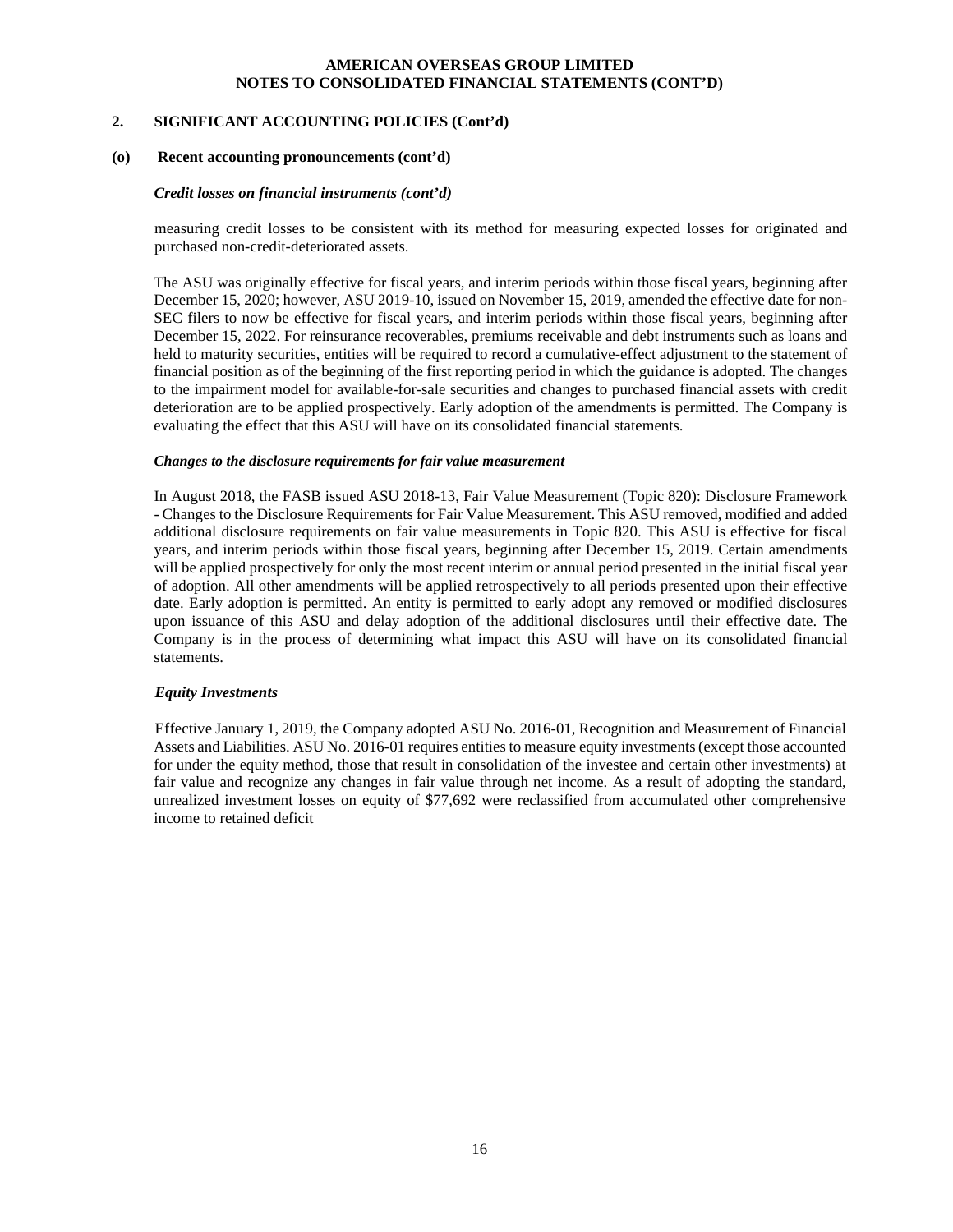#### **2. SIGNIFICANT ACCOUNTING POLICIES (Cont'd)**

#### **(o)****Recent accounting pronouncements (cont'd)**

#### *Credit losses on financial instruments (cont'd)*

measuring credit losses to be consistent with its method for measuring expected losses for originated and purchased non-credit-deteriorated assets.

The ASU was originally effective for fiscal years, and interim periods within those fiscal years, beginning after December 15, 2020; however, ASU 2019-10, issued on November 15, 2019, amended the effective date for non-SEC filers to now be effective for fiscal years, and interim periods within those fiscal years, beginning after December 15, 2022. For reinsurance recoverables, premiums receivable and debt instruments such as loans and held to maturity securities, entities will be required to record a cumulative-effect adjustment to the statement of financial position as of the beginning of the first reporting period in which the guidance is adopted. The changes to the impairment model for available-for-sale securities and changes to purchased financial assets with credit deterioration are to be applied prospectively. Early adoption of the amendments is permitted. The Company is evaluating the effect that this ASU will have on its consolidated financial statements.

#### *Changes to the disclosure requirements for fair value measurement*

In August 2018, the FASB issued ASU 2018-13, Fair Value Measurement (Topic 820): Disclosure Framework - Changes to the Disclosure Requirements for Fair Value Measurement. This ASU removed, modified and added additional disclosure requirements on fair value measurements in Topic 820. This ASU is effective for fiscal years, and interim periods within those fiscal years, beginning after December 15, 2019. Certain amendments will be applied prospectively for only the most recent interim or annual period presented in the initial fiscal year of adoption. All other amendments will be applied retrospectively to all periods presented upon their effective date. Early adoption is permitted. An entity is permitted to early adopt any removed or modified disclosures upon issuance of this ASU and delay adoption of the additional disclosures until their effective date. The Company is in the process of determining what impact this ASU will have on its consolidated financial statements.

#### *Equity Investments*

 Effective January 1, 2019, the Company adopted ASU No. 2016-01, Recognition and Measurement of Financial Assets and Liabilities. ASU No. 2016-01 requires entities to measure equity investments (except those accounted for under the equity method, those that result in consolidation of the investee and certain other investments) at fair value and recognize any changes in fair value through net income. As a result of adopting the standard, unrealized investment losses on equity of \$77,692 were reclassified from accumulated other comprehensive income to retained deficit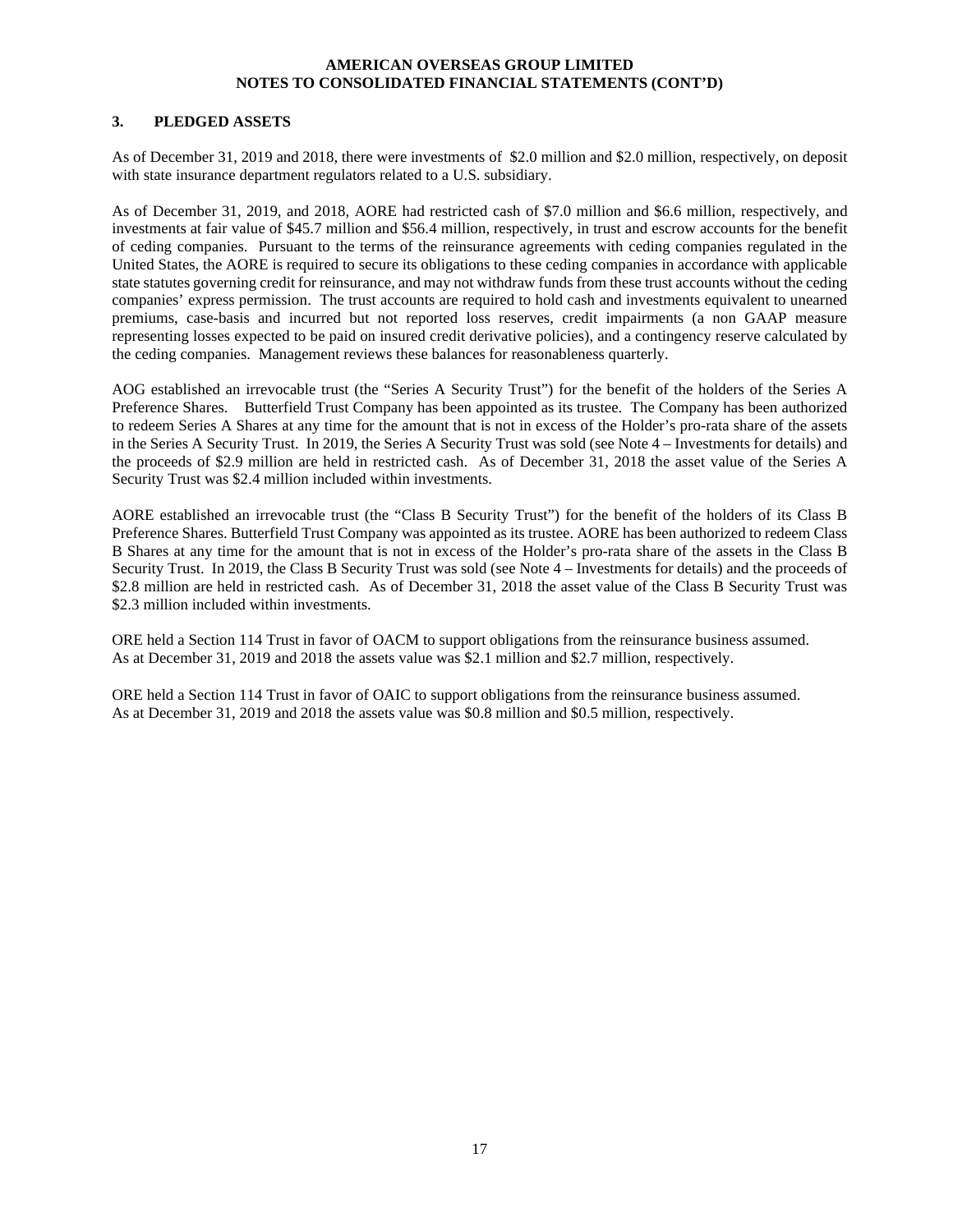#### **3. PLEDGED ASSETS**

As of December 31, 2019 and 2018, there were investments of \$2.0 million and \$2.0 million, respectively, on deposit with state insurance department regulators related to a U.S. subsidiary.

As of December 31, 2019, and 2018, AORE had restricted cash of \$7.0 million and \$6.6 million, respectively, and investments at fair value of \$45.7 million and \$56.4 million, respectively, in trust and escrow accounts for the benefit of ceding companies. Pursuant to the terms of the reinsurance agreements with ceding companies regulated in the United States, the AORE is required to secure its obligations to these ceding companies in accordance with applicable state statutes governing credit for reinsurance, and may not withdraw funds from these trust accounts without the ceding companies' express permission. The trust accounts are required to hold cash and investments equivalent to unearned premiums, case-basis and incurred but not reported loss reserves, credit impairments (a non GAAP measure representing losses expected to be paid on insured credit derivative policies), and a contingency reserve calculated by the ceding companies. Management reviews these balances for reasonableness quarterly.

AOG established an irrevocable trust (the "Series A Security Trust") for the benefit of the holders of the Series A Preference Shares. Butterfield Trust Company has been appointed as its trustee. The Company has been authorized to redeem Series A Shares at any time for the amount that is not in excess of the Holder's pro-rata share of the assets in the Series A Security Trust. In 2019, the Series A Security Trust was sold (see Note 4 – Investments for details) and the proceeds of \$2.9 million are held in restricted cash. As of December 31, 2018 the asset value of the Series A Security Trust was \$2.4 million included within investments.

AORE established an irrevocable trust (the "Class B Security Trust") for the benefit of the holders of its Class B Preference Shares. Butterfield Trust Company was appointed as its trustee. AORE has been authorized to redeem Class B Shares at any time for the amount that is not in excess of the Holder's pro-rata share of the assets in the Class B Security Trust. In 2019, the Class B Security Trust was sold (see Note 4 – Investments for details) and the proceeds of \$2.8 million are held in restricted cash. As of December 31, 2018 the asset value of the Class B Security Trust was \$2.3 million included within investments.

ORE held a Section 114 Trust in favor of OACM to support obligations from the reinsurance business assumed. As at December 31, 2019 and 2018 the assets value was \$2.1 million and \$2.7 million, respectively.

ORE held a Section 114 Trust in favor of OAIC to support obligations from the reinsurance business assumed. As at December 31, 2019 and 2018 the assets value was \$0.8 million and \$0.5 million, respectively.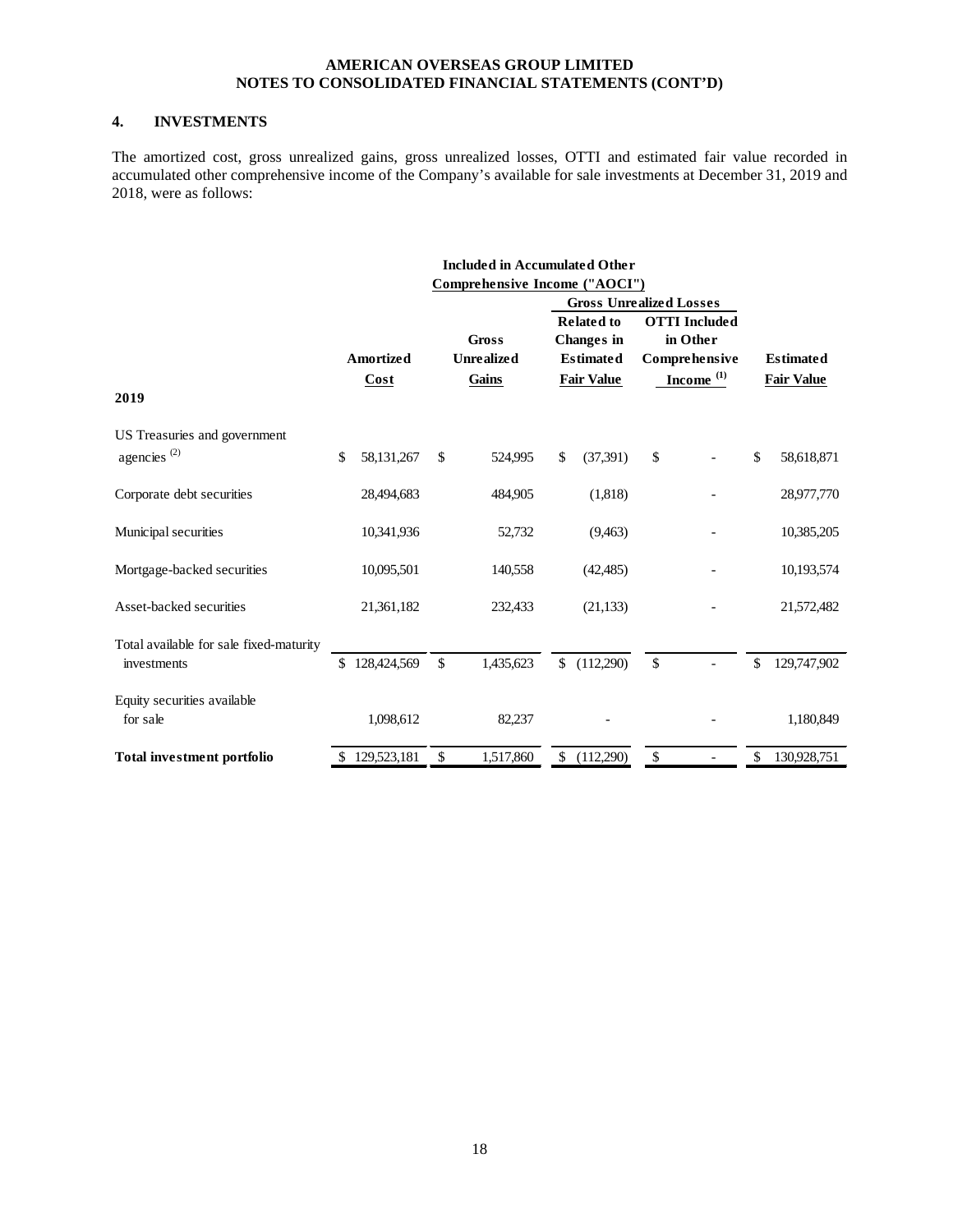# **4. INVESTMENTS**

The amortized cost, gross unrealized gains, gross unrealized losses, OTTI and estimated fair value recorded in accumulated other comprehensive income of the Company's available for sale investments at December 31, 2019 and 2018, were as follows:

|                                         |                   | <b>Included in Accumulated Other</b> |              |                                                            |                                                   |                   |
|-----------------------------------------|-------------------|--------------------------------------|--------------|------------------------------------------------------------|---------------------------------------------------|-------------------|
|                                         |                   | Comprehensive Income ("AOCI")        |              |                                                            |                                                   |                   |
|                                         |                   |                                      |              | <b>Gross Unrealized Losses</b>                             |                                                   |                   |
|                                         | <b>Amortized</b>  | <b>Gross</b><br><b>Unrealized</b>    |              | <b>Related to</b><br><b>Changes</b> in<br><b>Estimated</b> | <b>OTTI</b> Included<br>in Other<br>Comprehensive | <b>Estimated</b>  |
| 2019                                    | Cost              | Gains                                |              | <b>Fair Value</b>                                          | $Income$ <sup>(1)</sup>                           | <b>Fair Value</b> |
| US Treasuries and government            |                   |                                      |              |                                                            |                                                   |                   |
| agencies <sup><math>(2)</math></sup>    | \$<br>58,131,267  | \$<br>524,995                        | $\mathbb{S}$ | (37,391)                                                   | \$                                                | \$<br>58,618,871  |
| Corporate debt securities               | 28,494,683        | 484,905                              |              | (1,818)                                                    |                                                   | 28,977,770        |
| Municipal securities                    | 10,341,936        | 52,732                               |              | (9,463)                                                    |                                                   | 10,385,205        |
| Mortgage-backed securities              | 10,095,501        | 140,558                              |              | (42, 485)                                                  |                                                   | 10,193,574        |
| Asset-backed securities                 | 21,361,182        | 232,433                              |              | (21, 133)                                                  |                                                   | 21,572,482        |
| Total available for sale fixed-maturity |                   |                                      |              |                                                            |                                                   |                   |
| investments                             | \$<br>128,424,569 | \$<br>1,435,623                      | $\mathbb{S}$ | (112,290)                                                  | \$                                                | \$<br>129,747,902 |
| Equity securities available             |                   |                                      |              |                                                            |                                                   |                   |
| for sale                                | 1,098,612         | 82,237                               |              |                                                            |                                                   | 1,180,849         |
| <b>Total investment portfolio</b>       | \$<br>129,523,181 | \$<br>1,517,860                      | \$           | (112,290)                                                  | \$                                                | \$<br>130,928,751 |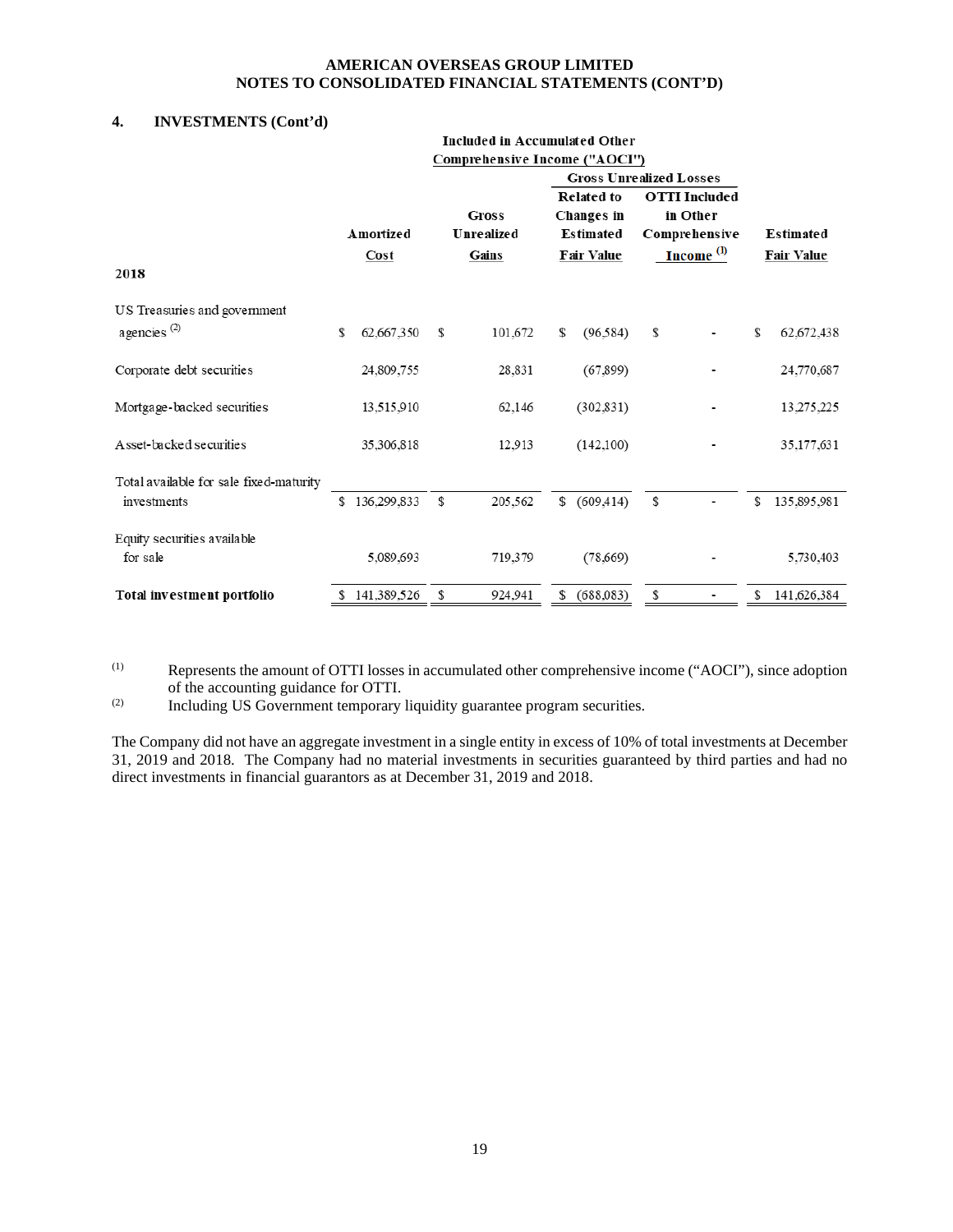# **4. INVESTMENTS (Cont'd)**

|                                         |                   | <b>Included in Accumulated Other</b><br>Comprehensive Income ("AOCI") |    |                                                                                                            |                                                                            |   |    |                                |
|-----------------------------------------|-------------------|-----------------------------------------------------------------------|----|------------------------------------------------------------------------------------------------------------|----------------------------------------------------------------------------|---|----|--------------------------------|
| 2018                                    | Amortized<br>Cost | Gross<br>Unrealized<br>Gains                                          |    | <b>Gross Unrealized Losses</b><br><b>Related to</b><br><b>Changes</b> in<br>Estimated<br><b>Fair Value</b> | <b>OTTI</b> Included<br>in Other<br>Comprehensive<br>Income <sup>(1)</sup> |   |    | Estimated<br><b>Fair Value</b> |
| US Treasuries and government            |                   |                                                                       |    |                                                                                                            |                                                                            |   |    |                                |
| agencies <sup>(2)</sup>                 | \$<br>62,667,350  | \$<br>101,672                                                         | \$ | (96,584)                                                                                                   | \$                                                                         |   | \$ | 62,672,438                     |
| Corporate debt securities               | 24,809,755        | 28,831                                                                |    | (67, 899)                                                                                                  |                                                                            |   |    | 24,770,687                     |
| Mortgage-backed securities              | 13,515,910        | 62,146                                                                |    | (302, 831)                                                                                                 |                                                                            |   |    | 13,275,225                     |
| Asset-backed securities                 | 35,306,818        | 12.913                                                                |    | (142,100)                                                                                                  |                                                                            |   |    | 35, 177, 631                   |
| Total available for sale fixed-maturity |                   |                                                                       |    |                                                                                                            |                                                                            |   |    |                                |
| investments                             | \$<br>136,299,833 | \$<br>205,562                                                         | S  | (609, 414)                                                                                                 | \$                                                                         |   | \$ | 135,895,981                    |
| Equity securities available<br>for sale | 5,089,693         | 719,379                                                               |    | (78,669)                                                                                                   |                                                                            |   |    | 5,730,403                      |
| Total investment portfolio              | \$141,389,526     | \$<br>924,941                                                         | \$ | (688,083)                                                                                                  | \$                                                                         | - | \$ | 141,626,384                    |

(1) Represents the amount of OTTI losses in accumulated other comprehensive income ("AOCI"), since adoption of the accounting guidance for OTTI.

(2) Including US Government temporary liquidity guarantee program securities.

The Company did not have an aggregate investment in a single entity in excess of 10% of total investments at December 31, 2019 and 2018. The Company had no material investments in securities guaranteed by third parties and had no direct investments in financial guarantors as at December 31, 2019 and 2018.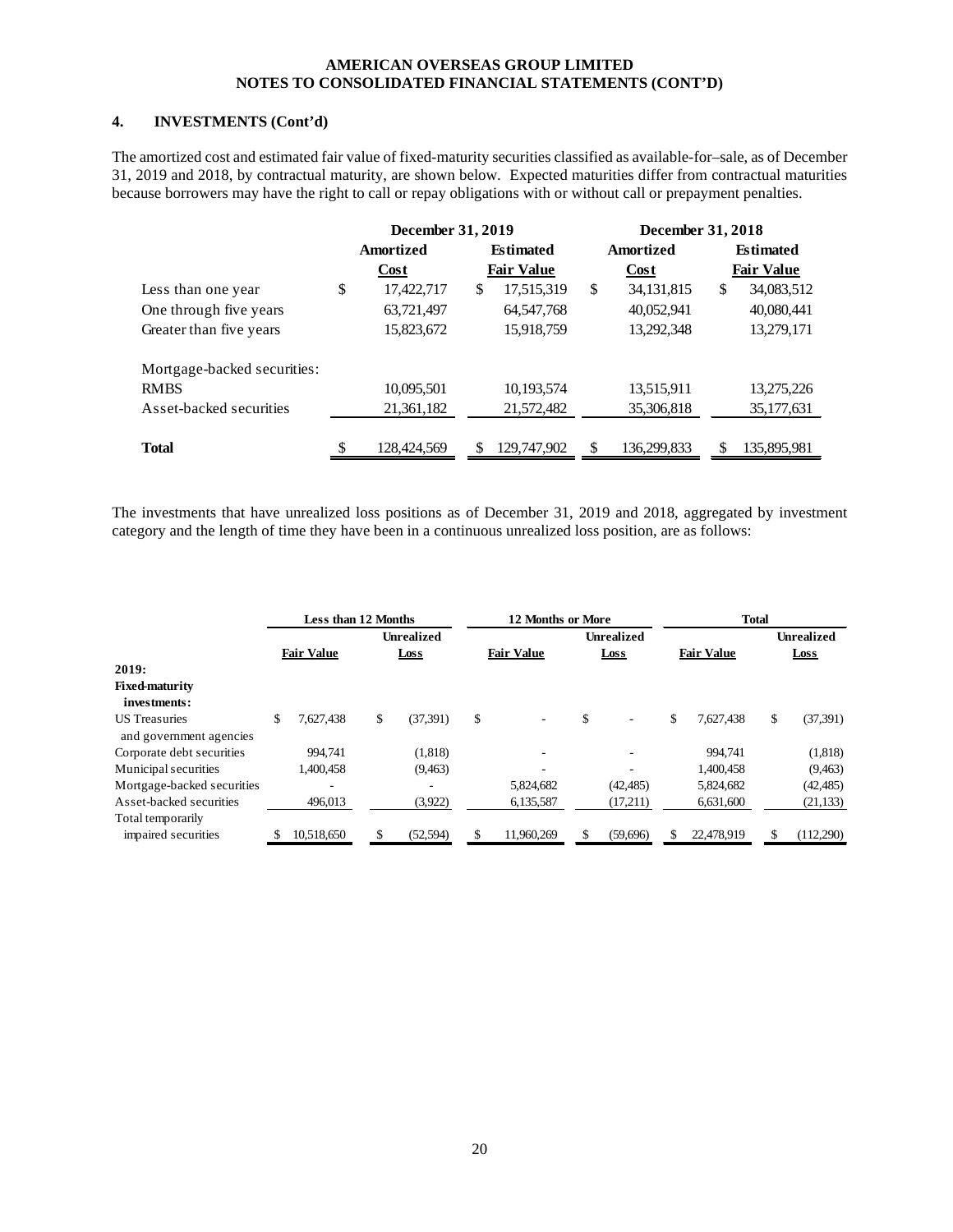# **4. INVESTMENTS (Cont'd)**

The amortized cost and estimated fair value of fixed-maturity securities classified as available-for–sale, as of December 31, 2019 and 2018, by contractual maturity, are shown below. Expected maturities differ from contractual maturities because borrowers may have the right to call or repay obligations with or without call or prepayment penalties.

|                             | December 31, 2019 |                   | December 31, 2018  |                   |
|-----------------------------|-------------------|-------------------|--------------------|-------------------|
|                             | Amortized         | <b>Estimated</b>  | <b>Amortized</b>   | <b>Estimated</b>  |
|                             | Cost              | <b>Fair Value</b> | <b>Cost</b>        | <b>Fair Value</b> |
| Less than one year          | \$<br>17,422,717  | \$<br>17,515,319  | \$<br>34, 131, 815 | \$<br>34,083,512  |
| One through five years      | 63,721,497        | 64, 547, 768      | 40,052,941         | 40,080,441        |
| Greater than five years     | 15,823,672        | 15,918,759        | 13,292,348         | 13,279,171        |
| Mortgage-backed securities: |                   |                   |                    |                   |
| <b>RMBS</b>                 | 10,095,501        | 10,193,574        | 13,515,911         | 13,275,226        |
| Asset-backed securities     | 21,361,182        | 21,572,482        | 35,306,818         | 35, 177, 631      |
|                             |                   |                   |                    |                   |
| <b>Total</b>                | \$<br>128,424,569 | 129,747,902       | \$<br>136,299,833  | \$<br>135,895,981 |

The investments that have unrealized loss positions as of December 31, 2019 and 2018, aggregated by investment category and the length of time they have been in a continuous unrealized loss position, are as follows:

|                                                 | <b>Less than 12 Months</b> |                   | 12 Months or More |                   | <b>Total</b>      |                   |           |  |  |
|-------------------------------------------------|----------------------------|-------------------|-------------------|-------------------|-------------------|-------------------|-----------|--|--|
|                                                 |                            | <b>Unrealized</b> |                   | <b>Unrealized</b> |                   | <b>Unrealized</b> |           |  |  |
|                                                 | <b>Fair Value</b>          | Loss              | <b>Fair Value</b> | Loss              | <b>Fair Value</b> |                   | Loss      |  |  |
| 2019:                                           |                            |                   |                   |                   |                   |                   |           |  |  |
| <b>Fixed-maturity</b>                           |                            |                   |                   |                   |                   |                   |           |  |  |
| investments:                                    |                            |                   |                   |                   |                   |                   |           |  |  |
| <b>US</b> Treasuries<br>and government agencies | \$<br>7.627.438            | \$<br>(37, 391)   | \$                | \$<br>$\sim$      | \$<br>7,627,438   | \$                | (37, 391) |  |  |
| Corporate debt securities                       | 994.741                    | (1, 818)          |                   |                   | 994.741           |                   | (1,818)   |  |  |
| Municipal securities                            | 1,400,458                  | (9, 463)          |                   |                   | 1,400,458         |                   | (9, 463)  |  |  |
| Mortgage-backed securities                      |                            | ۰                 | 5,824,682         | (42, 485)         | 5,824,682         |                   | (42, 485) |  |  |
| Asset-backed securities                         | 496,013                    | (3,922)           | 6,135,587         | (17,211)          | 6,631,600         |                   | (21, 133) |  |  |
| Total temporarily                               |                            |                   |                   |                   |                   |                   |           |  |  |
| impaired securities                             | 10,518,650                 | (52, 594)         | 11,960,269        | (59,696)          | 22,478,919        |                   | (112,290) |  |  |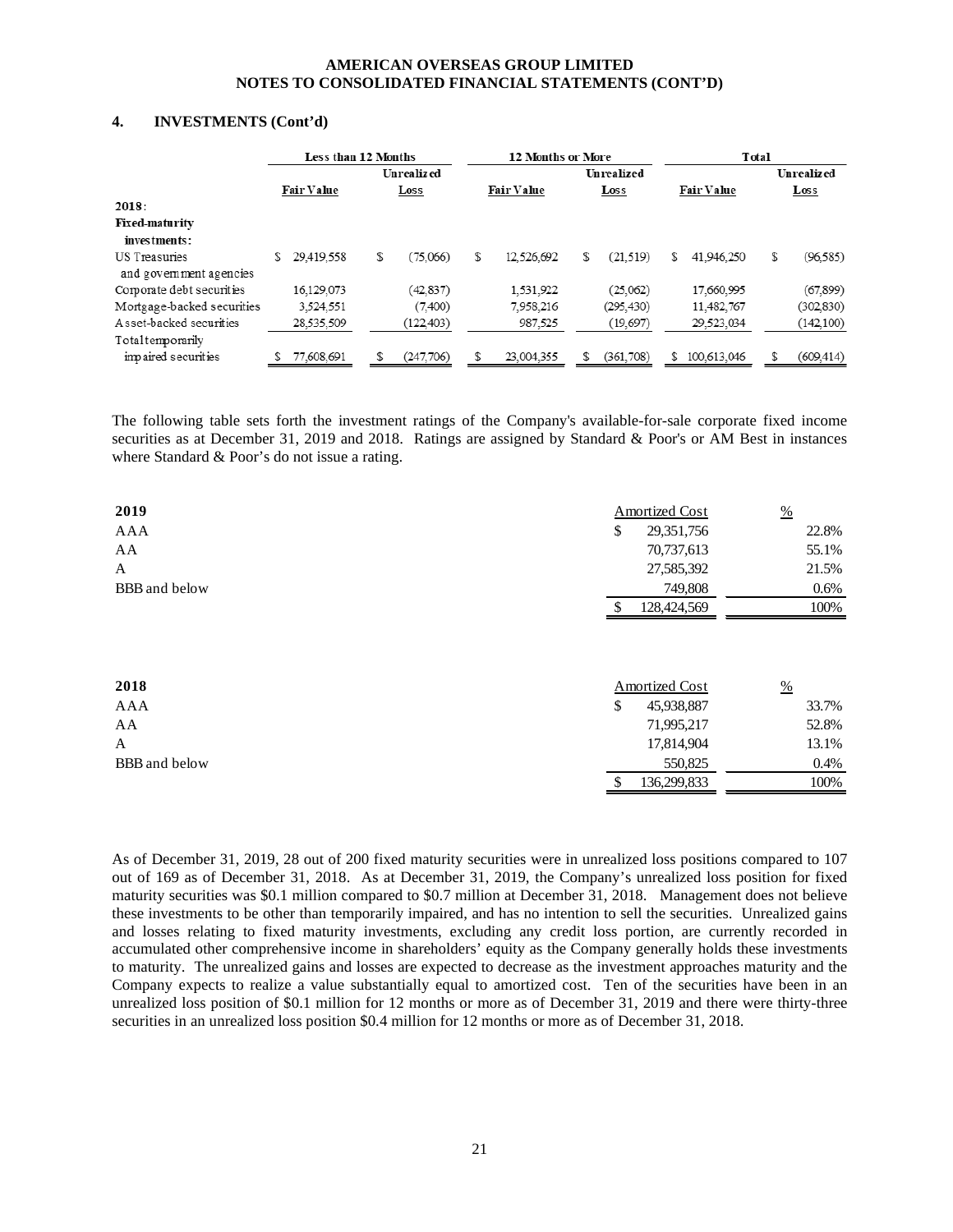#### **4. INVESTMENTS (Cont'd)**

|                                          |   | Less than 12 Months |                |   | <b>12 Months or More</b> |                 |   |                   | Total |                   |
|------------------------------------------|---|---------------------|----------------|---|--------------------------|-----------------|---|-------------------|-------|-------------------|
|                                          |   |                     | Unrealized     |   |                          | Unrealized      |   |                   |       | <b>Unrealized</b> |
|                                          |   | <b>Fair Value</b>   | Loss           |   | <b>Fair Value</b>        | Loss            |   | <b>Fair Value</b> |       | $_{\text{Loss}}$  |
| 2018:                                    |   |                     |                |   |                          |                 |   |                   |       |                   |
| <b>Fixed-maturity</b>                    |   |                     |                |   |                          |                 |   |                   |       |                   |
| investments:                             |   |                     |                |   |                          |                 |   |                   |       |                   |
| US Treasuries<br>and government agencies | S | 29.419.558          | \$<br>(75.066) | S | 12.526.692               | \$<br>(21, 519) | S | 41.946.250        | \$    | (96, 585)         |
| Corporate debt securities                |   | 16,129,073          | (42, 837)      |   | 1,531,922                | (25,062)        |   | 17,660,995        |       | (67, 899)         |
| Mortgage-backed securities               |   | 3.524.551           | (7,400)        |   | 7.958.216                | (295, 430)      |   | 11.482.767        |       | (302,830)         |
| A sset-backed securities                 |   | 28.535.509          | (122, 403)     |   | 987.525                  | (19, 697)       |   | 29.523.034        |       | (142, 100)        |
| Total temporarily                        |   |                     |                |   |                          |                 |   |                   |       |                   |
| impaired securities                      |   | 77,608,691          | (247,706)      |   | 23.004.355               | (361, 708)      | S | 100.613.046       |       | (609, 414)        |

The following table sets forth the investment ratings of the Company's available-for-sale corporate fixed income securities as at December 31, 2019 and 2018. Ratings are assigned by Standard & Poor's or AM Best in instances where Standard & Poor's do not issue a rating.

| 2019          | <b>Amortized Cost</b> | $\frac{0}{0}$ |
|---------------|-----------------------|---------------|
| AAA           | \$<br>29,351,756      | 22.8%         |
| AA            | 70,737,613            | 55.1%         |
| A             | 27,585,392            | 21.5%         |
| BBB and below | 749,808               | $0.6\%$       |
|               | 128,424,569           | 100%          |
| 2018          | <b>Amortized Cost</b> | $\frac{0}{0}$ |
| AAA           | \$<br>45,938,887      | 33.7%         |
| AA            | 71,995,217            | 52.8%         |
| A             | 17,814,904            | 13.1%         |
| BBB and below | 550,825               | $0.4\%$       |
|               | 136,299,833<br>\$     | 100%          |

As of December 31, 2019, 28 out of 200 fixed maturity securities were in unrealized loss positions compared to 107 out of 169 as of December 31, 2018. As at December 31, 2019, the Company's unrealized loss position for fixed maturity securities was \$0.1 million compared to \$0.7 million at December 31, 2018. Management does not believe these investments to be other than temporarily impaired, and has no intention to sell the securities. Unrealized gains and losses relating to fixed maturity investments, excluding any credit loss portion, are currently recorded in accumulated other comprehensive income in shareholders' equity as the Company generally holds these investments to maturity. The unrealized gains and losses are expected to decrease as the investment approaches maturity and the Company expects to realize a value substantially equal to amortized cost. Ten of the securities have been in an unrealized loss position of \$0.1 million for 12 months or more as of December 31, 2019 and there were thirty-three securities in an unrealized loss position \$0.4 million for 12 months or more as of December 31, 2018.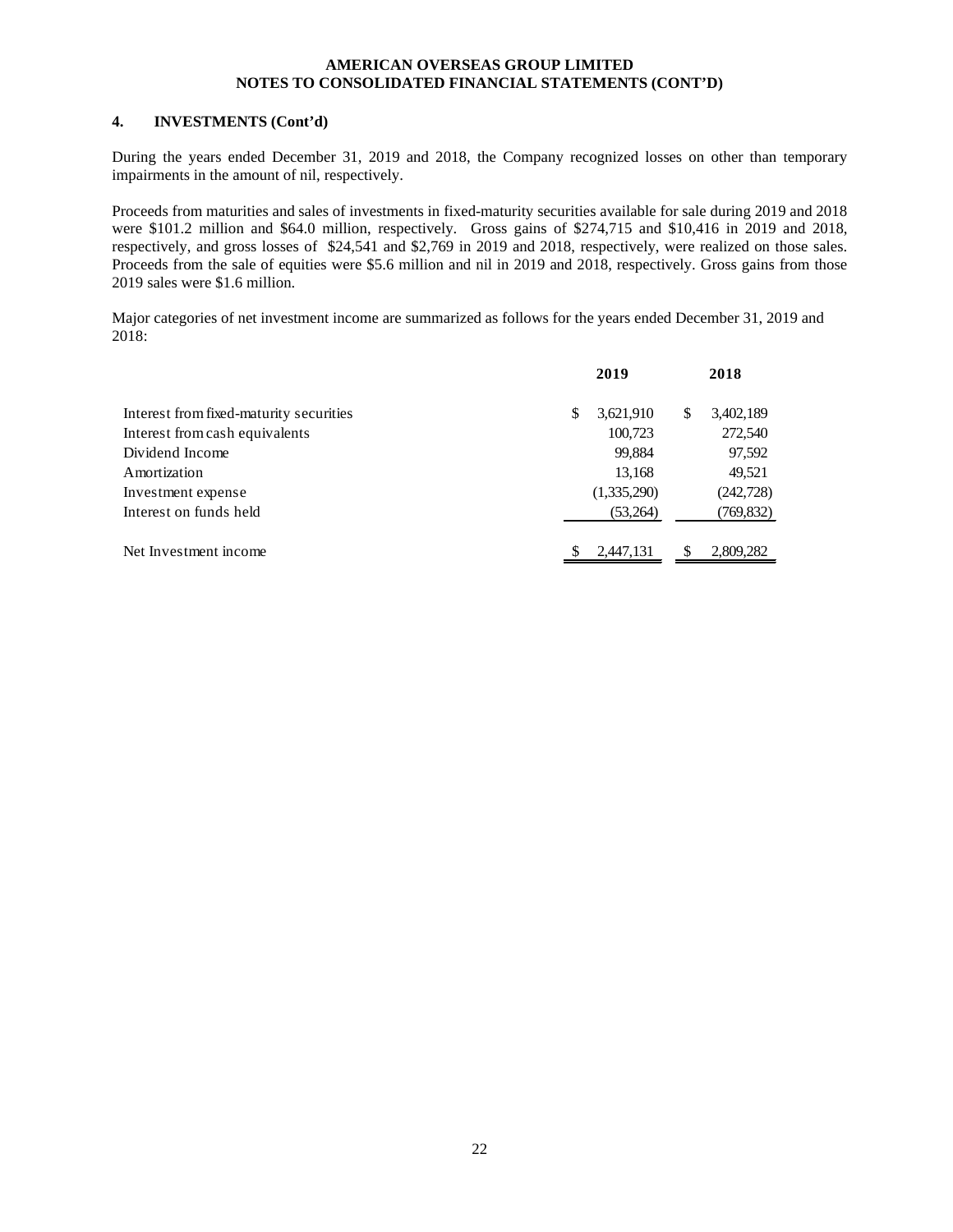# **4. INVESTMENTS (Cont'd)**

During the years ended December 31, 2019 and 2018, the Company recognized losses on other than temporary impairments in the amount of nil, respectively.

Proceeds from maturities and sales of investments in fixed-maturity securities available for sale during 2019 and 2018 were \$101.2 million and \$64.0 million, respectively. Gross gains of \$274,715 and \$10,416 in 2019 and 2018, respectively, and gross losses of \$24,541 and \$2,769 in 2019 and 2018, respectively, were realized on those sales. Proceeds from the sale of equities were \$5.6 million and nil in 2019 and 2018, respectively. Gross gains from those 2019 sales were \$1.6 million.

Major categories of net investment income are summarized as follows for the years ended December 31, 2019 and 2018:

|                                         | 2019            | 2018            |
|-----------------------------------------|-----------------|-----------------|
| Interest from fixed-maturity securities | \$<br>3,621,910 | \$<br>3,402,189 |
| Interest from cash equivalents          | 100,723         | 272,540         |
| Dividend Income                         | 99,884          | 97,592          |
| Amortization                            | 13,168          | 49,521          |
| Investment expense                      | (1,335,290)     | (242, 728)      |
| Interest on funds held                  | (53,264)        | (769,832)       |
|                                         |                 |                 |
| Net Investment income                   | 2,447,131       | 2,809,282       |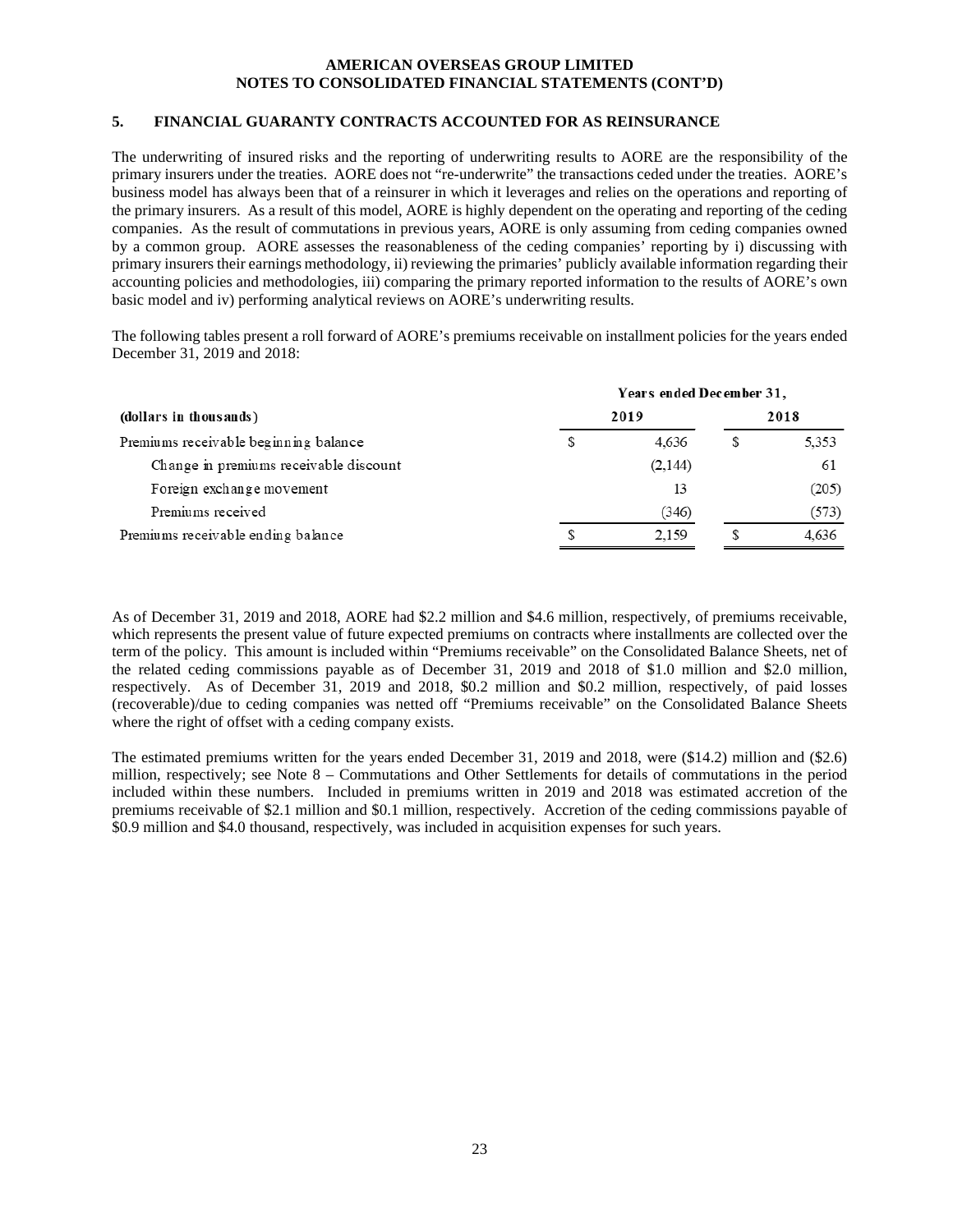#### **5. FINANCIAL GUARANTY CONTRACTS ACCOUNTED FOR AS REINSURANCE**

The underwriting of insured risks and the reporting of underwriting results to AORE are the responsibility of the primary insurers under the treaties. AORE does not "re-underwrite" the transactions ceded under the treaties. AORE's business model has always been that of a reinsurer in which it leverages and relies on the operations and reporting of the primary insurers. As a result of this model, AORE is highly dependent on the operating and reporting of the ceding companies. As the result of commutations in previous years, AORE is only assuming from ceding companies owned by a common group. AORE assesses the reasonableness of the ceding companies' reporting by i) discussing with primary insurers their earnings methodology, ii) reviewing the primaries' publicly available information regarding their accounting policies and methodologies, iii) comparing the primary reported information to the results of AORE's own basic model and iv) performing analytical reviews on AORE's underwriting results.

The following tables present a roll forward of AORE's premiums receivable on installment policies for the years ended December 31, 2019 and 2018:

|                                        | Years ended December 31, |         |   |       |  |  |  |  |  |
|----------------------------------------|--------------------------|---------|---|-------|--|--|--|--|--|
| (dollars in thous ands)                | 2019                     | 2018    |   |       |  |  |  |  |  |
| Premiums receivable beginning balance  | S                        | 4.636   |   | 5,353 |  |  |  |  |  |
| Change in premiums receivable discount |                          | (2,144) |   | 61    |  |  |  |  |  |
| Foreign exchange movement              |                          | 13      |   | (205) |  |  |  |  |  |
| Premiums received                      |                          | (346)   |   | (573) |  |  |  |  |  |
| Premiums receivable ending balance     | S                        | 2.159   | S | 4,636 |  |  |  |  |  |

As of December 31, 2019 and 2018, AORE had \$2.2 million and \$4.6 million, respectively, of premiums receivable, which represents the present value of future expected premiums on contracts where installments are collected over the term of the policy. This amount is included within "Premiums receivable" on the Consolidated Balance Sheets, net of the related ceding commissions payable as of December 31, 2019 and 2018 of \$1.0 million and \$2.0 million, respectively. As of December 31, 2019 and 2018, \$0.2 million and \$0.2 million, respectively, of paid losses (recoverable)/due to ceding companies was netted off "Premiums receivable" on the Consolidated Balance Sheets where the right of offset with a ceding company exists.

The estimated premiums written for the years ended December 31, 2019 and 2018, were (\$14.2) million and (\$2.6) million, respectively; see Note 8 – Commutations and Other Settlements for details of commutations in the period included within these numbers. Included in premiums written in 2019 and 2018 was estimated accretion of the premiums receivable of \$2.1 million and \$0.1 million, respectively. Accretion of the ceding commissions payable of \$0.9 million and \$4.0 thousand, respectively, was included in acquisition expenses for such years.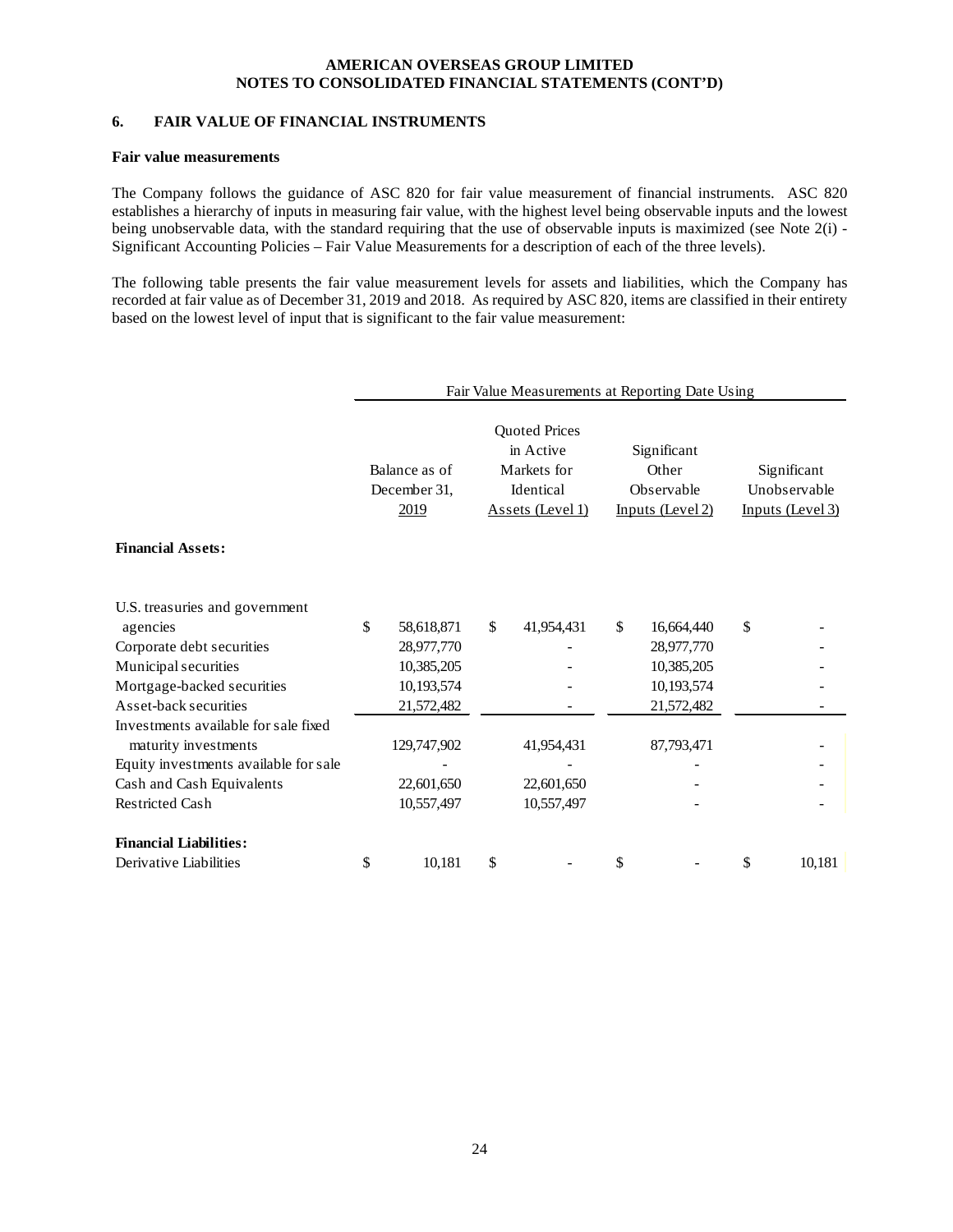# **6. FAIR VALUE OF FINANCIAL INSTRUMENTS**

#### **Fair value measurements**

The Company follows the guidance of ASC 820 for fair value measurement of financial instruments. ASC 820 establishes a hierarchy of inputs in measuring fair value, with the highest level being observable inputs and the lowest being unobservable data, with the standard requiring that the use of observable inputs is maximized (see Note  $2(i)$  -Significant Accounting Policies – Fair Value Measurements for a description of each of the three levels).

The following table presents the fair value measurement levels for assets and liabilities, which the Company has recorded at fair value as of December 31, 2019 and 2018. As required by ASC 820, items are classified in their entirety based on the lowest level of input that is significant to the fair value measurement:

|                                            |                                       |             | Fair Value Measurements at Reporting Date Using                                   |                                                        |                                                 |
|--------------------------------------------|---------------------------------------|-------------|-----------------------------------------------------------------------------------|--------------------------------------------------------|-------------------------------------------------|
|                                            | Balance as of<br>December 31,<br>2019 |             | <b>Quoted Prices</b><br>in Active<br>Markets for<br>Identical<br>Assets (Level 1) | Significant<br>Other<br>Observable<br>Inputs (Level 2) | Significant<br>Unobservable<br>Inputs (Level 3) |
| <b>Financial Assets:</b>                   |                                       |             |                                                                                   |                                                        |                                                 |
| U.S. treasuries and government<br>agencies | \$                                    | 58,618,871  | \$<br>41,954,431                                                                  | \$<br>16,664,440                                       | \$                                              |
| Corporate debt securities                  |                                       | 28,977,770  |                                                                                   | 28,977,770                                             |                                                 |
| Municipal securities                       |                                       | 10,385,205  |                                                                                   | 10,385,205                                             |                                                 |
| Mortgage-backed securities                 |                                       | 10,193,574  |                                                                                   | 10,193,574                                             |                                                 |
| Asset-back securities                      |                                       | 21,572,482  |                                                                                   | 21,572,482                                             |                                                 |
| Investments available for sale fixed       |                                       |             |                                                                                   |                                                        |                                                 |
| maturity investments                       |                                       | 129,747,902 | 41,954,431                                                                        | 87,793,471                                             |                                                 |
| Equity investments available for sale      |                                       |             |                                                                                   |                                                        |                                                 |
| Cash and Cash Equivalents                  |                                       | 22,601,650  | 22,601,650                                                                        |                                                        |                                                 |
| <b>Restricted Cash</b>                     |                                       | 10,557,497  | 10,557,497                                                                        |                                                        |                                                 |
| <b>Financial Liabilities:</b>              |                                       |             |                                                                                   |                                                        |                                                 |
| Derivative Liabilities                     | \$                                    | 10,181      | \$                                                                                | \$                                                     | \$<br>10,181                                    |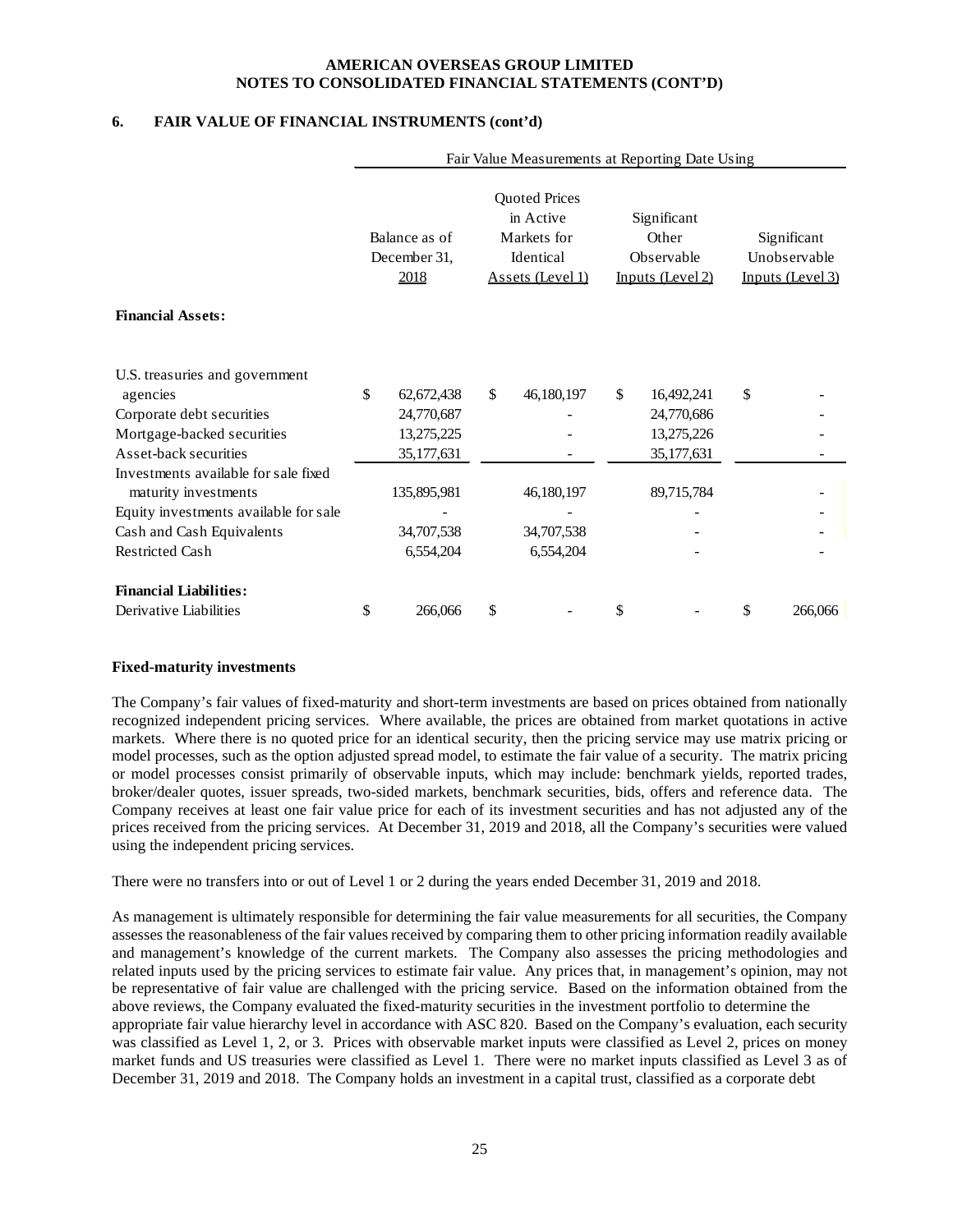# **6. FAIR VALUE OF FINANCIAL INSTRUMENTS (cont'd)**

|                                                                                                       |                                       |                                                                                   | Fair Value Measurements at Reporting Date Using        |                                                 |
|-------------------------------------------------------------------------------------------------------|---------------------------------------|-----------------------------------------------------------------------------------|--------------------------------------------------------|-------------------------------------------------|
|                                                                                                       | Balance as of<br>December 31.<br>2018 | <b>Quoted Prices</b><br>in Active<br>Markets for<br>Identical<br>Assets (Level 1) | Significant<br>Other<br>Observable<br>Inputs (Level 2) | Significant<br>Unobservable<br>Inputs (Level 3) |
| <b>Financial Assets:</b>                                                                              |                                       |                                                                                   |                                                        |                                                 |
| U.S. treasuries and government<br>agencies<br>Corporate debt securities                               | \$<br>62, 672, 438<br>24,770,687      | \$<br>46,180,197                                                                  | \$<br>16,492,241<br>24,770,686                         | \$                                              |
| Mortgage-backed securities<br>Asset-back securities                                                   | 13,275,225<br>35, 177, 631            |                                                                                   | 13,275,226<br>35,177,631                               |                                                 |
| Investments available for sale fixed<br>maturity investments<br>Equity investments available for sale | 135,895,981                           | 46,180,197                                                                        | 89,715,784                                             |                                                 |
| Cash and Cash Equivalents<br><b>Restricted Cash</b>                                                   | 34,707,538<br>6,554,204               | 34,707,538<br>6,554,204                                                           |                                                        |                                                 |
| <b>Financial Liabilities:</b><br>Derivative Liabilities                                               | \$<br>266,066                         | \$                                                                                | \$                                                     | \$<br>266,066                                   |

#### **Fixed-maturity investments**

The Company's fair values of fixed-maturity and short-term investments are based on prices obtained from nationally recognized independent pricing services. Where available, the prices are obtained from market quotations in active markets. Where there is no quoted price for an identical security, then the pricing service may use matrix pricing or model processes, such as the option adjusted spread model, to estimate the fair value of a security. The matrix pricing or model processes consist primarily of observable inputs, which may include: benchmark yields, reported trades, broker/dealer quotes, issuer spreads, two-sided markets, benchmark securities, bids, offers and reference data. The Company receives at least one fair value price for each of its investment securities and has not adjusted any of the prices received from the pricing services. At December 31, 2019 and 2018, all the Company's securities were valued using the independent pricing services.

There were no transfers into or out of Level 1 or 2 during the years ended December 31, 2019 and 2018.

As management is ultimately responsible for determining the fair value measurements for all securities, the Company assesses the reasonableness of the fair values received by comparing them to other pricing information readily available and management's knowledge of the current markets. The Company also assesses the pricing methodologies and related inputs used by the pricing services to estimate fair value. Any prices that, in management's opinion, may not be representative of fair value are challenged with the pricing service. Based on the information obtained from the above reviews, the Company evaluated the fixed-maturity securities in the investment portfolio to determine the appropriate fair value hierarchy level in accordance with ASC 820. Based on the Company's evaluation, each security was classified as Level 1, 2, or 3. Prices with observable market inputs were classified as Level 2, prices on money market funds and US treasuries were classified as Level 1. There were no market inputs classified as Level 3 as of December 31, 2019 and 2018. The Company holds an investment in a capital trust, classified as a corporate debt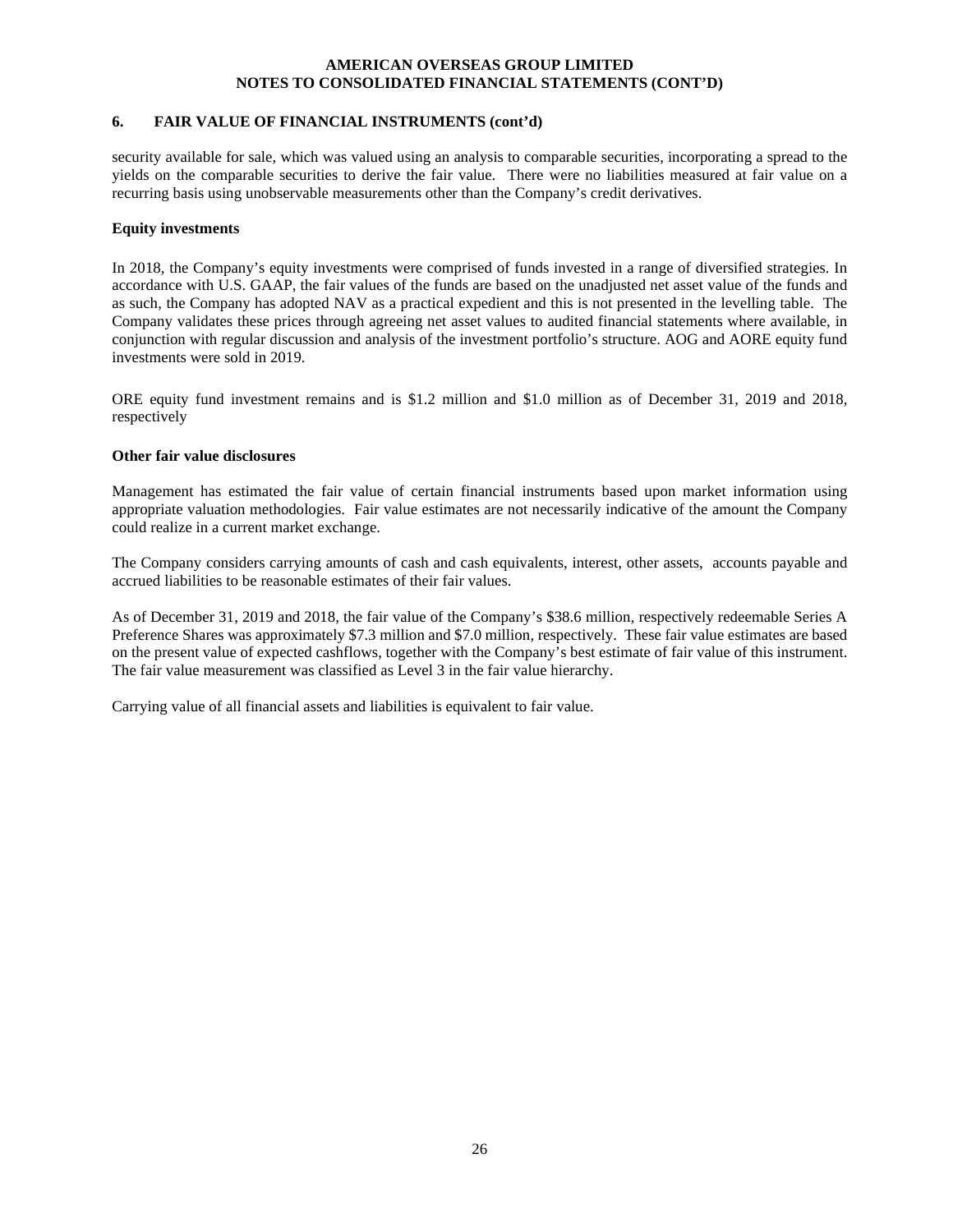# **6. FAIR VALUE OF FINANCIAL INSTRUMENTS (cont'd)**

security available for sale, which was valued using an analysis to comparable securities, incorporating a spread to the yields on the comparable securities to derive the fair value. There were no liabilities measured at fair value on a recurring basis using unobservable measurements other than the Company's credit derivatives.

#### **Equity investments**

In 2018, the Company's equity investments were comprised of funds invested in a range of diversified strategies. In accordance with U.S. GAAP, the fair values of the funds are based on the unadjusted net asset value of the funds and as such, the Company has adopted NAV as a practical expedient and this is not presented in the levelling table. The Company validates these prices through agreeing net asset values to audited financial statements where available, in conjunction with regular discussion and analysis of the investment portfolio's structure. AOG and AORE equity fund investments were sold in 2019.

ORE equity fund investment remains and is \$1.2 million and \$1.0 million as of December 31, 2019 and 2018, respectively

#### **Other fair value disclosures**

Management has estimated the fair value of certain financial instruments based upon market information using appropriate valuation methodologies. Fair value estimates are not necessarily indicative of the amount the Company could realize in a current market exchange.

The Company considers carrying amounts of cash and cash equivalents, interest, other assets, accounts payable and accrued liabilities to be reasonable estimates of their fair values.

As of December 31, 2019 and 2018, the fair value of the Company's \$38.6 million, respectively redeemable Series A Preference Shares was approximately \$7.3 million and \$7.0 million, respectively. These fair value estimates are based on the present value of expected cashflows, together with the Company's best estimate of fair value of this instrument. The fair value measurement was classified as Level 3 in the fair value hierarchy.

Carrying value of all financial assets and liabilities is equivalent to fair value.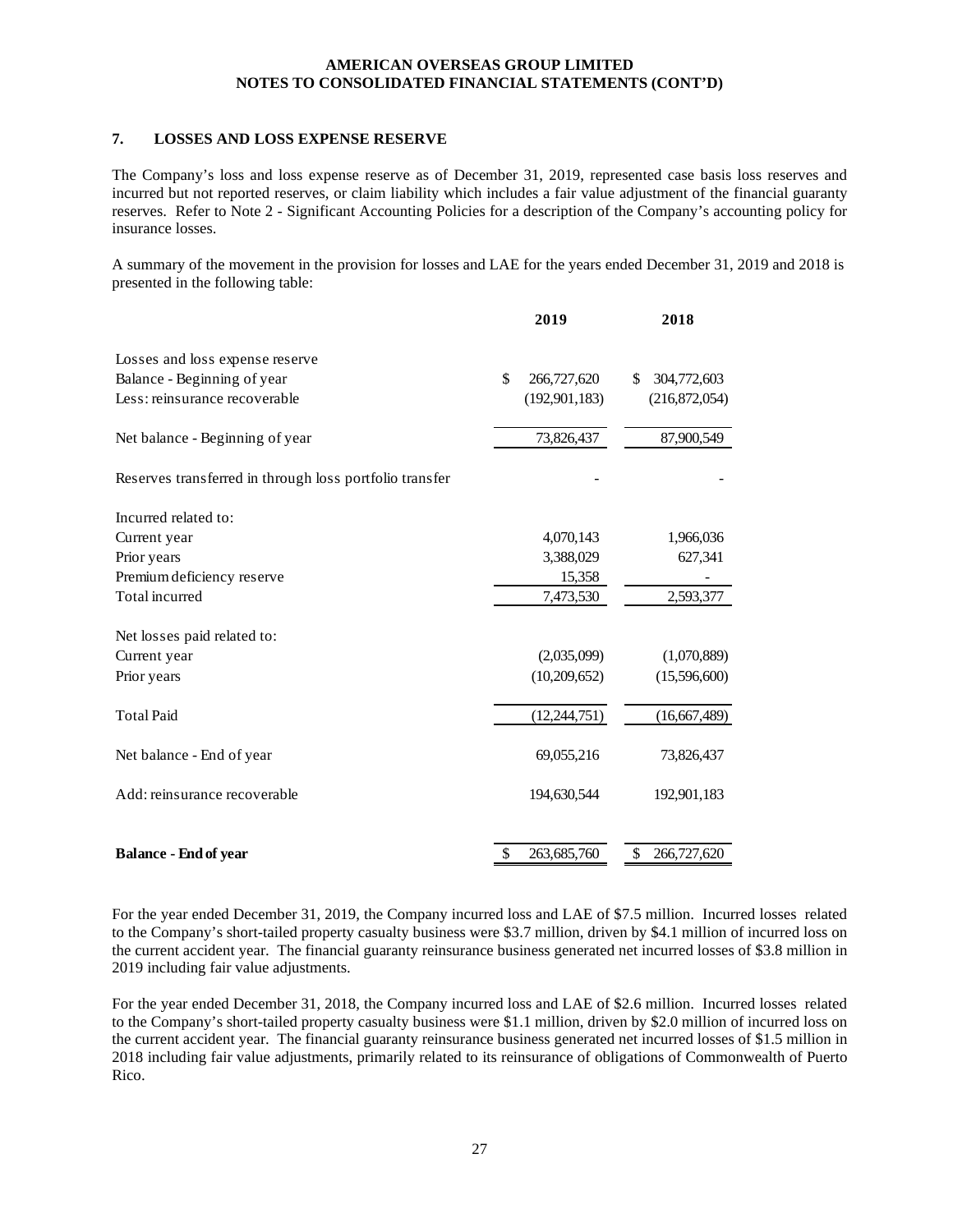# **7. LOSSES AND LOSS EXPENSE RESERVE**

The Company's loss and loss expense reserve as of December 31, 2019, represented case basis loss reserves and incurred but not reported reserves, or claim liability which includes a fair value adjustment of the financial guaranty reserves. Refer to Note 2 - Significant Accounting Policies for a description of the Company's accounting policy for insurance losses.

A summary of the movement in the provision for losses and LAE for the years ended December 31, 2019 and 2018 is presented in the following table:

|                                                         | 2019              | 2018              |
|---------------------------------------------------------|-------------------|-------------------|
| Losses and loss expense reserve                         |                   |                   |
| Balance - Beginning of year                             | \$<br>266,727,620 | 304,772,603<br>\$ |
| Less: reinsurance recoverable                           | (192, 901, 183)   | (216,872,054)     |
| Net balance - Beginning of year                         | 73,826,437        | 87,900,549        |
| Reserves transferred in through loss portfolio transfer |                   |                   |
| Incurred related to:                                    |                   |                   |
| Current year                                            | 4,070,143         | 1,966,036         |
| Prior years                                             | 3,388,029         | 627,341           |
| Premium deficiency reserve                              | 15,358            |                   |
| Total incurred                                          | 7,473,530         | 2,593,377         |
| Net losses paid related to:                             |                   |                   |
| Current year                                            | (2,035,099)       | (1,070,889)       |
| Prior years                                             | (10,209,652)      | (15,596,600)      |
| <b>Total Paid</b>                                       | (12, 244, 751)    | (16,667,489)      |
| Net balance - End of year                               | 69,055,216        | 73,826,437        |
| Add: reinsurance recoverable                            | 194,630,544       | 192,901,183       |
|                                                         |                   |                   |
| <b>Balance - End of year</b>                            | 263,685,760       | \$<br>266,727,620 |

For the year ended December 31, 2019, the Company incurred loss and LAE of \$7.5 million. Incurred losses related to the Company's short-tailed property casualty business were \$3.7 million, driven by \$4.1 million of incurred loss on the current accident year. The financial guaranty reinsurance business generated net incurred losses of \$3.8 million in 2019 including fair value adjustments.

For the year ended December 31, 2018, the Company incurred loss and LAE of \$2.6 million. Incurred losses related to the Company's short-tailed property casualty business were \$1.1 million, driven by \$2.0 million of incurred loss on the current accident year. The financial guaranty reinsurance business generated net incurred losses of \$1.5 million in 2018 including fair value adjustments, primarily related to its reinsurance of obligations of Commonwealth of Puerto Rico.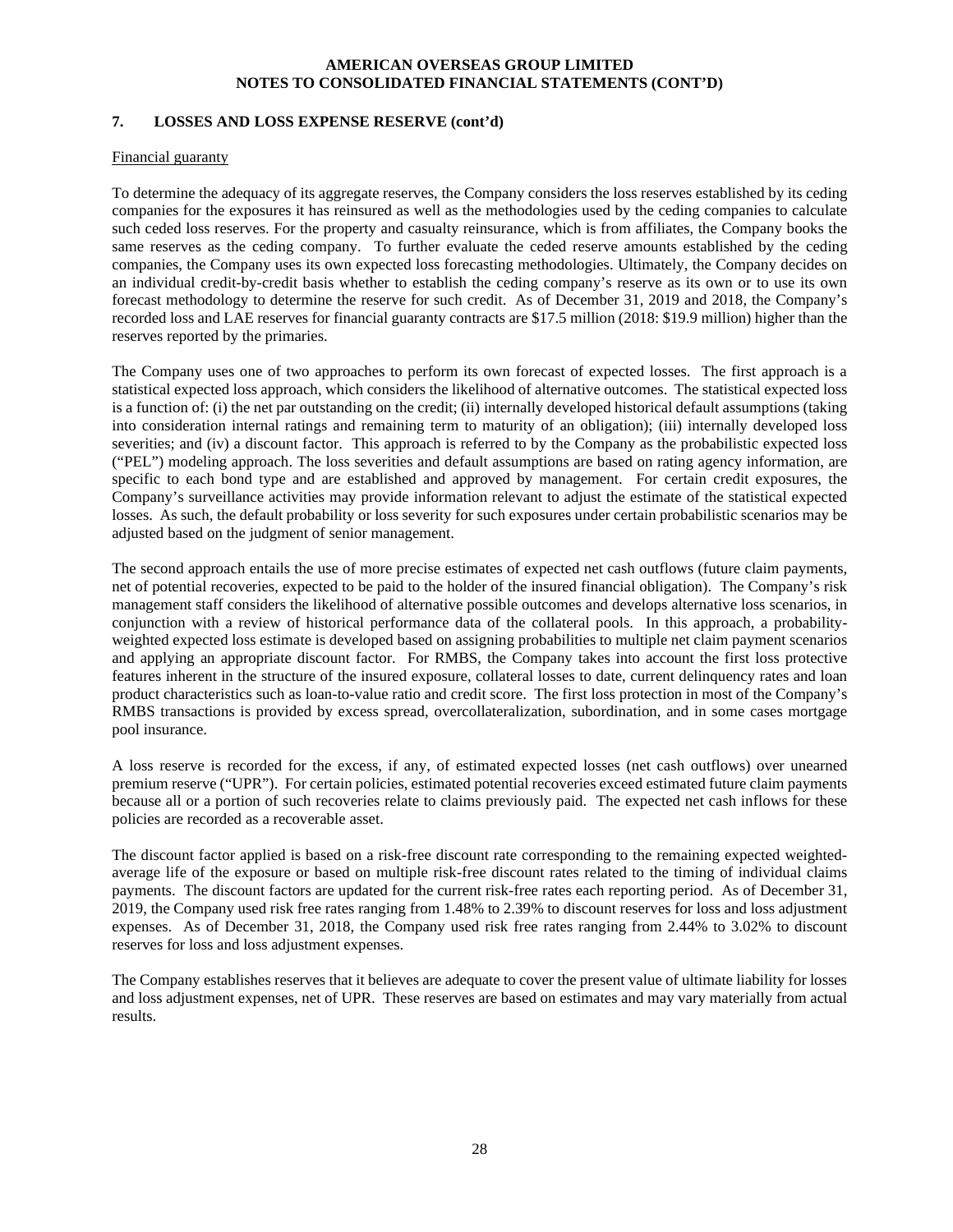# **7. LOSSES AND LOSS EXPENSE RESERVE (cont'd)**

#### Financial guaranty

To determine the adequacy of its aggregate reserves, the Company considers the loss reserves established by its ceding companies for the exposures it has reinsured as well as the methodologies used by the ceding companies to calculate such ceded loss reserves. For the property and casualty reinsurance, which is from affiliates, the Company books the same reserves as the ceding company. To further evaluate the ceded reserve amounts established by the ceding companies, the Company uses its own expected loss forecasting methodologies. Ultimately, the Company decides on an individual credit-by-credit basis whether to establish the ceding company's reserve as its own or to use its own forecast methodology to determine the reserve for such credit. As of December 31, 2019 and 2018, the Company's recorded loss and LAE reserves for financial guaranty contracts are \$17.5 million (2018: \$19.9 million) higher than the reserves reported by the primaries.

The Company uses one of two approaches to perform its own forecast of expected losses. The first approach is a statistical expected loss approach, which considers the likelihood of alternative outcomes. The statistical expected loss is a function of: (i) the net par outstanding on the credit; (ii) internally developed historical default assumptions (taking into consideration internal ratings and remaining term to maturity of an obligation); (iii) internally developed loss severities; and (iv) a discount factor. This approach is referred to by the Company as the probabilistic expected loss ("PEL") modeling approach. The loss severities and default assumptions are based on rating agency information, are specific to each bond type and are established and approved by management. For certain credit exposures, the Company's surveillance activities may provide information relevant to adjust the estimate of the statistical expected losses. As such, the default probability or loss severity for such exposures under certain probabilistic scenarios may be adjusted based on the judgment of senior management.

The second approach entails the use of more precise estimates of expected net cash outflows (future claim payments, net of potential recoveries, expected to be paid to the holder of the insured financial obligation). The Company's risk management staff considers the likelihood of alternative possible outcomes and develops alternative loss scenarios, in conjunction with a review of historical performance data of the collateral pools. In this approach, a probabilityweighted expected loss estimate is developed based on assigning probabilities to multiple net claim payment scenarios and applying an appropriate discount factor. For RMBS, the Company takes into account the first loss protective features inherent in the structure of the insured exposure, collateral losses to date, current delinquency rates and loan product characteristics such as loan-to-value ratio and credit score. The first loss protection in most of the Company's RMBS transactions is provided by excess spread, overcollateralization, subordination, and in some cases mortgage pool insurance.

A loss reserve is recorded for the excess, if any, of estimated expected losses (net cash outflows) over unearned premium reserve ("UPR"). For certain policies, estimated potential recoveries exceed estimated future claim payments because all or a portion of such recoveries relate to claims previously paid. The expected net cash inflows for these policies are recorded as a recoverable asset.

The discount factor applied is based on a risk-free discount rate corresponding to the remaining expected weightedaverage life of the exposure or based on multiple risk-free discount rates related to the timing of individual claims payments. The discount factors are updated for the current risk-free rates each reporting period. As of December 31, 2019, the Company used risk free rates ranging from 1.48% to 2.39% to discount reserves for loss and loss adjustment expenses. As of December 31, 2018, the Company used risk free rates ranging from 2.44% to 3.02% to discount reserves for loss and loss adjustment expenses.

The Company establishes reserves that it believes are adequate to cover the present value of ultimate liability for losses and loss adjustment expenses, net of UPR. These reserves are based on estimates and may vary materially from actual results.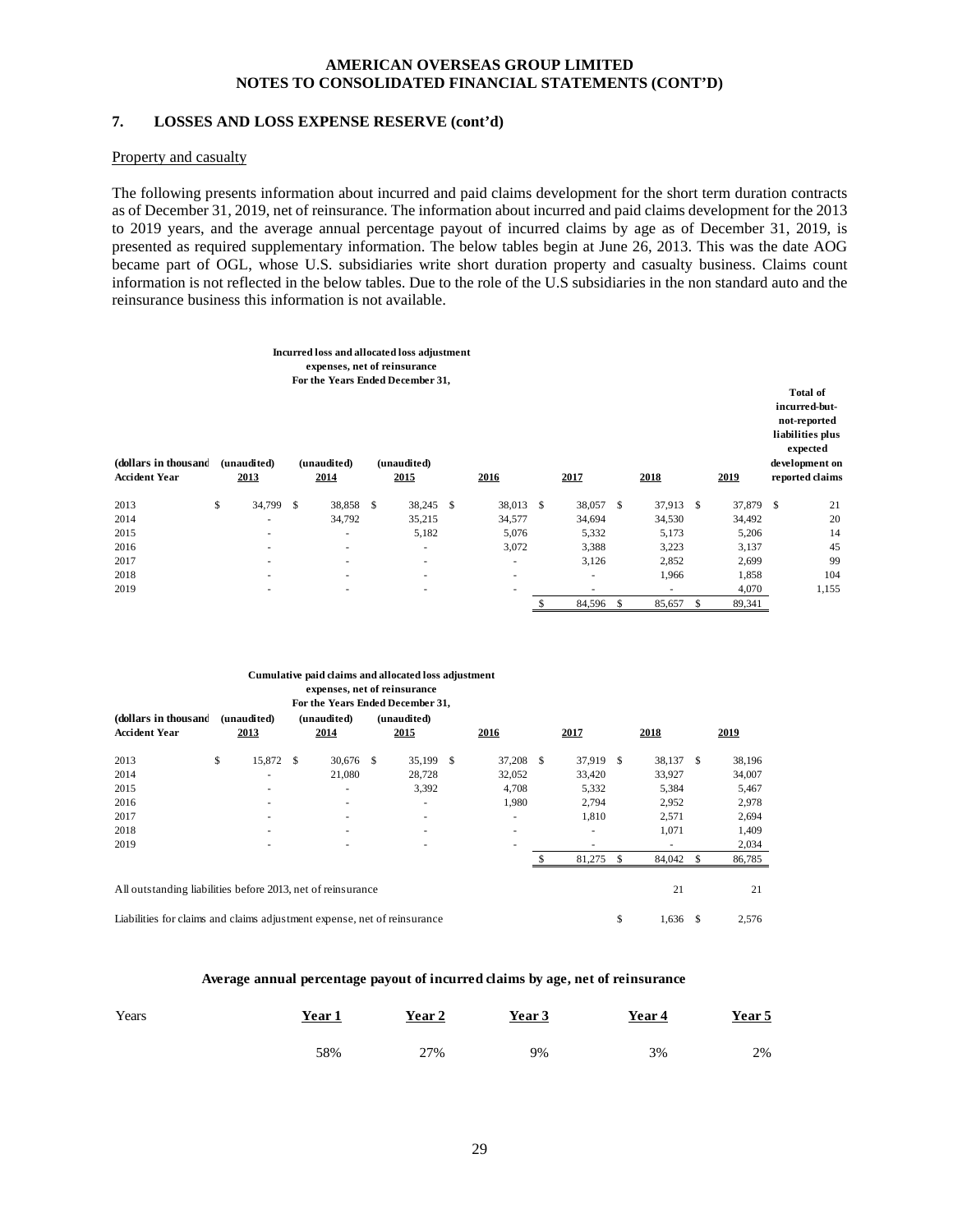# **7. LOSSES AND LOSS EXPENSE RESERVE (cont'd)**

#### Property and casualty

The following presents information about incurred and paid claims development for the short term duration contracts as of December 31, 2019, net of reinsurance. The information about incurred and paid claims development for the 2013 to 2019 years, and the average annual percentage payout of incurred claims by age as of December 31, 2019, is presented as required supplementary information. The below tables begin at June 26, 2013. This was the date AOG became part of OGL, whose U.S. subsidiaries write short duration property and casualty business. Claims count information is not reflected in the below tables. Due to the role of the U.S subsidiaries in the non standard auto and the reinsurance business this information is not available.

| (dollars in thousand<br><b>Accident Year</b> | (unaudited)<br>2013      | expenses, net of reinsurance<br>(unaudited)<br>2014 | Incurred loss and allocated loss adjustment<br>For the Years Ended December 31,<br>(unaudited)<br>2015 | 2016      | 2017                     | 2018         | 2019         | <b>Total of</b><br>incurred-but-<br>not-reported<br>liabilities plus<br>expected<br>development on<br>reported claims |
|----------------------------------------------|--------------------------|-----------------------------------------------------|--------------------------------------------------------------------------------------------------------|-----------|--------------------------|--------------|--------------|-----------------------------------------------------------------------------------------------------------------------|
| 2013                                         | \$<br>34,799 \$          | 38,858 \$                                           | 38,245 \$                                                                                              | 38,013 \$ | 38,057 \$                | 37,913 \$    | 37,879 \$    | 21                                                                                                                    |
| 2014                                         | $\overline{\phantom{a}}$ | 34,792                                              | 35,215                                                                                                 | 34,577    | 34,694                   | 34,530       | 34,492       | 20                                                                                                                    |
| 2015                                         | ٠                        | ٠                                                   | 5,182                                                                                                  | 5,076     | 5,332                    | 5,173        | 5,206        | 14                                                                                                                    |
| 2016                                         | ٠                        | ٠                                                   | ٠                                                                                                      | 3,072     | 3,388                    | 3,223        | 3,137        | 45                                                                                                                    |
| 2017                                         | ٠                        | $\sim$                                              | $\sim$                                                                                                 | ٠         | 3,126                    | 2,852        | 2,699        | 99                                                                                                                    |
| 2018                                         | ٠                        | ٠                                                   | $\sim$                                                                                                 | ٠         | ٠                        | 1,966        | 1,858        | 104                                                                                                                   |
| 2019                                         | ۰                        | ٠                                                   | $\overline{\phantom{a}}$                                                                               | ۰         | $\overline{\phantom{a}}$ | ۰            | 4,070        | 1,155                                                                                                                 |
|                                              |                          |                                                     |                                                                                                        |           | \$<br>84,596             | \$<br>85,657 | \$<br>89,341 |                                                                                                                       |

#### **expenses, net of reinsurance For the Years Ended December 31, Cumulative paid claims and allocated loss adjustment**

| (dollars in thous and<br><b>Accident Year</b>                            | (unaudited)<br>2013      |               | (unaudited)<br>2014      | (unaudited)<br>2015 | 2016   |   | 2017      | 2018         |    | 2019   |
|--------------------------------------------------------------------------|--------------------------|---------------|--------------------------|---------------------|--------|---|-----------|--------------|----|--------|
| 2013                                                                     | \$<br>15,872             | <sup>\$</sup> | 30,676 \$                | 35,199 \$           | 37,208 | S | 37,919 \$ | 38,137       | -S | 38,196 |
| 2014                                                                     | $\overline{\phantom{a}}$ |               | 21,080                   | 28.728              | 32,052 |   | 33,420    | 33,927       |    | 34,007 |
| 2015                                                                     | $\overline{\phantom{a}}$ |               | $\overline{\phantom{a}}$ | 3,392               | 4,708  |   | 5,332     | 5,384        |    | 5,467  |
| 2016                                                                     | $\overline{\phantom{a}}$ |               | $\overline{\phantom{a}}$ | ۰                   | 1,980  |   | 2,794     | 2,952        |    | 2,978  |
| 2017                                                                     |                          |               | $\overline{\phantom{a}}$ | ۰                   | ۰      |   | 1,810     | 2,571        |    | 2,694  |
| 2018                                                                     |                          |               |                          |                     | ۰      |   |           | 1,071        |    | 1,409  |
| 2019                                                                     | $\overline{\phantom{a}}$ |               |                          |                     | ۰      |   |           |              |    | 2,034  |
|                                                                          |                          |               |                          |                     |        |   | 81.275    | \$<br>84,042 |    | 86,785 |
| All outstanding liabilities before 2013, net of reinsurance              |                          |               |                          |                     |        |   |           | 21           |    | 21     |
| Liabilities for claims and claims adjustment expense, net of reinsurance |                          |               |                          |                     |        |   |           | \$<br>1.636  | S  | 2,576  |

#### **Average annual percentage payout of incurred claims by age, net of reinsurance**

| Years | <u>Year 1</u> | Year 2 | Year 3 | Year 4 | Year 5 |
|-------|---------------|--------|--------|--------|--------|
|       | 58%           | 27%    | 9%     | 3%     | 2%     |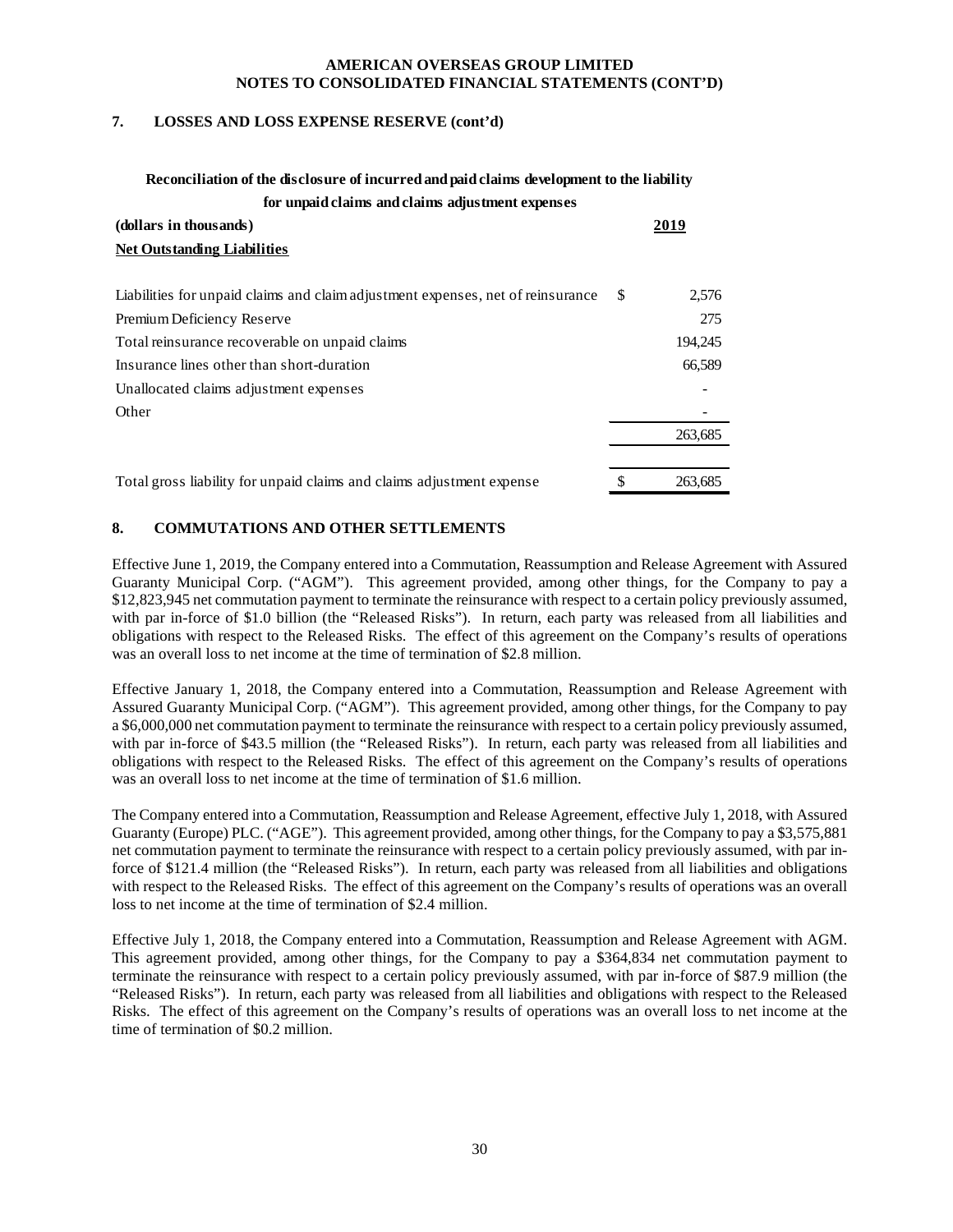#### **7. LOSSES AND LOSS EXPENSE RESERVE (cont'd)**

# **Reconciliation of the disclosure of incurred and paid claims development to the liability for unpaid claims and claims adjustment expenses**

| (dollars in thousands)                                                          | 2019          |
|---------------------------------------------------------------------------------|---------------|
| <b>Net Outstanding Liabilities</b>                                              |               |
| Liabilities for unpaid claims and claim adjustment expenses, net of reinsurance | \$<br>2,576   |
| Premium Deficiency Reserve                                                      | 275           |
| Total reinsurance recoverable on unpaid claims                                  | 194,245       |
| Insurance lines other than short-duration                                       | 66,589        |
| Unallocated claims adjustment expenses                                          |               |
| Other                                                                           |               |
|                                                                                 | 263,685       |
| Total gross liability for unpaid claims and claims adjustment expense           | \$<br>263,685 |

# **8. COMMUTATIONS AND OTHER SETTLEMENTS**

Effective June 1, 2019, the Company entered into a Commutation, Reassumption and Release Agreement with Assured Guaranty Municipal Corp. ("AGM"). This agreement provided, among other things, for the Company to pay a \$12,823,945 net commutation payment to terminate the reinsurance with respect to a certain policy previously assumed, with par in-force of \$1.0 billion (the "Released Risks"). In return, each party was released from all liabilities and obligations with respect to the Released Risks. The effect of this agreement on the Company's results of operations was an overall loss to net income at the time of termination of \$2.8 million.

Effective January 1, 2018, the Company entered into a Commutation, Reassumption and Release Agreement with Assured Guaranty Municipal Corp. ("AGM"). This agreement provided, among other things, for the Company to pay a \$6,000,000 net commutation payment to terminate the reinsurance with respect to a certain policy previously assumed, with par in-force of \$43.5 million (the "Released Risks"). In return, each party was released from all liabilities and obligations with respect to the Released Risks. The effect of this agreement on the Company's results of operations was an overall loss to net income at the time of termination of \$1.6 million.

The Company entered into a Commutation, Reassumption and Release Agreement, effective July 1, 2018, with Assured Guaranty (Europe) PLC. ("AGE"). This agreement provided, among other things, for the Company to pay a \$3,575,881 net commutation payment to terminate the reinsurance with respect to a certain policy previously assumed, with par inforce of \$121.4 million (the "Released Risks"). In return, each party was released from all liabilities and obligations with respect to the Released Risks. The effect of this agreement on the Company's results of operations was an overall loss to net income at the time of termination of \$2.4 million.

Effective July 1, 2018, the Company entered into a Commutation, Reassumption and Release Agreement with AGM. This agreement provided, among other things, for the Company to pay a \$364,834 net commutation payment to terminate the reinsurance with respect to a certain policy previously assumed, with par in-force of \$87.9 million (the "Released Risks"). In return, each party was released from all liabilities and obligations with respect to the Released Risks. The effect of this agreement on the Company's results of operations was an overall loss to net income at the time of termination of \$0.2 million.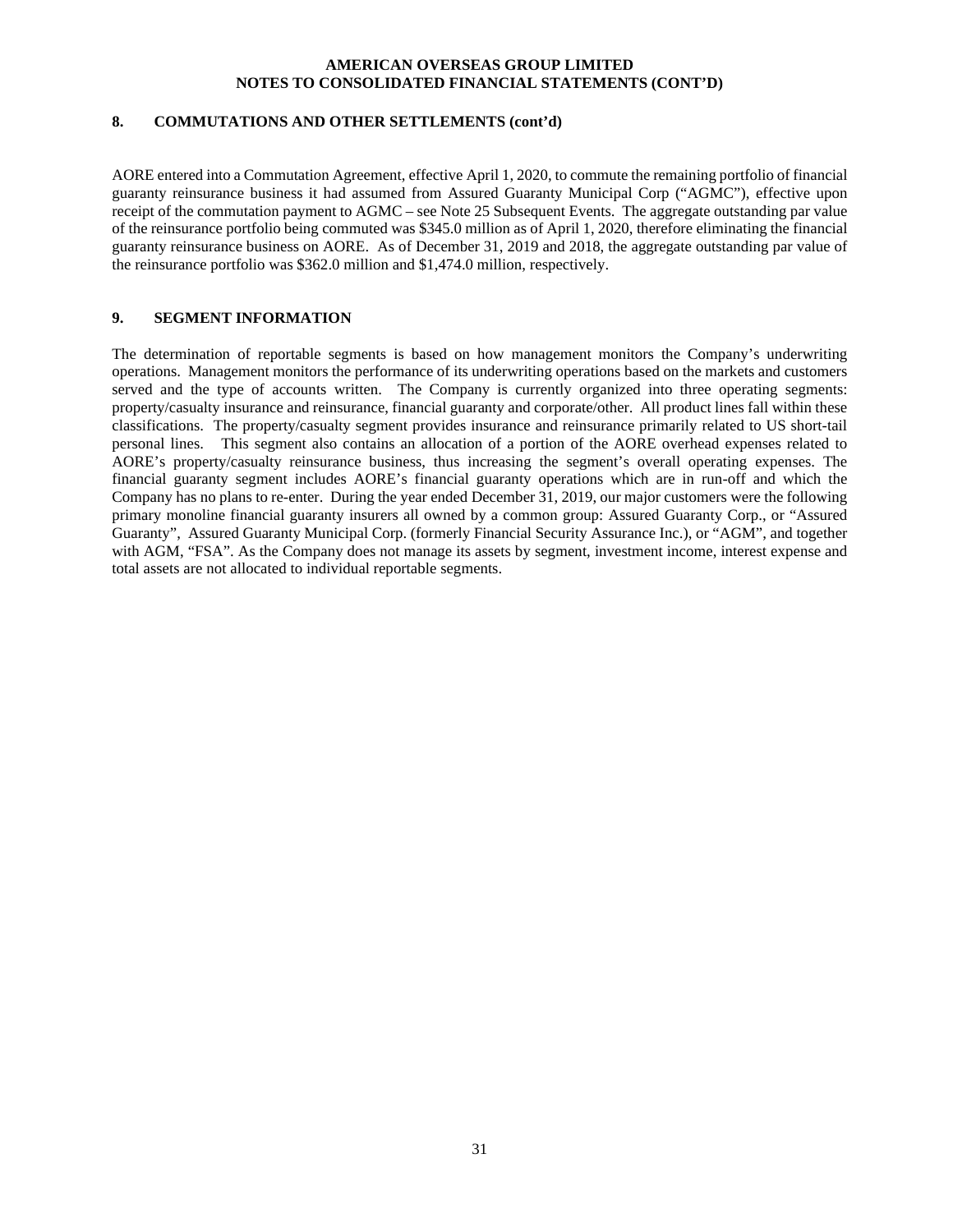# **8. COMMUTATIONS AND OTHER SETTLEMENTS (cont'd)**

AORE entered into a Commutation Agreement, effective April 1, 2020, to commute the remaining portfolio of financial guaranty reinsurance business it had assumed from Assured Guaranty Municipal Corp ("AGMC"), effective upon receipt of the commutation payment to AGMC – see Note 25 Subsequent Events. The aggregate outstanding par value of the reinsurance portfolio being commuted was \$345.0 million as of April 1, 2020, therefore eliminating the financial guaranty reinsurance business on AORE. As of December 31, 2019 and 2018, the aggregate outstanding par value of the reinsurance portfolio was \$362.0 million and \$1,474.0 million, respectively.

#### **9. SEGMENT INFORMATION**

The determination of reportable segments is based on how management monitors the Company's underwriting operations. Management monitors the performance of its underwriting operations based on the markets and customers served and the type of accounts written. The Company is currently organized into three operating segments: property/casualty insurance and reinsurance, financial guaranty and corporate/other. All product lines fall within these classifications. The property/casualty segment provides insurance and reinsurance primarily related to US short-tail personal lines. This segment also contains an allocation of a portion of the AORE overhead expenses related to AORE's property/casualty reinsurance business, thus increasing the segment's overall operating expenses. The financial guaranty segment includes AORE's financial guaranty operations which are in run-off and which the Company has no plans to re-enter. During the year ended December 31, 2019, our major customers were the following primary monoline financial guaranty insurers all owned by a common group: Assured Guaranty Corp., or "Assured Guaranty", Assured Guaranty Municipal Corp. (formerly Financial Security Assurance Inc.), or "AGM", and together with AGM, "FSA". As the Company does not manage its assets by segment, investment income, interest expense and total assets are not allocated to individual reportable segments.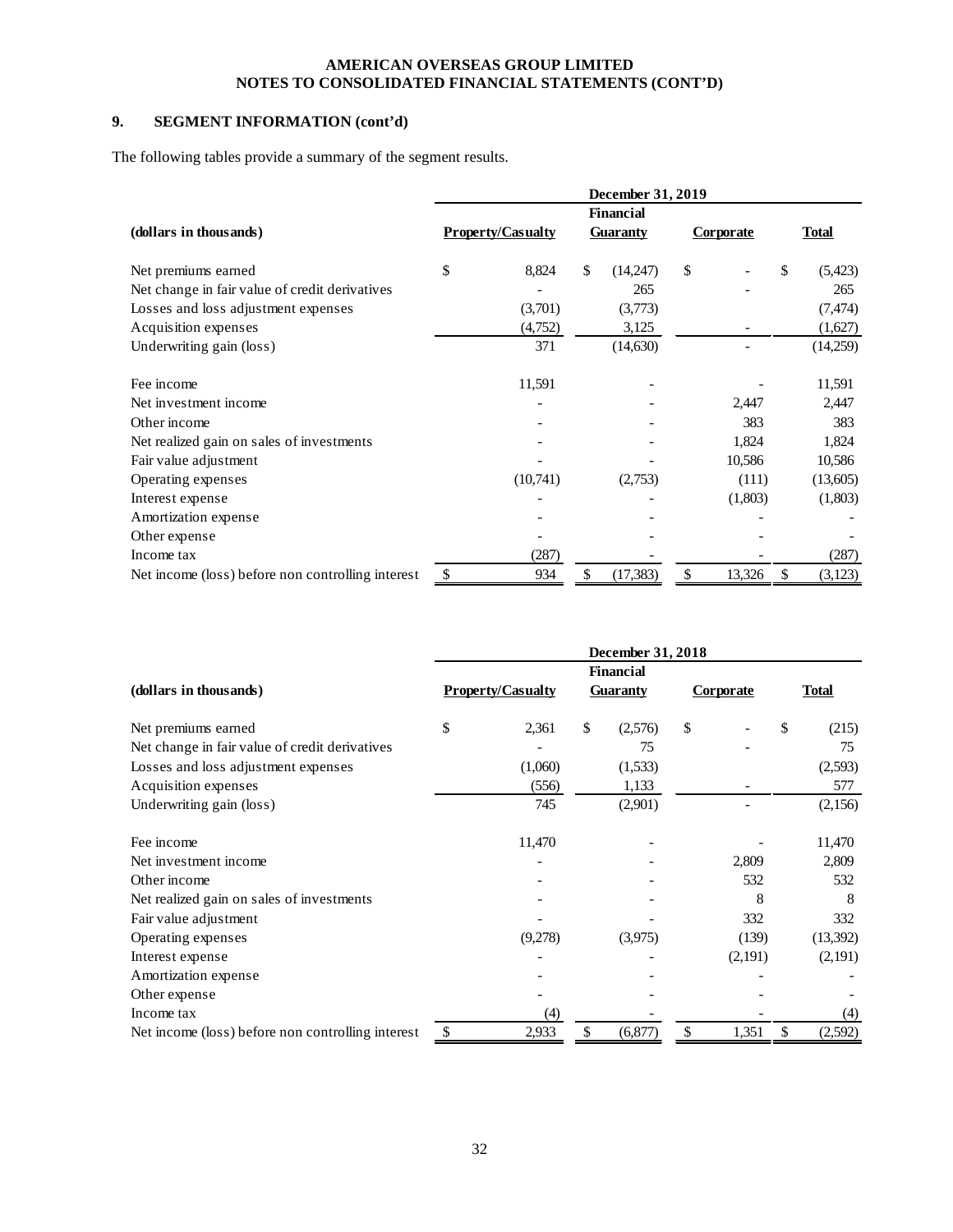# **9. SEGMENT INFORMATION (cont'd)**

The following tables provide a summary of the segment results.

|                                                   | December 31, 2019 |                          |    |                  |    |                  |    |              |  |  |
|---------------------------------------------------|-------------------|--------------------------|----|------------------|----|------------------|----|--------------|--|--|
|                                                   |                   |                          |    | <b>Financial</b> |    |                  |    |              |  |  |
| (dollars in thousands)                            |                   | <b>Property/Casualty</b> |    | <b>Guaranty</b>  |    | <b>Corporate</b> |    | <b>Total</b> |  |  |
| Net premiums earned                               | \$                | 8,824                    | \$ | (14,247)         | \$ |                  | \$ | (5, 423)     |  |  |
| Net change in fair value of credit derivatives    |                   |                          |    | 265              |    |                  |    | 265          |  |  |
| Losses and loss adjustment expenses               |                   | (3,701)                  |    | (3,773)          |    |                  |    | (7, 474)     |  |  |
| Acquisition expenses                              |                   | (4,752)                  |    | 3,125            |    |                  |    | (1,627)      |  |  |
| Underwriting gain (loss)                          |                   | 371                      |    | (14,630)         |    |                  |    | (14,259)     |  |  |
| Fee income                                        |                   | 11,591                   |    |                  |    |                  |    | 11,591       |  |  |
| Net investment income                             |                   |                          |    |                  |    | 2,447            |    | 2,447        |  |  |
| Other income                                      |                   |                          |    |                  |    | 383              |    | 383          |  |  |
| Net realized gain on sales of investments         |                   |                          |    |                  |    | 1,824            |    | 1,824        |  |  |
| Fair value adjustment                             |                   |                          |    |                  |    | 10,586           |    | 10,586       |  |  |
| Operating expenses                                |                   | (10,741)                 |    | (2,753)          |    | (111)            |    | (13,605)     |  |  |
| Interest expense                                  |                   |                          |    |                  |    | (1,803)          |    | (1,803)      |  |  |
| Amortization expense                              |                   |                          |    |                  |    |                  |    |              |  |  |
| Other expense                                     |                   |                          |    |                  |    |                  |    |              |  |  |
| Income tax                                        |                   | (287)                    |    |                  |    |                  |    | (287)        |  |  |
| Net income (loss) before non controlling interest | \$                | 934                      | \$ | (17, 383)        | \$ | 13,326           | \$ | (3, 123)     |  |  |

|                                                   | December 31, 2018 |                          |    |                  |    |           |    |              |  |  |  |
|---------------------------------------------------|-------------------|--------------------------|----|------------------|----|-----------|----|--------------|--|--|--|
|                                                   |                   |                          |    | <b>Financial</b> |    |           |    |              |  |  |  |
| (dollars in thousands)                            |                   | <b>Property/Casualty</b> |    | <b>Guaranty</b>  |    | Corporate |    | <b>Total</b> |  |  |  |
| Net premiums earned                               | \$                | 2,361                    | \$ | (2,576)          | \$ |           | \$ | (215)        |  |  |  |
| Net change in fair value of credit derivatives    |                   |                          |    | 75               |    |           |    | 75           |  |  |  |
| Losses and loss adjustment expenses               |                   | (1,060)                  |    | (1,533)          |    |           |    | (2,593)      |  |  |  |
| Acquisition expenses                              |                   | (556)                    |    | 1,133            |    |           |    | 577          |  |  |  |
| Underwriting gain (loss)                          |                   | 745                      |    | (2,901)          |    |           |    | (2,156)      |  |  |  |
| Fee income                                        |                   | 11,470                   |    |                  |    |           |    | 11,470       |  |  |  |
| Net investment income                             |                   |                          |    |                  |    | 2,809     |    | 2,809        |  |  |  |
| Other income                                      |                   |                          |    |                  |    | 532       |    | 532          |  |  |  |
| Net realized gain on sales of investments         |                   |                          |    |                  |    | 8         |    | 8            |  |  |  |
| Fair value adjustment                             |                   |                          |    |                  |    | 332       |    | 332          |  |  |  |
| Operating expenses                                |                   | (9,278)                  |    | (3,975)          |    | (139)     |    | (13,392)     |  |  |  |
| Interest expense                                  |                   |                          |    |                  |    | (2,191)   |    | (2,191)      |  |  |  |
| Amortization expense                              |                   |                          |    |                  |    |           |    |              |  |  |  |
| Other expense                                     |                   |                          |    |                  |    |           |    |              |  |  |  |
| Income tax                                        |                   | (4)                      |    |                  |    |           |    | (4)          |  |  |  |
| Net income (loss) before non controlling interest | \$                | 2,933                    | \$ | (6, 877)         | \$ | 1,351     | \$ | (2,592)      |  |  |  |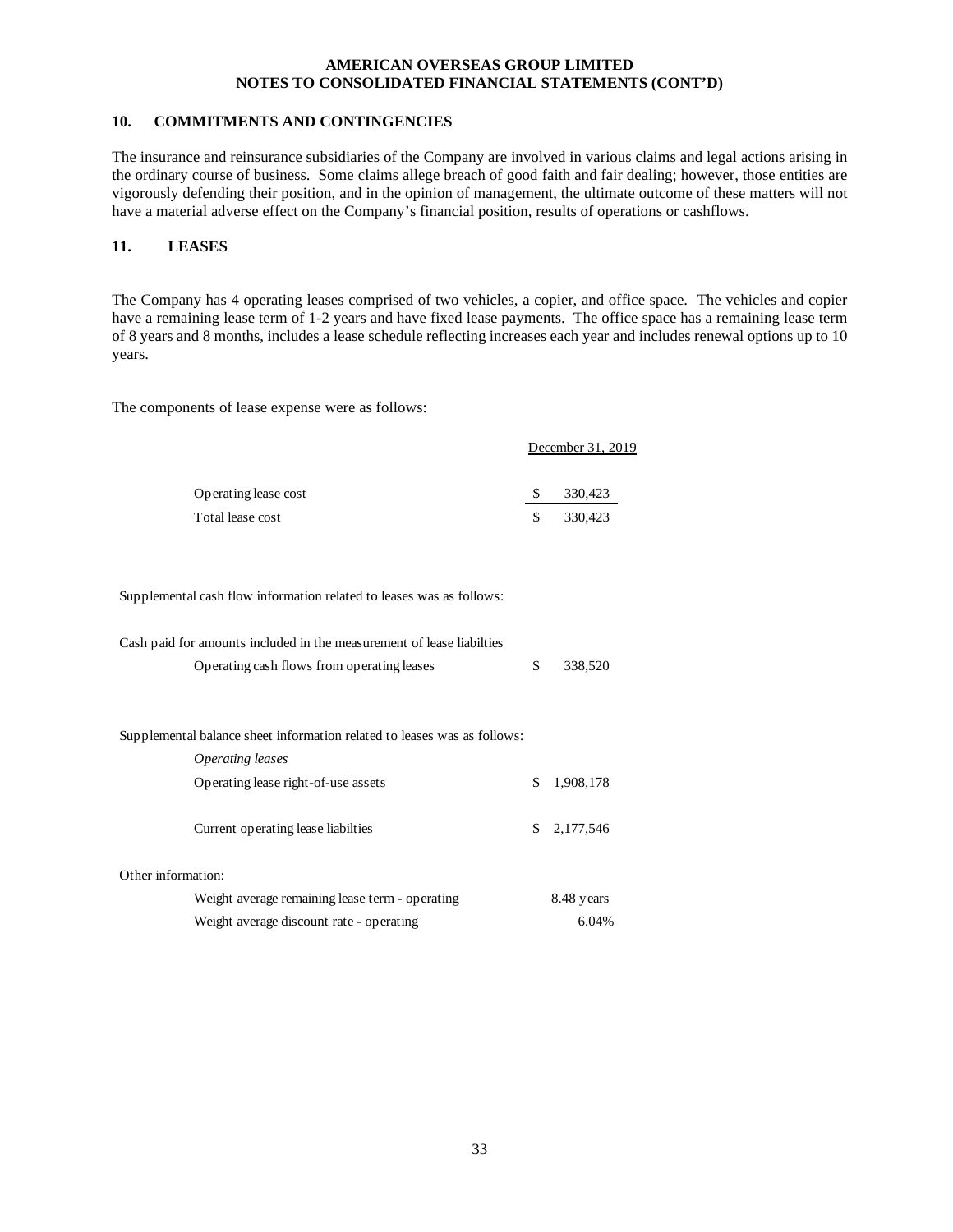# **10. COMMITMENTS AND CONTINGENCIES**

The insurance and reinsurance subsidiaries of the Company are involved in various claims and legal actions arising in the ordinary course of business. Some claims allege breach of good faith and fair dealing; however, those entities are vigorously defending their position, and in the opinion of management, the ultimate outcome of these matters will not have a material adverse effect on the Company's financial position, results of operations or cashflows.

# **11. LEASES**

The Company has 4 operating leases comprised of two vehicles, a copier, and office space. The vehicles and copier have a remaining lease term of 1-2 years and have fixed lease payments. The office space has a remaining lease term of 8 years and 8 months, includes a lease schedule reflecting increases each year and includes renewal options up to 10 years.

The components of lease expense were as follows:

|                      |    | December 31, 2019 |  |
|----------------------|----|-------------------|--|
| Operating lease cost |    | 330,423           |  |
| Total lease cost     | £. | 330.423           |  |

Supplemental cash flow information related to leases was as follows:

| Cash paid for amounts included in the measurement of lease liabilties    |    |              |  |  |  |
|--------------------------------------------------------------------------|----|--------------|--|--|--|
| Operating cash flows from operating leases                               | \$ | 338,520      |  |  |  |
|                                                                          |    |              |  |  |  |
|                                                                          |    |              |  |  |  |
| Supplemental balance sheet information related to leases was as follows: |    |              |  |  |  |
| Operating leases                                                         |    |              |  |  |  |
| Operating lease right-of-use assets                                      | \$ | 1,908,178    |  |  |  |
|                                                                          |    |              |  |  |  |
| Current operating lease liabilties                                       |    | \$ 2,177,546 |  |  |  |
|                                                                          |    |              |  |  |  |
| Other information:                                                       |    |              |  |  |  |
| Weight average remaining lease term - operating                          |    | 8.48 years   |  |  |  |
| Weight average discount rate - operating                                 |    | 6.04%        |  |  |  |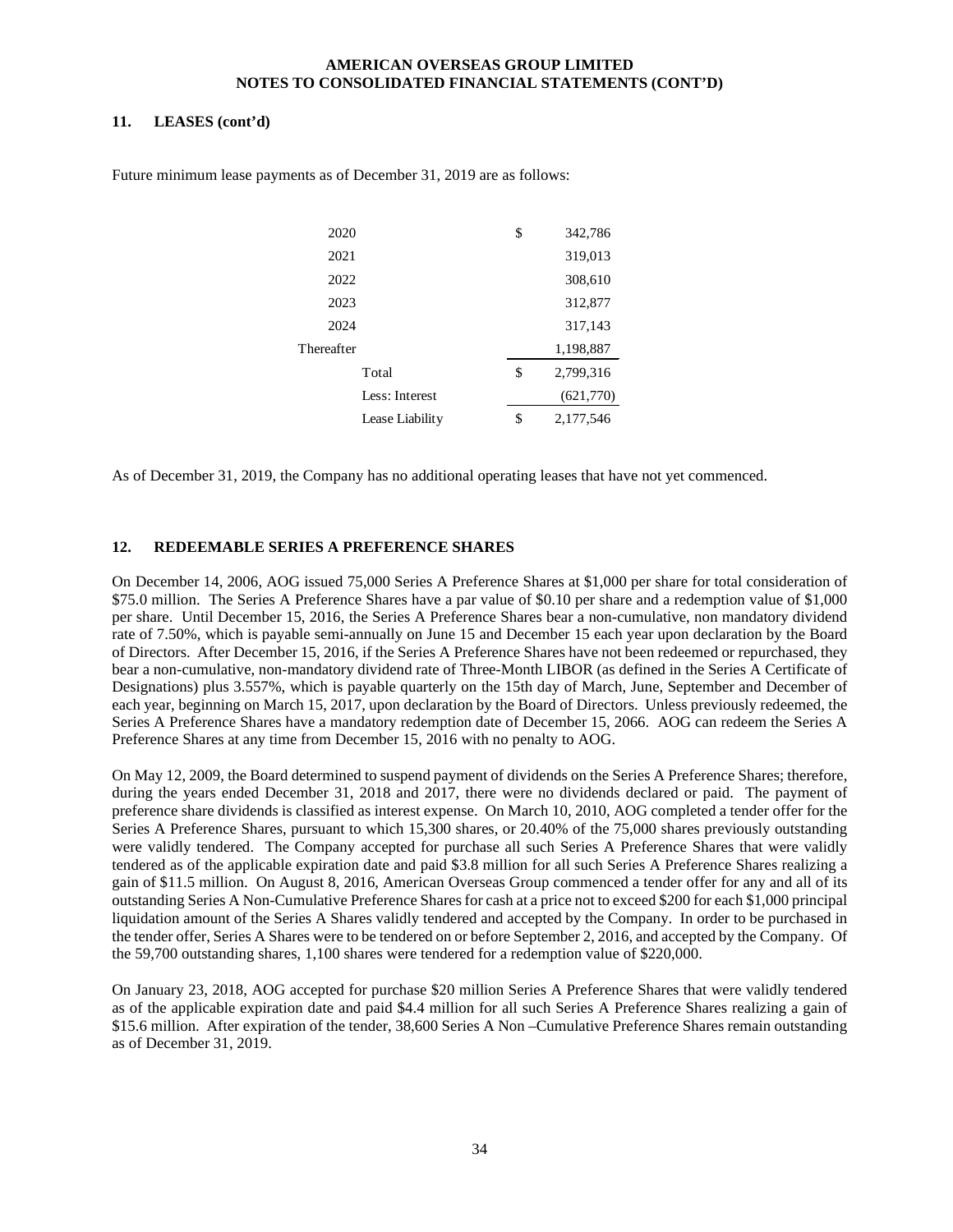# **11. LEASES (cont'd)**

| 2020       |                 | \$<br>342,786   |
|------------|-----------------|-----------------|
| 2021       |                 | 319,013         |
| 2022       |                 | 308,610         |
| 2023       |                 | 312,877         |
| 2024       |                 | 317,143         |
| Thereafter |                 | 1,198,887       |
|            | Total           | \$<br>2,799,316 |
|            | Less: Interest  | (621,770)       |
|            | Lease Liability | \$<br>2,177,546 |

Future minimum lease payments as of December 31, 2019 are as follows:

As of December 31, 2019, the Company has no additional operating leases that have not yet commenced.

# **12. REDEEMABLE SERIES A PREFERENCE SHARES**

On December 14, 2006, AOG issued 75,000 Series A Preference Shares at \$1,000 per share for total consideration of \$75.0 million. The Series A Preference Shares have a par value of \$0.10 per share and a redemption value of \$1,000 per share. Until December 15, 2016, the Series A Preference Shares bear a non-cumulative, non mandatory dividend rate of 7.50%, which is payable semi-annually on June 15 and December 15 each year upon declaration by the Board of Directors. After December 15, 2016, if the Series A Preference Shares have not been redeemed or repurchased, they bear a non-cumulative, non-mandatory dividend rate of Three-Month LIBOR (as defined in the Series A Certificate of Designations) plus 3.557%, which is payable quarterly on the 15th day of March, June, September and December of each year, beginning on March 15, 2017, upon declaration by the Board of Directors. Unless previously redeemed, the Series A Preference Shares have a mandatory redemption date of December 15, 2066. AOG can redeem the Series A Preference Shares at any time from December 15, 2016 with no penalty to AOG.

On May 12, 2009, the Board determined to suspend payment of dividends on the Series A Preference Shares; therefore, during the years ended December 31, 2018 and 2017, there were no dividends declared or paid. The payment of preference share dividends is classified as interest expense. On March 10, 2010, AOG completed a tender offer for the Series A Preference Shares, pursuant to which 15,300 shares, or 20.40% of the 75,000 shares previously outstanding were validly tendered. The Company accepted for purchase all such Series A Preference Shares that were validly tendered as of the applicable expiration date and paid \$3.8 million for all such Series A Preference Shares realizing a gain of \$11.5 million. On August 8, 2016, American Overseas Group commenced a tender offer for any and all of its outstanding Series A Non-Cumulative Preference Shares for cash at a price not to exceed \$200 for each \$1,000 principal liquidation amount of the Series A Shares validly tendered and accepted by the Company. In order to be purchased in the tender offer, Series A Shares were to be tendered on or before September 2, 2016, and accepted by the Company. Of the 59,700 outstanding shares, 1,100 shares were tendered for a redemption value of \$220,000.

On January 23, 2018, AOG accepted for purchase \$20 million Series A Preference Shares that were validly tendered as of the applicable expiration date and paid \$4.4 million for all such Series A Preference Shares realizing a gain of \$15.6 million. After expiration of the tender, 38,600 Series A Non –Cumulative Preference Shares remain outstanding as of December 31, 2019.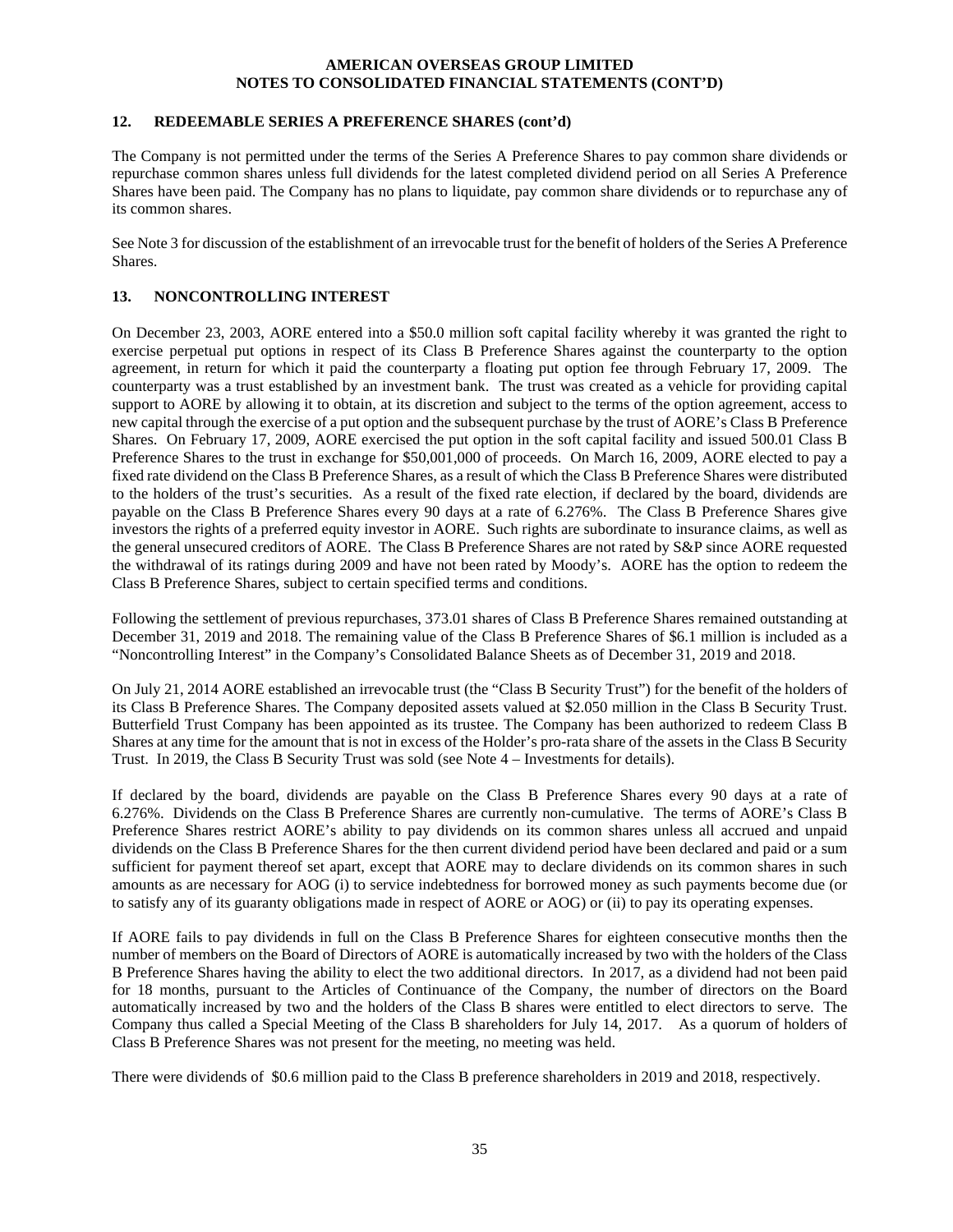#### **12. REDEEMABLE SERIES A PREFERENCE SHARES (cont'd)**

The Company is not permitted under the terms of the Series A Preference Shares to pay common share dividends or repurchase common shares unless full dividends for the latest completed dividend period on all Series A Preference Shares have been paid. The Company has no plans to liquidate, pay common share dividends or to repurchase any of its common shares.

See Note 3 for discussion of the establishment of an irrevocable trust for the benefit of holders of the Series A Preference **Shares**.

# **13. NONCONTROLLING INTEREST**

On December 23, 2003, AORE entered into a \$50.0 million soft capital facility whereby it was granted the right to exercise perpetual put options in respect of its Class B Preference Shares against the counterparty to the option agreement, in return for which it paid the counterparty a floating put option fee through February 17, 2009. The counterparty was a trust established by an investment bank. The trust was created as a vehicle for providing capital support to AORE by allowing it to obtain, at its discretion and subject to the terms of the option agreement, access to new capital through the exercise of a put option and the subsequent purchase by the trust of AORE's Class B Preference Shares. On February 17, 2009, AORE exercised the put option in the soft capital facility and issued 500.01 Class B Preference Shares to the trust in exchange for \$50,001,000 of proceeds. On March 16, 2009, AORE elected to pay a fixed rate dividend on the Class B Preference Shares, as a result of which the Class B Preference Shares were distributed to the holders of the trust's securities. As a result of the fixed rate election, if declared by the board, dividends are payable on the Class B Preference Shares every 90 days at a rate of 6.276%. The Class B Preference Shares give investors the rights of a preferred equity investor in AORE. Such rights are subordinate to insurance claims, as well as the general unsecured creditors of AORE. The Class B Preference Shares are not rated by S&P since AORE requested the withdrawal of its ratings during 2009 and have not been rated by Moody's. AORE has the option to redeem the Class B Preference Shares, subject to certain specified terms and conditions.

Following the settlement of previous repurchases, 373.01 shares of Class B Preference Shares remained outstanding at December 31, 2019 and 2018. The remaining value of the Class B Preference Shares of \$6.1 million is included as a "Noncontrolling Interest" in the Company's Consolidated Balance Sheets as of December 31, 2019 and 2018.

On July 21, 2014 AORE established an irrevocable trust (the "Class B Security Trust") for the benefit of the holders of its Class B Preference Shares. The Company deposited assets valued at \$2.050 million in the Class B Security Trust. Butterfield Trust Company has been appointed as its trustee. The Company has been authorized to redeem Class B Shares at any time for the amount that is not in excess of the Holder's pro-rata share of the assets in the Class B Security Trust. In 2019, the Class B Security Trust was sold (see Note 4 – Investments for details).

If declared by the board, dividends are payable on the Class B Preference Shares every 90 days at a rate of 6.276%. Dividends on the Class B Preference Shares are currently non-cumulative. The terms of AORE's Class B Preference Shares restrict AORE's ability to pay dividends on its common shares unless all accrued and unpaid dividends on the Class B Preference Shares for the then current dividend period have been declared and paid or a sum sufficient for payment thereof set apart, except that AORE may to declare dividends on its common shares in such amounts as are necessary for AOG (i) to service indebtedness for borrowed money as such payments become due (or to satisfy any of its guaranty obligations made in respect of AORE or AOG) or (ii) to pay its operating expenses.

If AORE fails to pay dividends in full on the Class B Preference Shares for eighteen consecutive months then the number of members on the Board of Directors of AORE is automatically increased by two with the holders of the Class B Preference Shares having the ability to elect the two additional directors. In 2017, as a dividend had not been paid for 18 months, pursuant to the Articles of Continuance of the Company, the number of directors on the Board automatically increased by two and the holders of the Class B shares were entitled to elect directors to serve. The Company thus called a Special Meeting of the Class B shareholders for July 14, 2017. As a quorum of holders of Class B Preference Shares was not present for the meeting, no meeting was held.

There were dividends of \$0.6 million paid to the Class B preference shareholders in 2019 and 2018, respectively.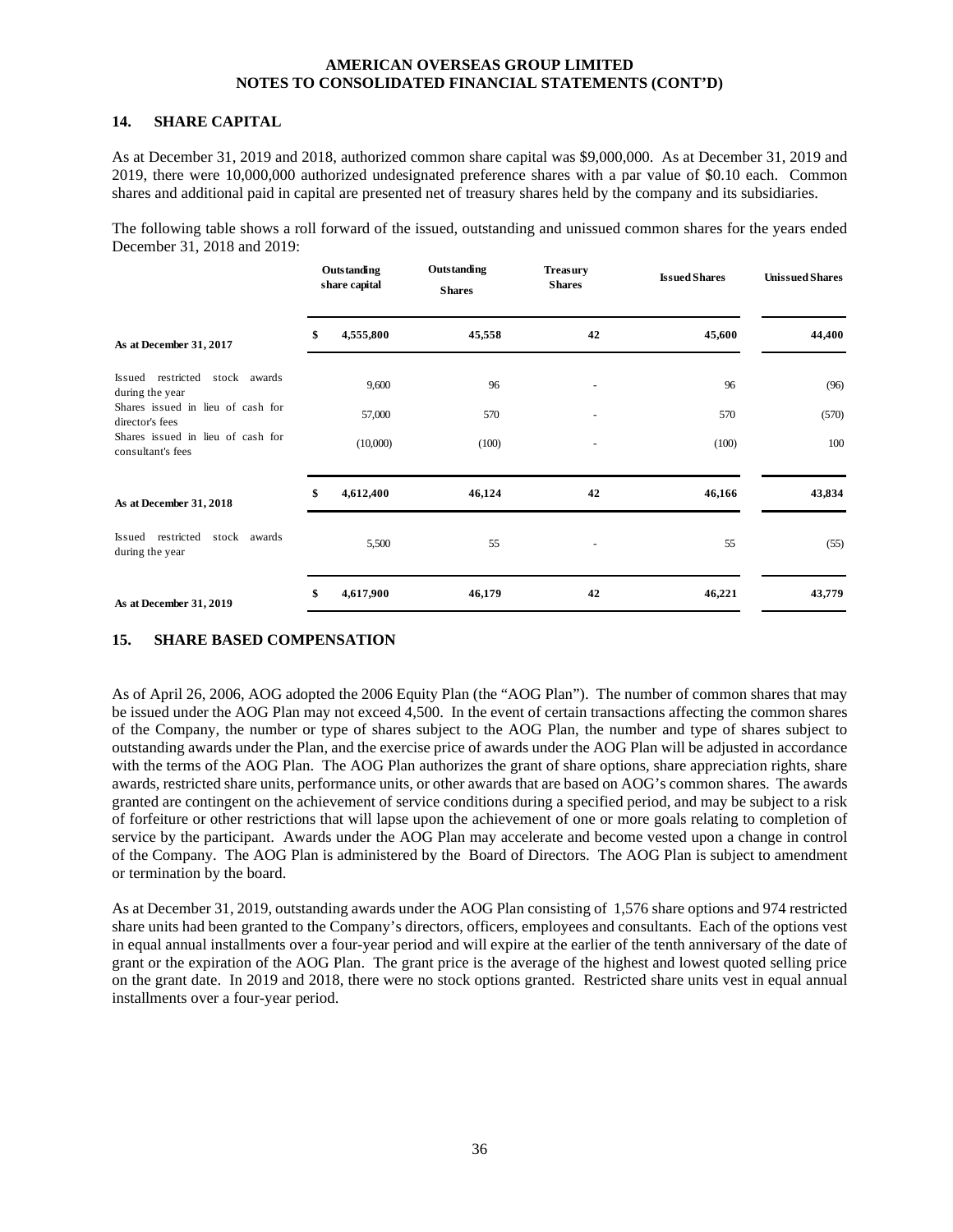#### **14. SHARE CAPITAL**

As at December 31, 2019 and 2018, authorized common share capital was \$9,000,000. As at December 31, 2019 and 2019, there were 10,000,000 authorized undesignated preference shares with a par value of \$0.10 each. Common shares and additional paid in capital are presented net of treasury shares held by the company and its subsidiaries.

The following table shows a roll forward of the issued, outstanding and unissued common shares for the years ended December 31, 2018 and 2019:

|                                                        | Outstanding<br>share capital | Outstanding<br><b>Shares</b> | <b>Treasury</b><br><b>Shares</b> | <b>Issued Shares</b> | <b>Unissued Shares</b> |
|--------------------------------------------------------|------------------------------|------------------------------|----------------------------------|----------------------|------------------------|
| As at December 31, 2017                                | \$<br>4,555,800              | 45,558                       | 42                               | 45,600               | 44,400                 |
| Issued restricted<br>stock awards<br>during the year   | 9,600                        | 96                           | ٠                                | 96                   | (96)                   |
| Shares issued in lieu of cash for<br>director's fees   | 57,000                       | 570                          | $\overline{\phantom{a}}$         | 570                  | (570)                  |
| Shares issued in lieu of cash for<br>consultant's fees | (10,000)                     | (100)                        |                                  | (100)                | 100                    |
| As at December 31, 2018                                | \$<br>4,612,400              | 46,124                       | 42                               | 46,166               | 43,834                 |
| Issued restricted<br>stock awards<br>during the year   | 5,500                        | 55                           | ٠                                | 55                   | (55)                   |
| As at December 31, 2019                                | \$<br>4,617,900              | 46,179                       | 42                               | 46,221               | 43,779                 |

# **15. SHARE BASED COMPENSATION**

As of April 26, 2006, AOG adopted the 2006 Equity Plan (the "AOG Plan"). The number of common shares that may be issued under the AOG Plan may not exceed 4,500. In the event of certain transactions affecting the common shares of the Company, the number or type of shares subject to the AOG Plan, the number and type of shares subject to outstanding awards under the Plan, and the exercise price of awards under the AOG Plan will be adjusted in accordance with the terms of the AOG Plan. The AOG Plan authorizes the grant of share options, share appreciation rights, share awards, restricted share units, performance units, or other awards that are based on AOG's common shares. The awards granted are contingent on the achievement of service conditions during a specified period, and may be subject to a risk of forfeiture or other restrictions that will lapse upon the achievement of one or more goals relating to completion of service by the participant. Awards under the AOG Plan may accelerate and become vested upon a change in control of the Company. The AOG Plan is administered by the Board of Directors. The AOG Plan is subject to amendment or termination by the board.

As at December 31, 2019, outstanding awards under the AOG Plan consisting of 1,576 share options and 974 restricted share units had been granted to the Company's directors, officers, employees and consultants. Each of the options vest in equal annual installments over a four-year period and will expire at the earlier of the tenth anniversary of the date of grant or the expiration of the AOG Plan. The grant price is the average of the highest and lowest quoted selling price on the grant date. In 2019 and 2018, there were no stock options granted. Restricted share units vest in equal annual installments over a four-year period.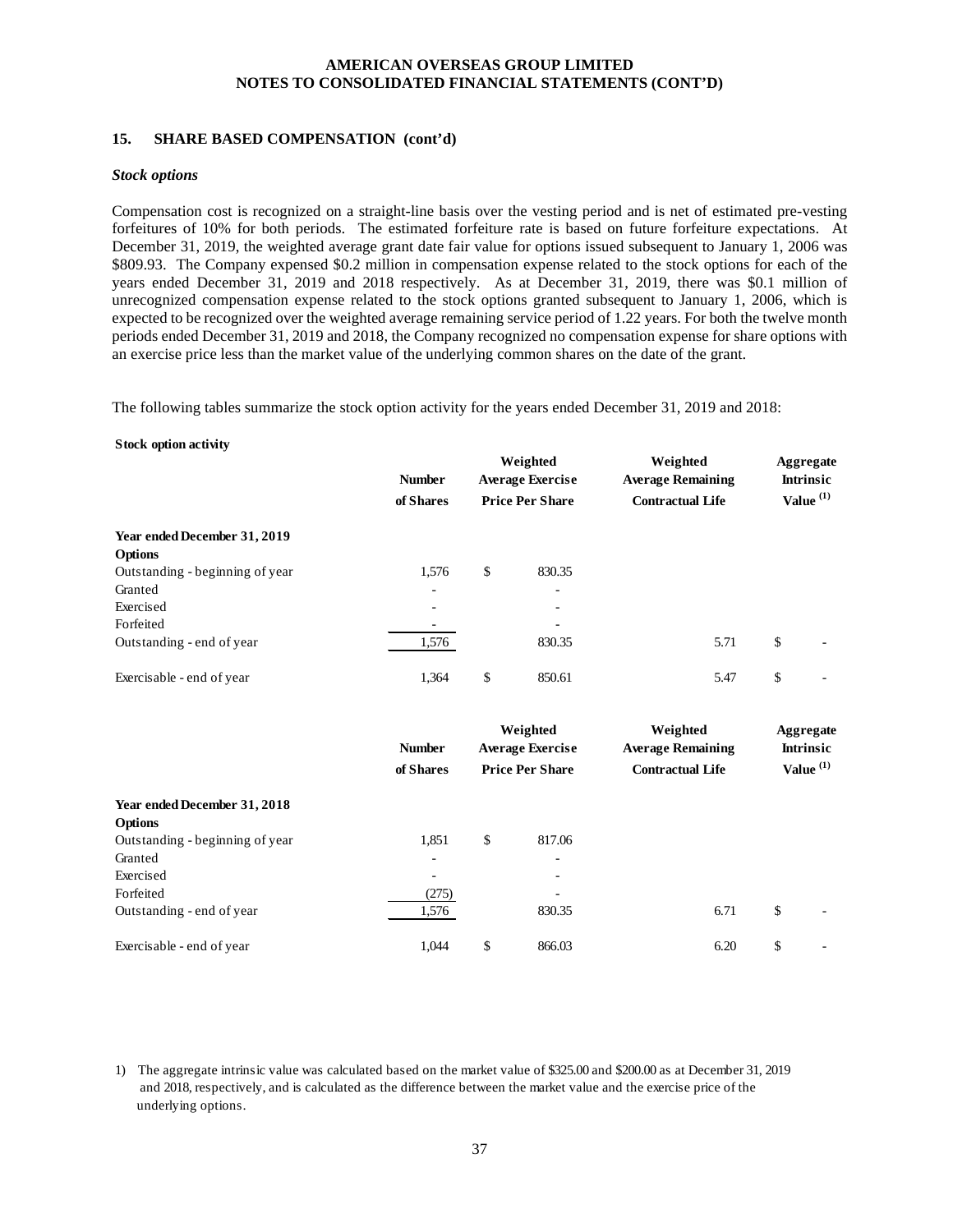# **15. SHARE BASED COMPENSATION (cont'd)**

#### *Stock options*

Compensation cost is recognized on a straight-line basis over the vesting period and is net of estimated pre-vesting forfeitures of 10% for both periods. The estimated forfeiture rate is based on future forfeiture expectations. At December 31, 2019, the weighted average grant date fair value for options issued subsequent to January 1, 2006 was \$809.93. The Company expensed \$0.2 million in compensation expense related to the stock options for each of the years ended December 31, 2019 and 2018 respectively. As at December 31, 2019, there was \$0.1 million of unrecognized compensation expense related to the stock options granted subsequent to January 1, 2006, which is expected to be recognized over the weighted average remaining service period of 1.22 years. For both the twelve month periods ended December 31, 2019 and 2018, the Company recognized no compensation expense for share options with an exercise price less than the market value of the underlying common shares on the date of the grant.

The following tables summarize the stock option activity for the years ended December 31, 2019 and 2018:

#### **Stock option activity**

|                                 | <b>Number</b>            | Weighted<br><b>Average Exercise</b><br><b>Price Per Share</b><br>of Shares |                          | Weighted<br><b>Average Remaining</b> | Aggregate<br><b>Intrinsic</b> |
|---------------------------------|--------------------------|----------------------------------------------------------------------------|--------------------------|--------------------------------------|-------------------------------|
|                                 |                          |                                                                            |                          | <b>Contractual Life</b>              | Value $(1)$                   |
| Year ended December 31, 2019    |                          |                                                                            |                          |                                      |                               |
| <b>Options</b>                  |                          |                                                                            |                          |                                      |                               |
| Outstanding - beginning of year | 1,576                    | \$                                                                         | 830.35                   |                                      |                               |
| Granted                         | $\overline{\phantom{0}}$ |                                                                            | $\overline{\phantom{a}}$ |                                      |                               |
| Exercised                       | ٠                        |                                                                            | ۰                        |                                      |                               |
| Forfeited                       |                          |                                                                            | -                        |                                      |                               |
| Outstanding - end of year       | 1,576                    |                                                                            | 830.35                   | 5.71                                 | \$                            |
| Exercisable - end of year       | 1.364                    | \$                                                                         | 850.61                   | 5.47                                 | \$                            |

|                                 | <b>Number</b>            | Weighted<br><b>Average Exercise</b> |                          | Weighted<br><b>Average Remaining</b> | Aggregate<br><b>Intrinsic</b> |
|---------------------------------|--------------------------|-------------------------------------|--------------------------|--------------------------------------|-------------------------------|
|                                 | of Shares                |                                     | <b>Price Per Share</b>   | <b>Contractual Life</b>              | Value $(1)$                   |
| Year ended December 31, 2018    |                          |                                     |                          |                                      |                               |
| <b>Options</b>                  |                          |                                     |                          |                                      |                               |
| Outstanding - beginning of year | 1,851                    | \$                                  | 817.06                   |                                      |                               |
| Granted                         | ۰                        |                                     | ۰                        |                                      |                               |
| Exercised                       | $\overline{\phantom{0}}$ |                                     | $\overline{\phantom{0}}$ |                                      |                               |
| Forfeited                       | (275)                    |                                     | $\overline{\phantom{a}}$ |                                      |                               |
| Outstanding - end of year       | 1,576                    |                                     | 830.35                   | 6.71                                 | \$                            |
| Exercisable - end of year       | 1.044                    | \$                                  | 866.03                   | 6.20                                 | \$                            |

1) The aggregate intrinsic value was calculated based on the market value of \$325.00 and \$200.00 as at December 31, 2019 and 2018, respectively, and is calculated as the difference between the market value and the exercise price of the underlying options.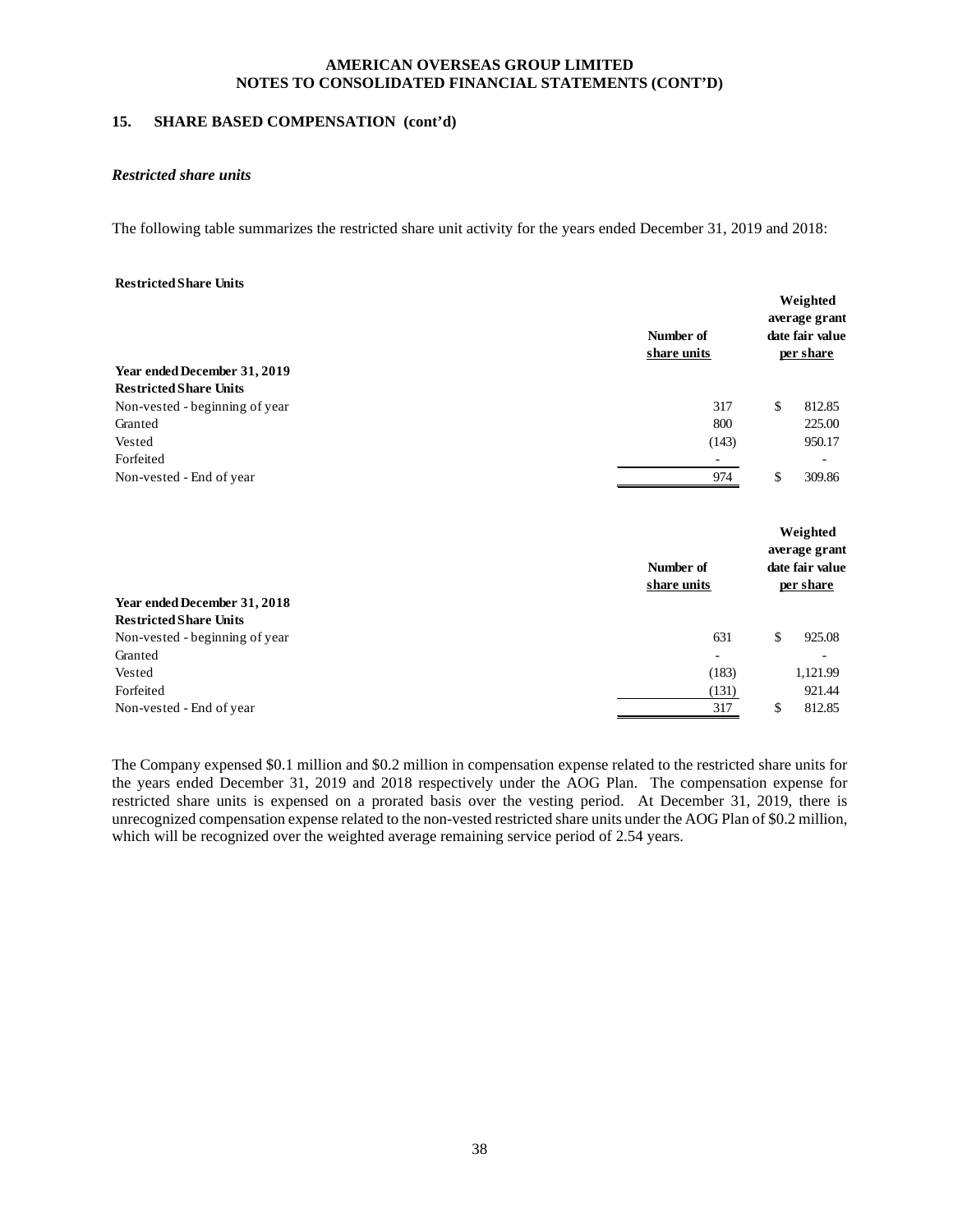#### **15. SHARE BASED COMPENSATION (cont'd)**

#### *Restricted share units*

The following table summarizes the restricted share unit activity for the years ended December 31, 2019 and 2018:

#### **Restricted Share Units**

| Year ended December 31, 2019                                  | Number of<br>share units | Weighted<br>average grant<br>date fair value<br>per share |
|---------------------------------------------------------------|--------------------------|-----------------------------------------------------------|
| <b>Restricted Share Units</b>                                 |                          |                                                           |
| Non-vested - beginning of year                                | 317                      | \$<br>812.85                                              |
| Granted                                                       | 800                      | 225.00                                                    |
| Vested                                                        | (143)                    | 950.17                                                    |
| Forfeited                                                     | ۰                        |                                                           |
| Non-vested - End of year                                      | 974                      | \$<br>309.86                                              |
|                                                               | Number of                | Weighted<br>average grant<br>date fair value              |
|                                                               | share units              | per share                                                 |
| Year ended December 31, 2018<br><b>Restricted Share Units</b> |                          |                                                           |
|                                                               | 631                      | \$<br>925.08                                              |
| Non-vested - beginning of year<br>Granted                     |                          |                                                           |
|                                                               | $\overline{\phantom{a}}$ |                                                           |
| Vested                                                        | (183)                    | 1,121.99                                                  |
| Forfeited                                                     | (131)                    | 921.44                                                    |
| Non-vested - End of year                                      | 317                      | \$<br>812.85                                              |

The Company expensed \$0.1 million and \$0.2 million in compensation expense related to the restricted share units for the years ended December 31, 2019 and 2018 respectively under the AOG Plan. The compensation expense for restricted share units is expensed on a prorated basis over the vesting period. At December 31, 2019, there is unrecognized compensation expense related to the non-vested restricted share units under the AOG Plan of \$0.2 million, which will be recognized over the weighted average remaining service period of 2.54 years.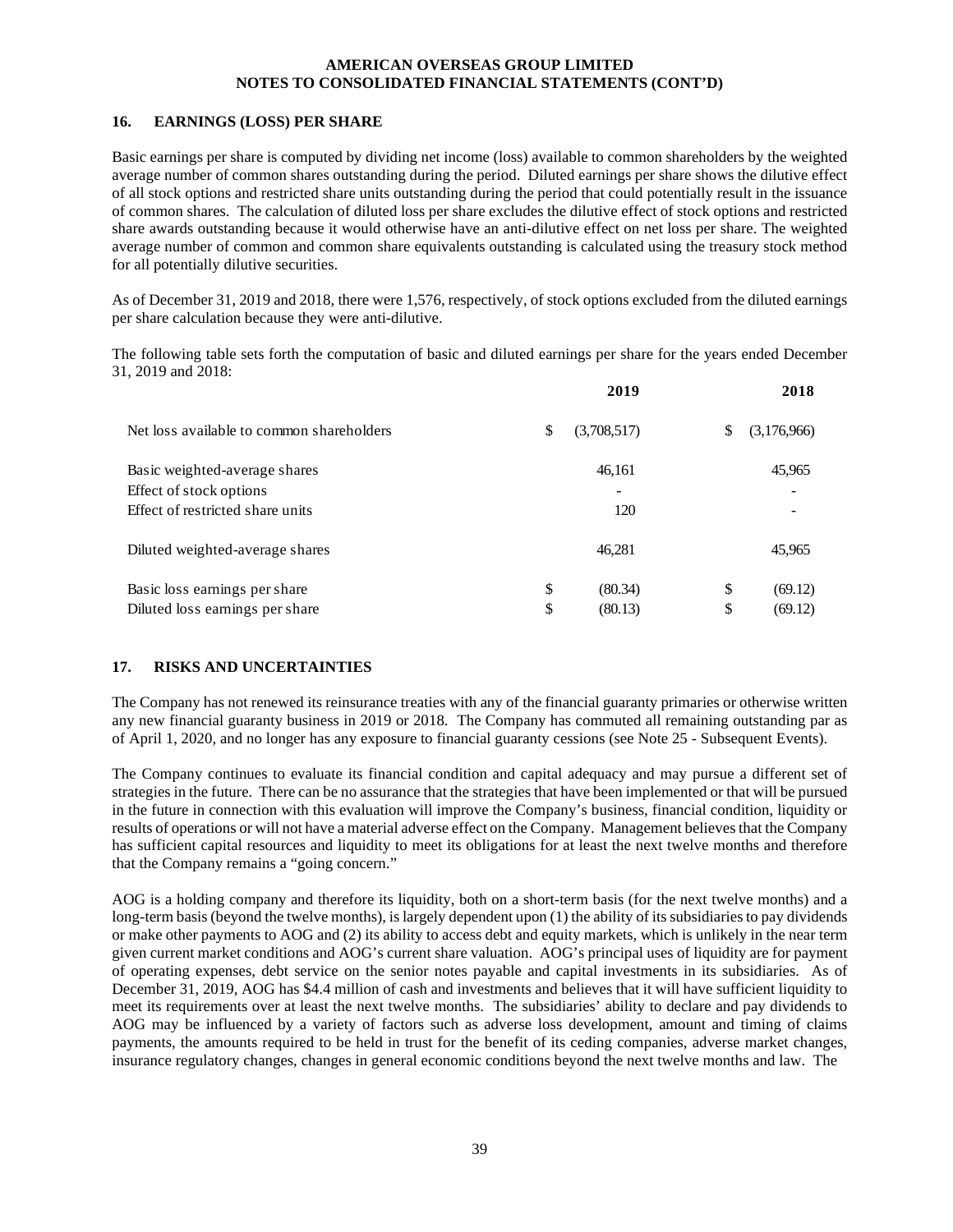# **16. EARNINGS (LOSS) PER SHARE**

Basic earnings per share is computed by dividing net income (loss) available to common shareholders by the weighted average number of common shares outstanding during the period. Diluted earnings per share shows the dilutive effect of all stock options and restricted share units outstanding during the period that could potentially result in the issuance of common shares. The calculation of diluted loss per share excludes the dilutive effect of stock options and restricted share awards outstanding because it would otherwise have an anti-dilutive effect on net loss per share. The weighted average number of common and common share equivalents outstanding is calculated using the treasury stock method for all potentially dilutive securities.

As of December 31, 2019 and 2018, there were 1,576, respectively, of stock options excluded from the diluted earnings per share calculation because they were anti-dilutive.

The following table sets forth the computation of basic and diluted earnings per share for the years ended December 31, 2019 and 2018:

|                                           | 2019              |    | 2018        |
|-------------------------------------------|-------------------|----|-------------|
| Net loss available to common shareholders | \$<br>(3,708,517) | S  | (3,176,966) |
| Basic weighted-average shares             | 46,161            |    | 45,965      |
| Effect of stock options                   |                   |    |             |
| Effect of restricted share units          | 120               |    |             |
| Diluted weighted-average shares           | 46,281            |    | 45,965      |
| Basic loss earnings per share             | \$<br>(80.34)     | \$ | (69.12)     |
| Diluted loss earnings per share           | \$<br>(80.13)     | \$ | (69.12)     |

# **17. RISKS AND UNCERTAINTIES**

The Company has not renewed its reinsurance treaties with any of the financial guaranty primaries or otherwise written any new financial guaranty business in 2019 or 2018. The Company has commuted all remaining outstanding par as of April 1, 2020, and no longer has any exposure to financial guaranty cessions (see Note 25 - Subsequent Events).

The Company continues to evaluate its financial condition and capital adequacy and may pursue a different set of strategies in the future. There can be no assurance that the strategies that have been implemented or that will be pursued in the future in connection with this evaluation will improve the Company's business, financial condition, liquidity or results of operations or will not have a material adverse effect on the Company. Management believes that the Company has sufficient capital resources and liquidity to meet its obligations for at least the next twelve months and therefore that the Company remains a "going concern."

AOG is a holding company and therefore its liquidity, both on a short-term basis (for the next twelve months) and a long-term basis (beyond the twelve months), is largely dependent upon (1) the ability of its subsidiaries to pay dividends or make other payments to AOG and (2) its ability to access debt and equity markets, which is unlikely in the near term given current market conditions and AOG's current share valuation. AOG's principal uses of liquidity are for payment of operating expenses, debt service on the senior notes payable and capital investments in its subsidiaries. As of December 31, 2019, AOG has \$4.4 million of cash and investments and believes that it will have sufficient liquidity to meet its requirements over at least the next twelve months. The subsidiaries' ability to declare and pay dividends to AOG may be influenced by a variety of factors such as adverse loss development, amount and timing of claims payments, the amounts required to be held in trust for the benefit of its ceding companies, adverse market changes, insurance regulatory changes, changes in general economic conditions beyond the next twelve months and law. The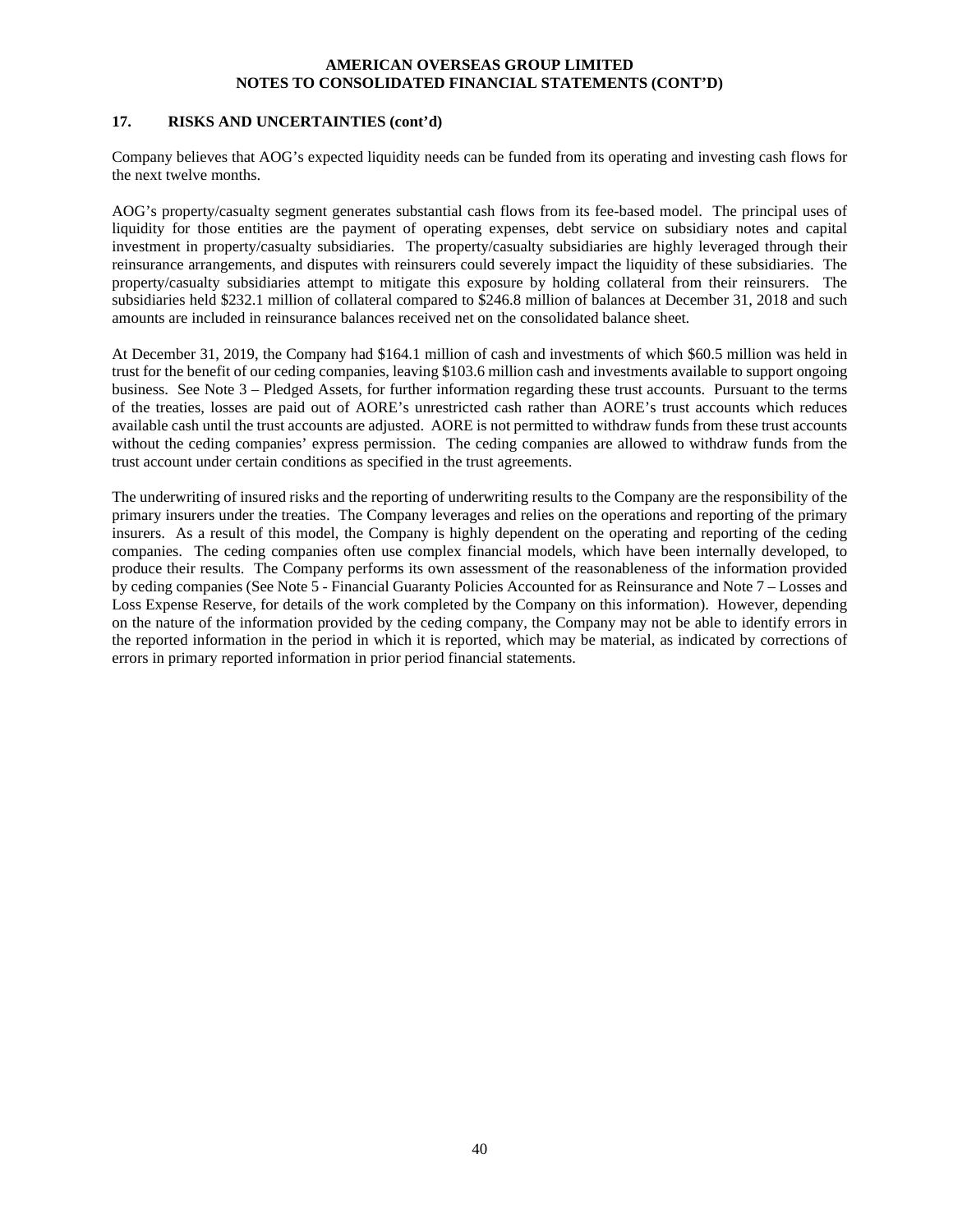# **17. RISKS AND UNCERTAINTIES (cont'd)**

Company believes that AOG's expected liquidity needs can be funded from its operating and investing cash flows for the next twelve months.

AOG's property/casualty segment generates substantial cash flows from its fee-based model. The principal uses of liquidity for those entities are the payment of operating expenses, debt service on subsidiary notes and capital investment in property/casualty subsidiaries. The property/casualty subsidiaries are highly leveraged through their reinsurance arrangements, and disputes with reinsurers could severely impact the liquidity of these subsidiaries. The property/casualty subsidiaries attempt to mitigate this exposure by holding collateral from their reinsurers. The subsidiaries held \$232.1 million of collateral compared to \$246.8 million of balances at December 31, 2018 and such amounts are included in reinsurance balances received net on the consolidated balance sheet.

At December 31, 2019, the Company had \$164.1 million of cash and investments of which \$60.5 million was held in trust for the benefit of our ceding companies, leaving \$103.6 million cash and investments available to support ongoing business. See Note 3 – Pledged Assets, for further information regarding these trust accounts. Pursuant to the terms of the treaties, losses are paid out of AORE's unrestricted cash rather than AORE's trust accounts which reduces available cash until the trust accounts are adjusted. AORE is not permitted to withdraw funds from these trust accounts without the ceding companies' express permission. The ceding companies are allowed to withdraw funds from the trust account under certain conditions as specified in the trust agreements.

The underwriting of insured risks and the reporting of underwriting results to the Company are the responsibility of the primary insurers under the treaties. The Company leverages and relies on the operations and reporting of the primary insurers. As a result of this model, the Company is highly dependent on the operating and reporting of the ceding companies. The ceding companies often use complex financial models, which have been internally developed, to produce their results. The Company performs its own assessment of the reasonableness of the information provided by ceding companies (See Note 5 - Financial Guaranty Policies Accounted for as Reinsurance and Note 7 – Losses and Loss Expense Reserve, for details of the work completed by the Company on this information). However, depending on the nature of the information provided by the ceding company, the Company may not be able to identify errors in the reported information in the period in which it is reported, which may be material, as indicated by corrections of errors in primary reported information in prior period financial statements.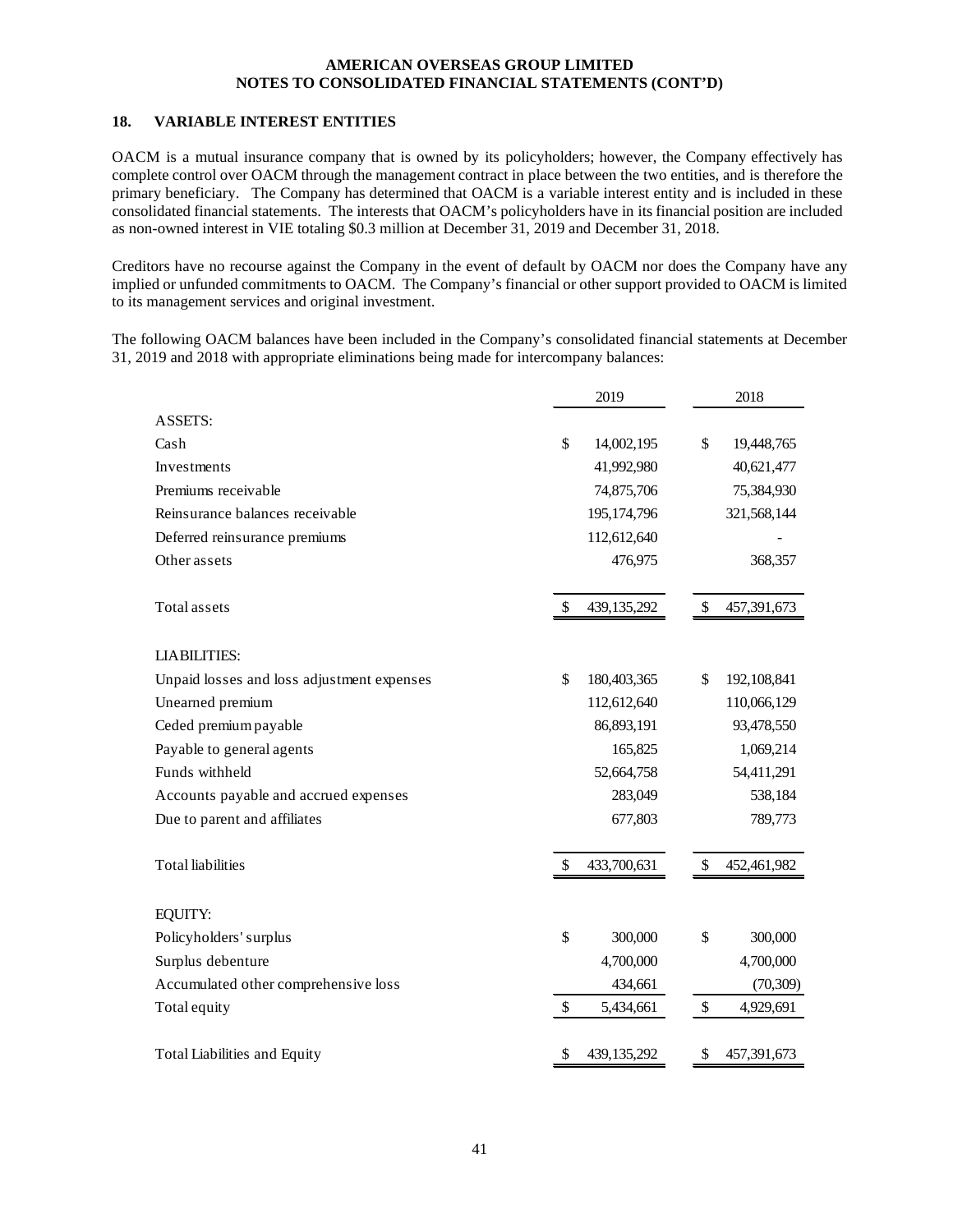# **18. VARIABLE INTEREST ENTITIES**

OACM is a mutual insurance company that is owned by its policyholders; however, the Company effectively has complete control over OACM through the management contract in place between the two entities, and is therefore the primary beneficiary. The Company has determined that OACM is a variable interest entity and is included in these consolidated financial statements. The interests that OACM's policyholders have in its financial position are included as non-owned interest in VIE totaling \$0.3 million at December 31, 2019 and December 31, 2018.

Creditors have no recourse against the Company in the event of default by OACM nor does the Company have any implied or unfunded commitments to OACM. The Company's financial or other support provided to OACM is limited to its management services and original investment.

The following OACM balances have been included in the Company's consolidated financial statements at December 31, 2019 and 2018 with appropriate eliminations being made for intercompany balances:

|                                            | 2019 |             | 2018              |  |
|--------------------------------------------|------|-------------|-------------------|--|
| <b>ASSETS:</b>                             |      |             |                   |  |
| Cash                                       | \$   | 14,002,195  | \$<br>19,448,765  |  |
| Investments                                |      | 41,992,980  | 40,621,477        |  |
| Premiums receivable                        |      | 74,875,706  | 75,384,930        |  |
| Reinsurance balances receivable            |      | 195,174,796 | 321,568,144       |  |
| Deferred reinsurance premiums              |      | 112,612,640 |                   |  |
| Other assets                               |      | 476,975     | 368,357           |  |
|                                            |      |             |                   |  |
| Total assets                               | \$   | 439,135,292 | \$<br>457,391,673 |  |
|                                            |      |             |                   |  |
| <b>LIABILITIES:</b>                        |      |             |                   |  |
| Unpaid losses and loss adjustment expenses | \$   | 180,403,365 | \$<br>192,108,841 |  |
| Unearned premium                           |      | 112,612,640 | 110,066,129       |  |
| Ceded premium payable                      |      | 86,893,191  | 93,478,550        |  |
| Payable to general agents                  |      | 165,825     | 1,069,214         |  |
| Funds withheld                             |      | 52,664,758  | 54,411,291        |  |
| Accounts payable and accrued expenses      |      | 283,049     | 538,184           |  |
| Due to parent and affiliates               |      | 677,803     | 789,773           |  |
|                                            |      |             |                   |  |
| <b>Total</b> liabilities                   | \$   | 433,700,631 | \$<br>452,461,982 |  |
|                                            |      |             |                   |  |
| EQUITY:                                    |      |             |                   |  |
| Policyholders' surplus                     | \$   | 300,000     | \$<br>300,000     |  |
| Surplus debenture                          |      | 4,700,000   | 4,700,000         |  |
| Accumulated other comprehensive loss       |      | 434,661     | (70, 309)         |  |
| Total equity                               | \$   | 5,434,661   | \$<br>4,929,691   |  |
|                                            |      |             |                   |  |
| <b>Total Liabilities and Equity</b>        | \$   | 439,135,292 | \$<br>457,391,673 |  |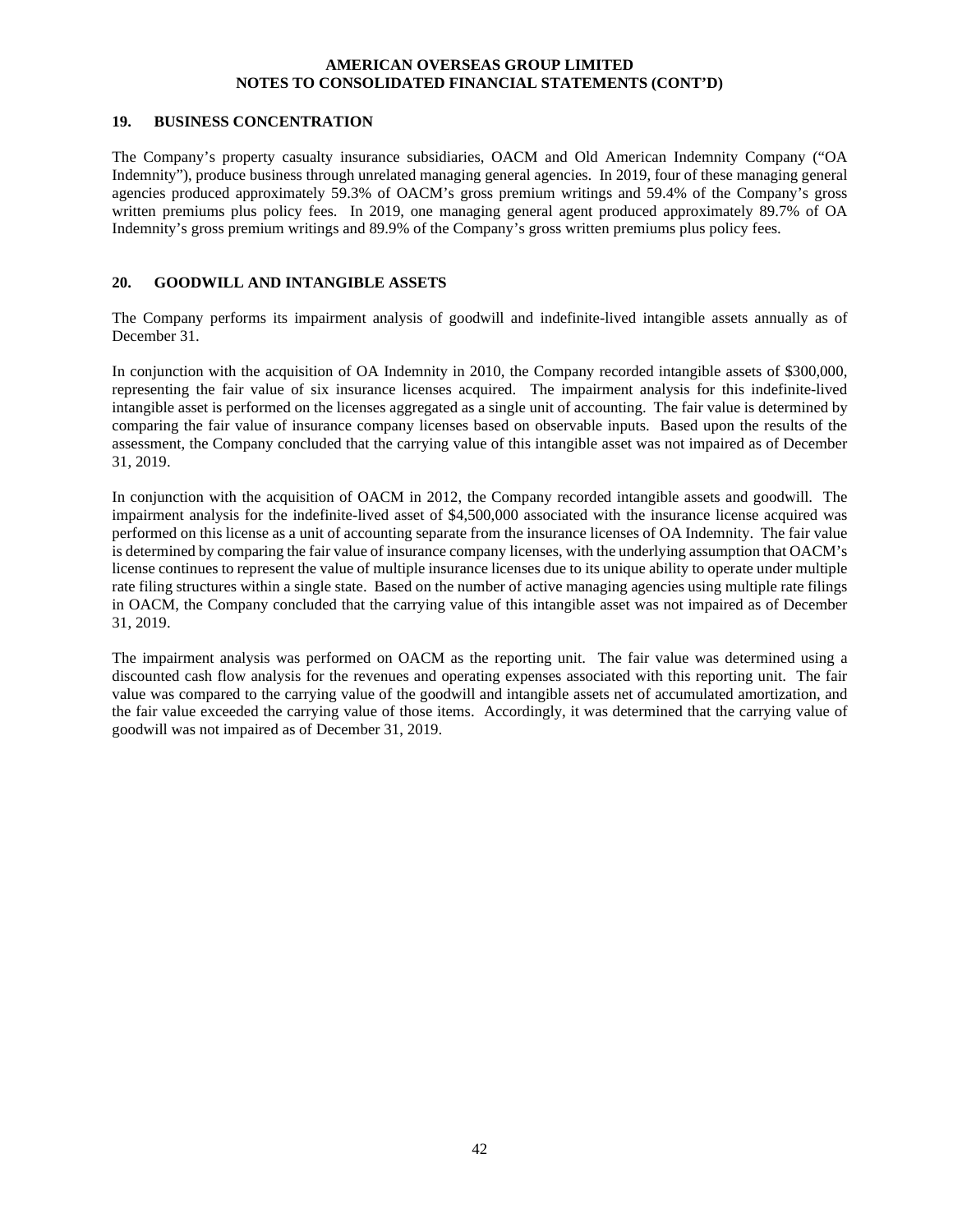#### **19. BUSINESS CONCENTRATION**

The Company's property casualty insurance subsidiaries, OACM and Old American Indemnity Company ("OA Indemnity"), produce business through unrelated managing general agencies. In 2019, four of these managing general agencies produced approximately 59.3% of OACM's gross premium writings and 59.4% of the Company's gross written premiums plus policy fees. In 2019, one managing general agent produced approximately 89.7% of OA Indemnity's gross premium writings and 89.9% of the Company's gross written premiums plus policy fees.

# **20. GOODWILL AND INTANGIBLE ASSETS**

The Company performs its impairment analysis of goodwill and indefinite-lived intangible assets annually as of December 31.

In conjunction with the acquisition of OA Indemnity in 2010, the Company recorded intangible assets of \$300,000, representing the fair value of six insurance licenses acquired. The impairment analysis for this indefinite-lived intangible asset is performed on the licenses aggregated as a single unit of accounting. The fair value is determined by comparing the fair value of insurance company licenses based on observable inputs. Based upon the results of the assessment, the Company concluded that the carrying value of this intangible asset was not impaired as of December 31, 2019.

In conjunction with the acquisition of OACM in 2012, the Company recorded intangible assets and goodwill. The impairment analysis for the indefinite-lived asset of \$4,500,000 associated with the insurance license acquired was performed on this license as a unit of accounting separate from the insurance licenses of OA Indemnity. The fair value is determined by comparing the fair value of insurance company licenses, with the underlying assumption that OACM's license continues to represent the value of multiple insurance licenses due to its unique ability to operate under multiple rate filing structures within a single state. Based on the number of active managing agencies using multiple rate filings in OACM, the Company concluded that the carrying value of this intangible asset was not impaired as of December 31, 2019.

The impairment analysis was performed on OACM as the reporting unit. The fair value was determined using a discounted cash flow analysis for the revenues and operating expenses associated with this reporting unit. The fair value was compared to the carrying value of the goodwill and intangible assets net of accumulated amortization, and the fair value exceeded the carrying value of those items. Accordingly, it was determined that the carrying value of goodwill was not impaired as of December 31, 2019.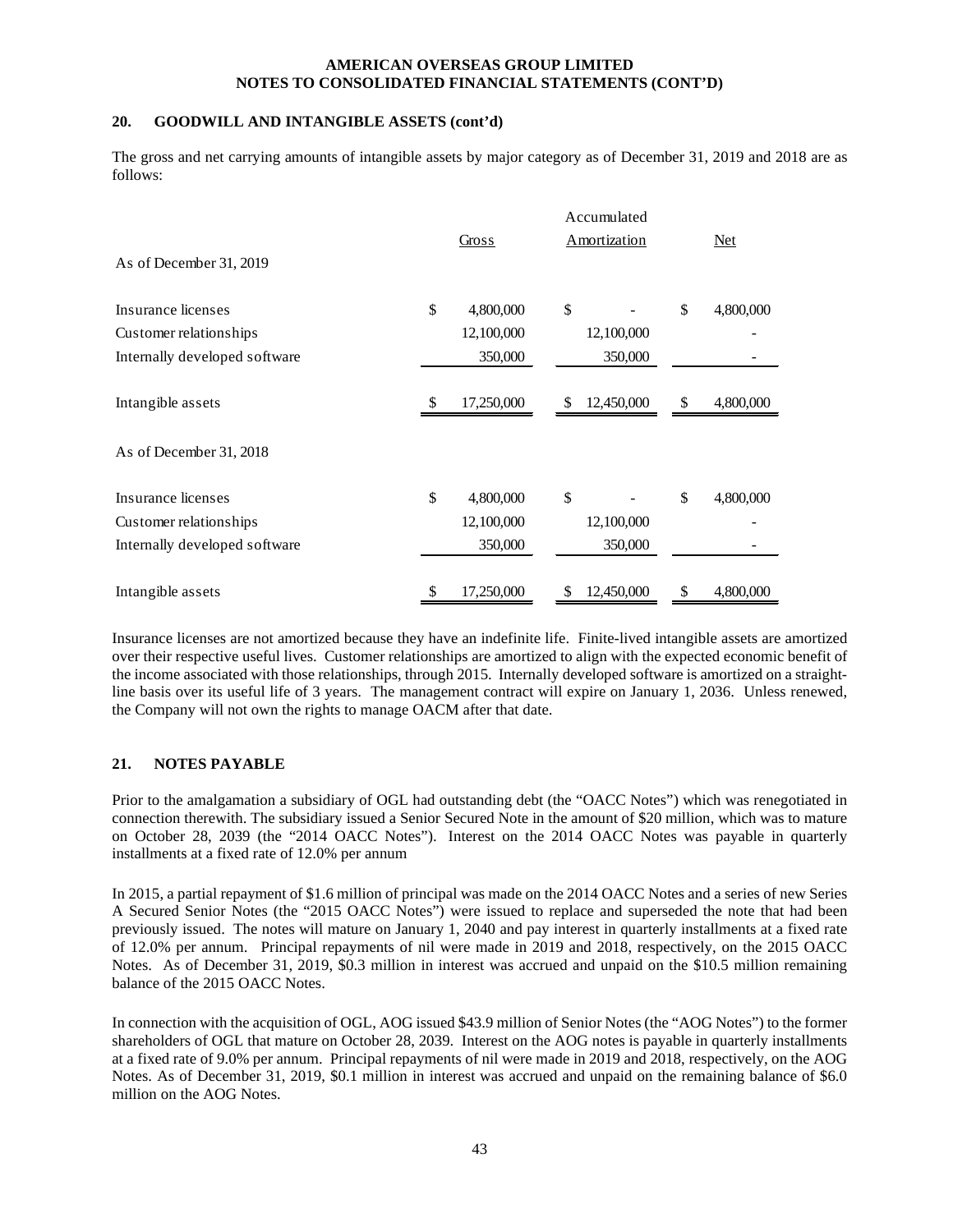# **20. GOODWILL AND INTANGIBLE ASSETS (cont'd)**

The gross and net carrying amounts of intangible assets by major category as of December 31, 2019 and 2018 are as follows:

|                               | Accumulated      |    |                     |    |           |  |
|-------------------------------|------------------|----|---------------------|----|-----------|--|
|                               | Gross            |    | <b>Amortization</b> |    | Net       |  |
| As of December 31, 2019       |                  |    |                     |    |           |  |
| Insurance licenses            | \$<br>4,800,000  | \$ |                     | \$ | 4,800,000 |  |
| Customer relationships        | 12,100,000       |    | 12,100,000          |    |           |  |
| Internally developed software | 350,000          |    | 350,000             |    |           |  |
| Intangible assets             | \$<br>17,250,000 | \$ | 12,450,000          | \$ | 4,800,000 |  |
| As of December 31, 2018       |                  |    |                     |    |           |  |
| Insurance licenses            | \$<br>4,800,000  | \$ |                     | \$ | 4,800,000 |  |
| Customer relationships        | 12,100,000       |    | 12,100,000          |    |           |  |
| Internally developed software | 350,000          |    | 350,000             |    |           |  |
| Intangible assets             | \$<br>17,250,000 | \$ | 12,450,000          | \$ | 4,800,000 |  |

Insurance licenses are not amortized because they have an indefinite life. Finite-lived intangible assets are amortized over their respective useful lives. Customer relationships are amortized to align with the expected economic benefit of the income associated with those relationships, through 2015. Internally developed software is amortized on a straightline basis over its useful life of 3 years. The management contract will expire on January 1, 2036. Unless renewed, the Company will not own the rights to manage OACM after that date.

# **21. NOTES PAYABLE**

Prior to the amalgamation a subsidiary of OGL had outstanding debt (the "OACC Notes") which was renegotiated in connection therewith. The subsidiary issued a Senior Secured Note in the amount of \$20 million, which was to mature on October 28, 2039 (the "2014 OACC Notes"). Interest on the 2014 OACC Notes was payable in quarterly installments at a fixed rate of 12.0% per annum

In 2015, a partial repayment of \$1.6 million of principal was made on the 2014 OACC Notes and a series of new Series A Secured Senior Notes (the "2015 OACC Notes") were issued to replace and superseded the note that had been previously issued. The notes will mature on January 1, 2040 and pay interest in quarterly installments at a fixed rate of 12.0% per annum. Principal repayments of nil were made in 2019 and 2018, respectively, on the 2015 OACC Notes. As of December 31, 2019, \$0.3 million in interest was accrued and unpaid on the \$10.5 million remaining balance of the 2015 OACC Notes.

In connection with the acquisition of OGL, AOG issued \$43.9 million of Senior Notes (the "AOG Notes") to the former shareholders of OGL that mature on October 28, 2039. Interest on the AOG notes is payable in quarterly installments at a fixed rate of 9.0% per annum. Principal repayments of nil were made in 2019 and 2018, respectively, on the AOG Notes. As of December 31, 2019, \$0.1 million in interest was accrued and unpaid on the remaining balance of \$6.0 million on the AOG Notes.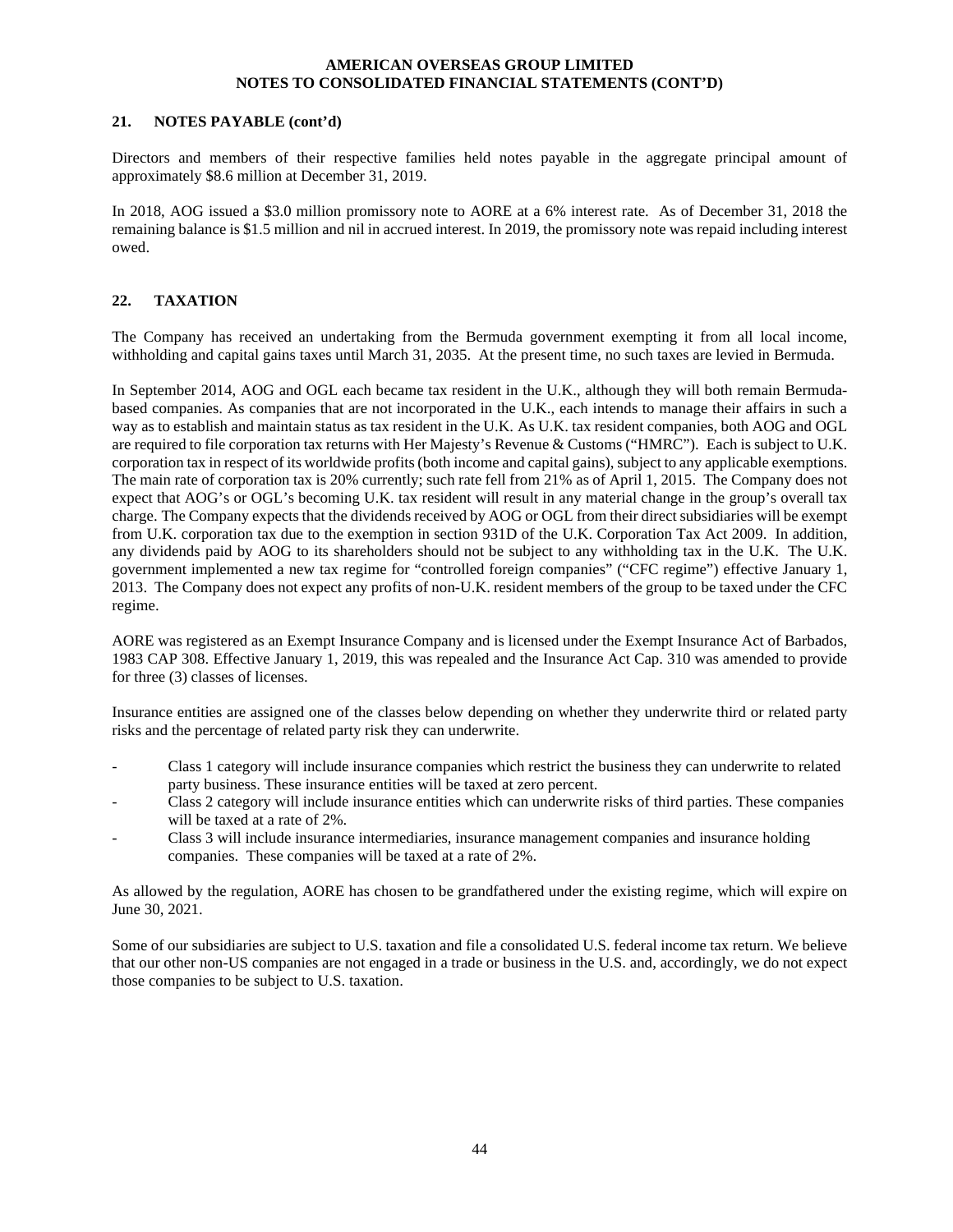#### **21. NOTES PAYABLE (cont'd)**

Directors and members of their respective families held notes payable in the aggregate principal amount of approximately \$8.6 million at December 31, 2019.

In 2018, AOG issued a \$3.0 million promissory note to AORE at a 6% interest rate. As of December 31, 2018 the remaining balance is \$1.5 million and nil in accrued interest. In 2019, the promissory note was repaid including interest owed.

# **22. TAXATION**

The Company has received an undertaking from the Bermuda government exempting it from all local income, withholding and capital gains taxes until March 31, 2035. At the present time, no such taxes are levied in Bermuda.

In September 2014, AOG and OGL each became tax resident in the U.K., although they will both remain Bermudabased companies. As companies that are not incorporated in the U.K., each intends to manage their affairs in such a way as to establish and maintain status as tax resident in the U.K. As U.K. tax resident companies, both AOG and OGL are required to file corporation tax returns with Her Majesty's Revenue & Customs ("HMRC"). Each is subject to U.K. corporation tax in respect of its worldwide profits (both income and capital gains), subject to any applicable exemptions. The main rate of corporation tax is 20% currently; such rate fell from 21% as of April 1, 2015. The Company does not expect that AOG's or OGL's becoming U.K. tax resident will result in any material change in the group's overall tax charge. The Company expects that the dividends received by AOG or OGL from their direct subsidiaries will be exempt from U.K. corporation tax due to the exemption in section 931D of the U.K. Corporation Tax Act 2009. In addition, any dividends paid by AOG to its shareholders should not be subject to any withholding tax in the U.K. The U.K. government implemented a new tax regime for "controlled foreign companies" ("CFC regime") effective January 1, 2013. The Company does not expect any profits of non-U.K. resident members of the group to be taxed under the CFC regime.

AORE was registered as an Exempt Insurance Company and is licensed under the Exempt Insurance Act of Barbados, 1983 CAP 308. Effective January 1, 2019, this was repealed and the Insurance Act Cap. 310 was amended to provide for three (3) classes of licenses.

Insurance entities are assigned one of the classes below depending on whether they underwrite third or related party risks and the percentage of related party risk they can underwrite.

- Class 1 category will include insurance companies which restrict the business they can underwrite to related party business. These insurance entities will be taxed at zero percent.
- Class 2 category will include insurance entities which can underwrite risks of third parties. These companies will be taxed at a rate of 2%.
- Class 3 will include insurance intermediaries, insurance management companies and insurance holding companies. These companies will be taxed at a rate of 2%.

As allowed by the regulation, AORE has chosen to be grandfathered under the existing regime, which will expire on June 30, 2021.

Some of our subsidiaries are subject to U.S. taxation and file a consolidated U.S. federal income tax return. We believe that our other non-US companies are not engaged in a trade or business in the U.S. and, accordingly, we do not expect those companies to be subject to U.S. taxation.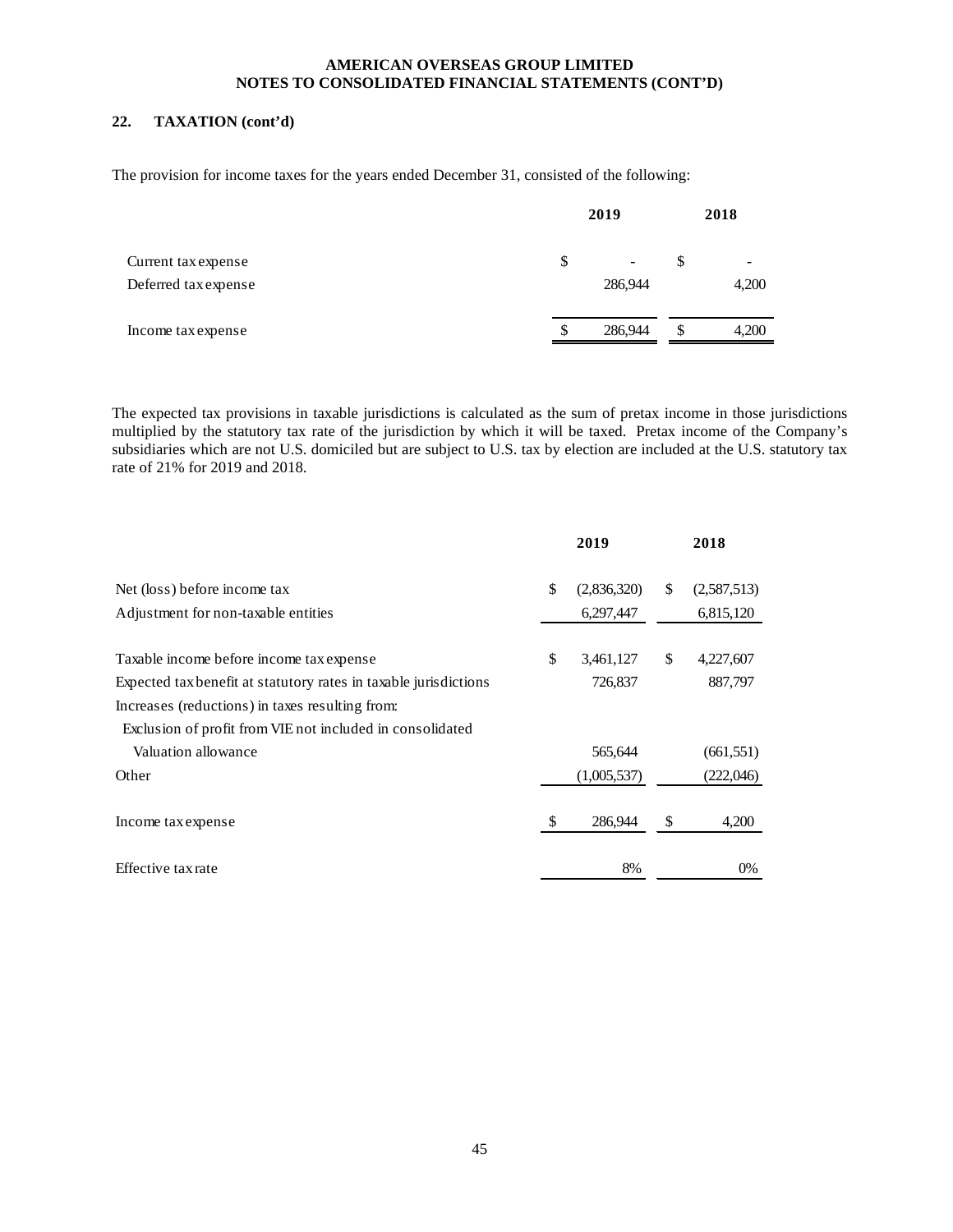# **22. TAXATION (cont'd)**

The provision for income taxes for the years ended December 31, consisted of the following:

|                                             | 2019 |              |    | 2018                              |  |  |
|---------------------------------------------|------|--------------|----|-----------------------------------|--|--|
| Current tax expense<br>Deferred tax expense | \$   | -<br>286,944 | \$ | $\overline{\phantom{a}}$<br>4,200 |  |  |
| Income tax expense                          | \$   | 286,944      | \$ | 4,200                             |  |  |

The expected tax provisions in taxable jurisdictions is calculated as the sum of pretax income in those jurisdictions multiplied by the statutory tax rate of the jurisdiction by which it will be taxed. Pretax income of the Company's subsidiaries which are not U.S. domiciled but are subject to U.S. tax by election are included at the U.S. statutory tax rate of 21% for 2019 and 2018.

|                                                                  | 2019              | 2018              |
|------------------------------------------------------------------|-------------------|-------------------|
| Net (loss) before income tax                                     | \$<br>(2,836,320) | \$<br>(2,587,513) |
| Adjustment for non-taxable entities                              | 6,297,447         | 6,815,120         |
| Taxable income before income tax expense                         | \$<br>3,461,127   | \$<br>4,227,607   |
| Expected tax benefit at statutory rates in taxable jurisdictions | 726,837           | 887,797           |
| Increases (reductions) in taxes resulting from:                  |                   |                   |
| Exclusion of profit from VIE not included in consolidated        |                   |                   |
| Valuation allowance                                              | 565,644           | (661, 551)        |
| Other                                                            | (1,005,537)       | (222,046)         |
| Income tax expense                                               | \$<br>286,944     | \$<br>4,200       |
| Effective tax rate                                               | 8%                | 0%                |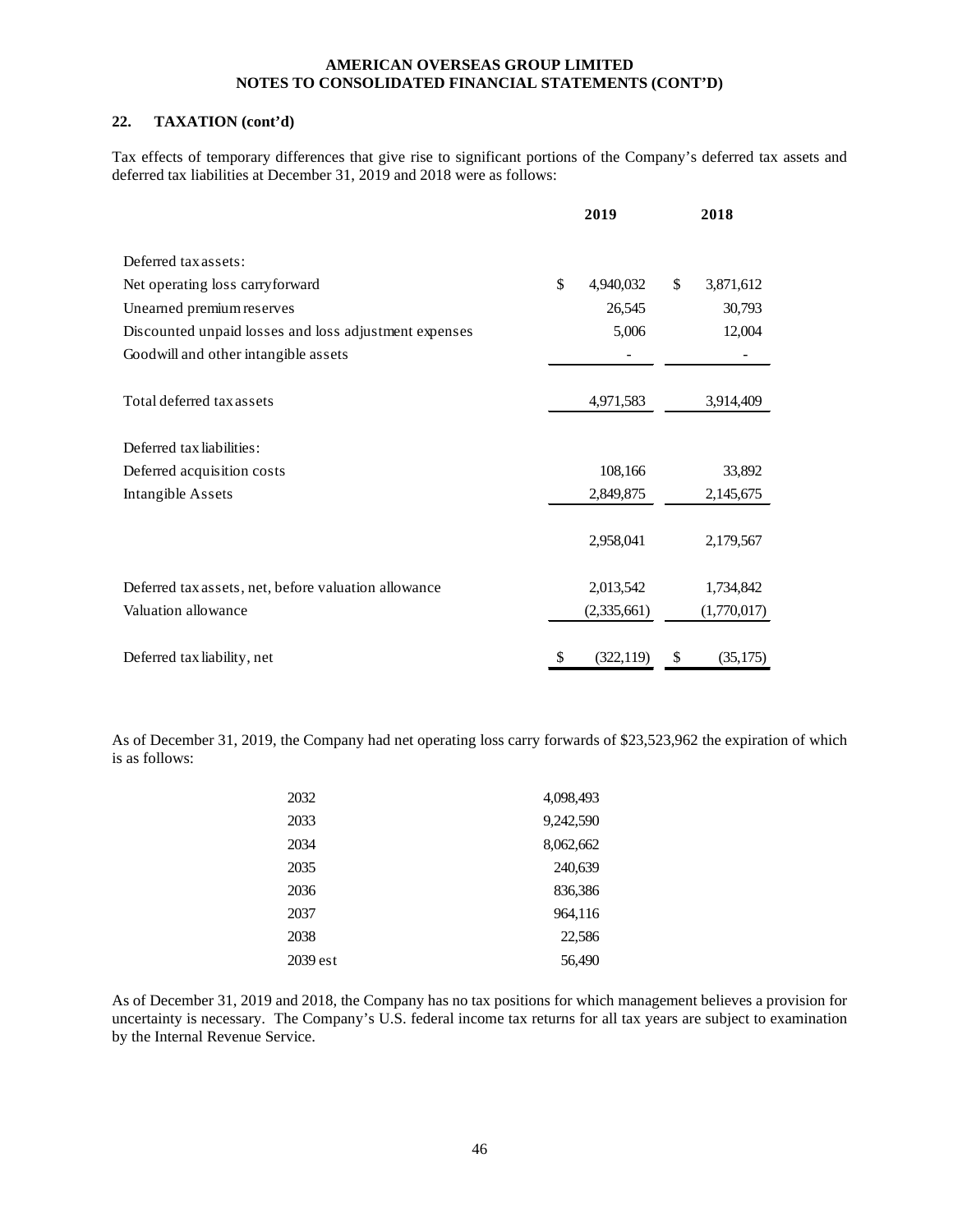# **22. TAXATION (cont'd)**

Tax effects of temporary differences that give rise to significant portions of the Company's deferred tax assets and deferred tax liabilities at December 31, 2019 and 2018 were as follows:

|                                                       | 2019             | 2018            |
|-------------------------------------------------------|------------------|-----------------|
| Deferred tax assets:                                  |                  |                 |
| Net operating loss carryforward                       | \$<br>4,940,032  | \$<br>3,871,612 |
| Unearned premium reserves                             | 26,545           | 30,793          |
| Discounted unpaid losses and loss adjustment expenses | 5,006            | 12,004          |
| Goodwill and other intangible assets                  |                  |                 |
| Total deferred tax assets                             | 4,971,583        | 3,914,409       |
| Deferred tax liabilities:                             |                  |                 |
| Deferred acquisition costs                            | 108,166          | 33,892          |
| Intangible Assets                                     | 2,849,875        | 2,145,675       |
|                                                       | 2,958,041        | 2,179,567       |
| Deferred tax assets, net, before valuation allowance  | 2,013,542        | 1,734,842       |
| Valuation allowance                                   | (2,335,661)      | (1,770,017)     |
| Deferred tax liability, net                           | \$<br>(322, 119) | \$<br>(35,175)  |

As of December 31, 2019, the Company had net operating loss carry forwards of \$23,523,962 the expiration of which is as follows:

| 2032     | 4,098,493 |
|----------|-----------|
| 2033     | 9,242,590 |
| 2034     | 8,062,662 |
| 2035     | 240,639   |
| 2036     | 836,386   |
| 2037     | 964,116   |
| 2038     | 22,586    |
| 2039 est | 56,490    |

As of December 31, 2019 and 2018, the Company has no tax positions for which management believes a provision for uncertainty is necessary. The Company's U.S. federal income tax returns for all tax years are subject to examination by the Internal Revenue Service.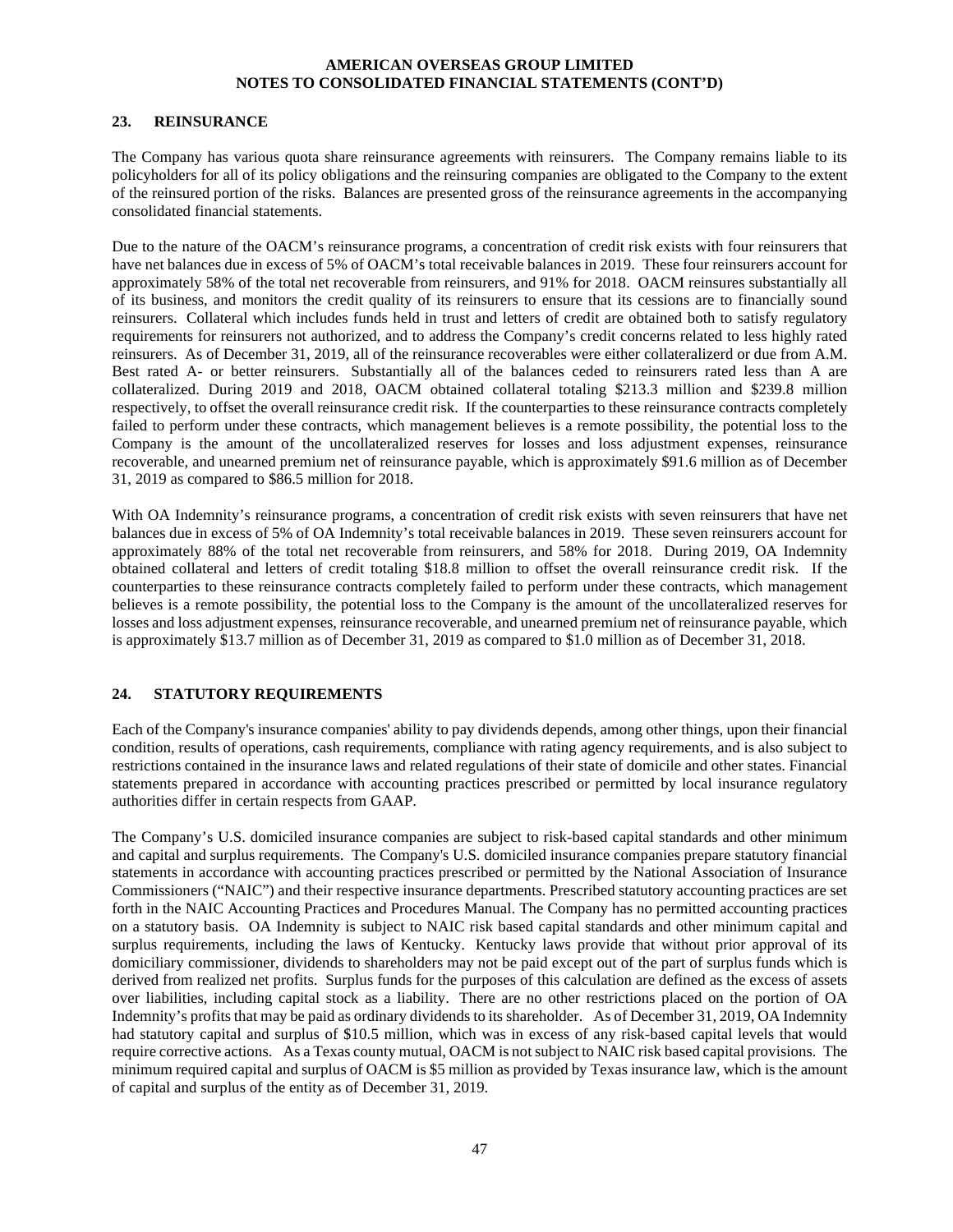#### **23. REINSURANCE**

The Company has various quota share reinsurance agreements with reinsurers. The Company remains liable to its policyholders for all of its policy obligations and the reinsuring companies are obligated to the Company to the extent of the reinsured portion of the risks. Balances are presented gross of the reinsurance agreements in the accompanying consolidated financial statements.

Due to the nature of the OACM's reinsurance programs, a concentration of credit risk exists with four reinsurers that have net balances due in excess of 5% of OACM's total receivable balances in 2019. These four reinsurers account for approximately 58% of the total net recoverable from reinsurers, and 91% for 2018. OACM reinsures substantially all of its business, and monitors the credit quality of its reinsurers to ensure that its cessions are to financially sound reinsurers. Collateral which includes funds held in trust and letters of credit are obtained both to satisfy regulatory requirements for reinsurers not authorized, and to address the Company's credit concerns related to less highly rated reinsurers. As of December 31, 2019, all of the reinsurance recoverables were either collateralizerd or due from A.M. Best rated A- or better reinsurers. Substantially all of the balances ceded to reinsurers rated less than A are collateralized. During 2019 and 2018, OACM obtained collateral totaling \$213.3 million and \$239.8 million respectively, to offset the overall reinsurance credit risk. If the counterparties to these reinsurance contracts completely failed to perform under these contracts, which management believes is a remote possibility, the potential loss to the Company is the amount of the uncollateralized reserves for losses and loss adjustment expenses, reinsurance recoverable, and unearned premium net of reinsurance payable, which is approximately \$91.6 million as of December 31, 2019 as compared to \$86.5 million for 2018.

With OA Indemnity's reinsurance programs, a concentration of credit risk exists with seven reinsurers that have net balances due in excess of 5% of OA Indemnity's total receivable balances in 2019. These seven reinsurers account for approximately 88% of the total net recoverable from reinsurers, and 58% for 2018. During 2019, OA Indemnity obtained collateral and letters of credit totaling \$18.8 million to offset the overall reinsurance credit risk. If the counterparties to these reinsurance contracts completely failed to perform under these contracts, which management believes is a remote possibility, the potential loss to the Company is the amount of the uncollateralized reserves for losses and loss adjustment expenses, reinsurance recoverable, and unearned premium net of reinsurance payable, which is approximately \$13.7 million as of December 31, 2019 as compared to \$1.0 million as of December 31, 2018.

# **24. STATUTORY REQUIREMENTS**

Each of the Company's insurance companies' ability to pay dividends depends, among other things, upon their financial condition, results of operations, cash requirements, compliance with rating agency requirements, and is also subject to restrictions contained in the insurance laws and related regulations of their state of domicile and other states. Financial statements prepared in accordance with accounting practices prescribed or permitted by local insurance regulatory authorities differ in certain respects from GAAP.

The Company's U.S. domiciled insurance companies are subject to risk-based capital standards and other minimum and capital and surplus requirements. The Company's U.S. domiciled insurance companies prepare statutory financial statements in accordance with accounting practices prescribed or permitted by the National Association of Insurance Commissioners ("NAIC") and their respective insurance departments. Prescribed statutory accounting practices are set forth in the NAIC Accounting Practices and Procedures Manual. The Company has no permitted accounting practices on a statutory basis. OA Indemnity is subject to NAIC risk based capital standards and other minimum capital and surplus requirements, including the laws of Kentucky. Kentucky laws provide that without prior approval of its domiciliary commissioner, dividends to shareholders may not be paid except out of the part of surplus funds which is derived from realized net profits. Surplus funds for the purposes of this calculation are defined as the excess of assets over liabilities, including capital stock as a liability. There are no other restrictions placed on the portion of OA Indemnity's profits that may be paid as ordinary dividends to its shareholder. As of December 31, 2019, OA Indemnity had statutory capital and surplus of \$10.5 million, which was in excess of any risk-based capital levels that would require corrective actions. As a Texas county mutual, OACM is not subject to NAIC risk based capital provisions. The minimum required capital and surplus of OACM is \$5 million as provided by Texas insurance law, which is the amount of capital and surplus of the entity as of December 31, 2019.